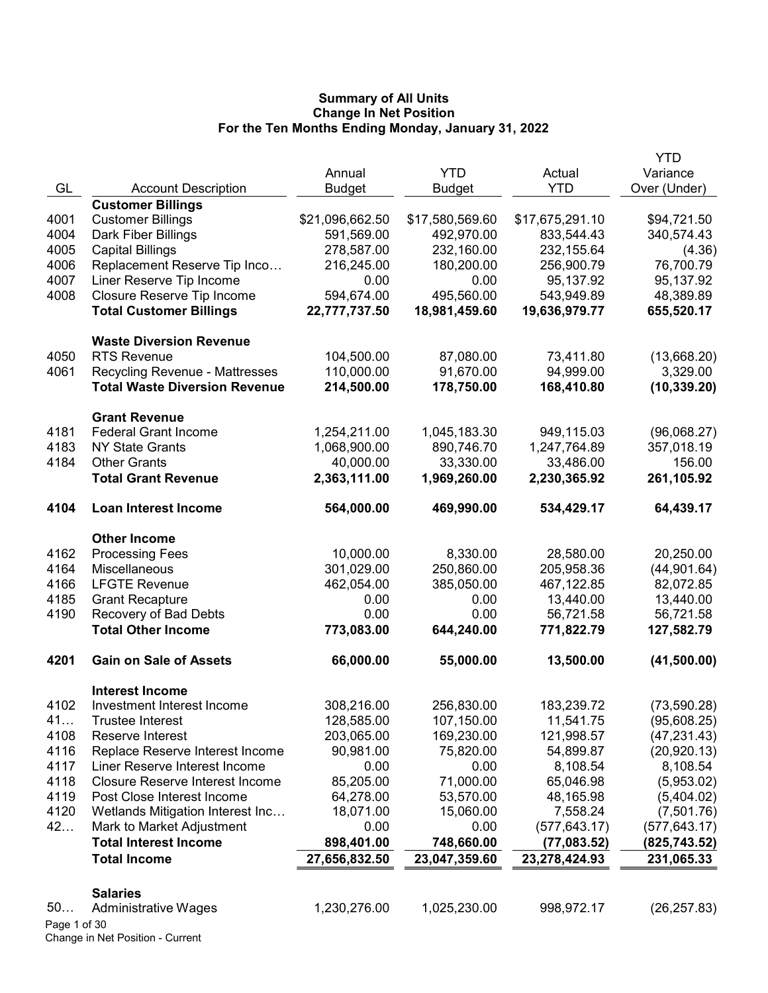|              |                                                |                 |                 |                 | <b>YTD</b>    |
|--------------|------------------------------------------------|-----------------|-----------------|-----------------|---------------|
|              |                                                | Annual          | <b>YTD</b>      | Actual          | Variance      |
| GL           | <b>Account Description</b>                     | <b>Budget</b>   | <b>Budget</b>   | <b>YTD</b>      | Over (Under)  |
|              | <b>Customer Billings</b>                       |                 |                 |                 |               |
| 4001         | <b>Customer Billings</b>                       | \$21,096,662.50 | \$17,580,569.60 | \$17,675,291.10 | \$94,721.50   |
| 4004         | Dark Fiber Billings                            | 591,569.00      | 492,970.00      | 833,544.43      | 340,574.43    |
| 4005         | <b>Capital Billings</b>                        | 278,587.00      | 232,160.00      | 232,155.64      | (4.36)        |
| 4006         | Replacement Reserve Tip Inco                   | 216,245.00      | 180,200.00      | 256,900.79      | 76,700.79     |
| 4007         | Liner Reserve Tip Income                       | 0.00            | 0.00            | 95,137.92       | 95,137.92     |
| 4008         | Closure Reserve Tip Income                     | 594,674.00      | 495,560.00      | 543,949.89      | 48,389.89     |
|              | <b>Total Customer Billings</b>                 | 22,777,737.50   | 18,981,459.60   | 19,636,979.77   | 655,520.17    |
|              | <b>Waste Diversion Revenue</b>                 |                 |                 |                 |               |
| 4050         | <b>RTS Revenue</b>                             | 104,500.00      | 87,080.00       | 73,411.80       | (13,668.20)   |
| 4061         | <b>Recycling Revenue - Mattresses</b>          | 110,000.00      | 91,670.00       | 94,999.00       | 3,329.00      |
|              | <b>Total Waste Diversion Revenue</b>           | 214,500.00      | 178,750.00      | 168,410.80      | (10, 339.20)  |
|              | <b>Grant Revenue</b>                           |                 |                 |                 |               |
| 4181         | <b>Federal Grant Income</b>                    | 1,254,211.00    | 1,045,183.30    | 949,115.03      | (96,068.27)   |
| 4183         | <b>NY State Grants</b>                         | 1,068,900.00    | 890,746.70      | 1,247,764.89    | 357,018.19    |
| 4184         | <b>Other Grants</b>                            | 40,000.00       | 33,330.00       | 33,486.00       | 156.00        |
|              | <b>Total Grant Revenue</b>                     | 2,363,111.00    | 1,969,260.00    | 2,230,365.92    | 261,105.92    |
| 4104         | <b>Loan Interest Income</b>                    | 564,000.00      | 469,990.00      | 534,429.17      | 64,439.17     |
|              |                                                |                 |                 |                 |               |
|              | <b>Other Income</b>                            |                 |                 |                 |               |
| 4162         | <b>Processing Fees</b>                         | 10,000.00       | 8,330.00        | 28,580.00       | 20,250.00     |
| 4164         | Miscellaneous                                  | 301,029.00      | 250,860.00      | 205,958.36      | (44,901.64)   |
| 4166         | <b>LFGTE Revenue</b>                           | 462,054.00      | 385,050.00      | 467,122.85      | 82,072.85     |
| 4185         | <b>Grant Recapture</b>                         | 0.00            | 0.00            | 13,440.00       | 13,440.00     |
| 4190         | Recovery of Bad Debts                          | 0.00            | 0.00            | 56,721.58       | 56,721.58     |
|              | <b>Total Other Income</b>                      | 773,083.00      | 644,240.00      | 771,822.79      | 127,582.79    |
| 4201         | <b>Gain on Sale of Assets</b>                  | 66,000.00       | 55,000.00       | 13,500.00       | (41,500.00)   |
|              | <b>Interest Income</b>                         |                 |                 |                 |               |
| 4102         | Investment Interest Income                     | 308,216.00      | 256,830.00      | 183,239.72      | (73, 590.28)  |
| 41           | Trustee Interest                               | 128,585.00      | 107,150.00      | 11,541.75       | (95,608.25)   |
| 4108         | Reserve Interest                               | 203,065.00      | 169,230.00      | 121,998.57      | (47, 231.43)  |
| 4116         | Replace Reserve Interest Income                | 90,981.00       | 75,820.00       | 54,899.87       | (20, 920.13)  |
| 4117         | Liner Reserve Interest Income                  | 0.00            | 0.00            | 8,108.54        | 8,108.54      |
| 4118         | <b>Closure Reserve Interest Income</b>         | 85,205.00       | 71,000.00       | 65,046.98       | (5,953.02)    |
| 4119         | Post Close Interest Income                     | 64,278.00       | 53,570.00       | 48,165.98       | (5,404.02)    |
| 4120         | Wetlands Mitigation Interest Inc               | 18,071.00       | 15,060.00       | 7,558.24        | (7,501.76)    |
| 42           | Mark to Market Adjustment                      | 0.00            | 0.00            | (577, 643.17)   | (577, 643.17) |
|              | <b>Total Interest Income</b>                   | 898,401.00      | 748,660.00      | (77,083.52)     | (825,743.52)  |
|              | <b>Total Income</b>                            | 27,656,832.50   | 23,047,359.60   | 23,278,424.93   | 231,065.33    |
|              |                                                |                 |                 |                 |               |
| 50           | <b>Salaries</b><br><b>Administrative Wages</b> | 1,230,276.00    | 1,025,230.00    | 998,972.17      | (26, 257.83)  |
| Page 1 of 30 |                                                |                 |                 |                 |               |
|              | Change in Net Position - Current               |                 |                 |                 |               |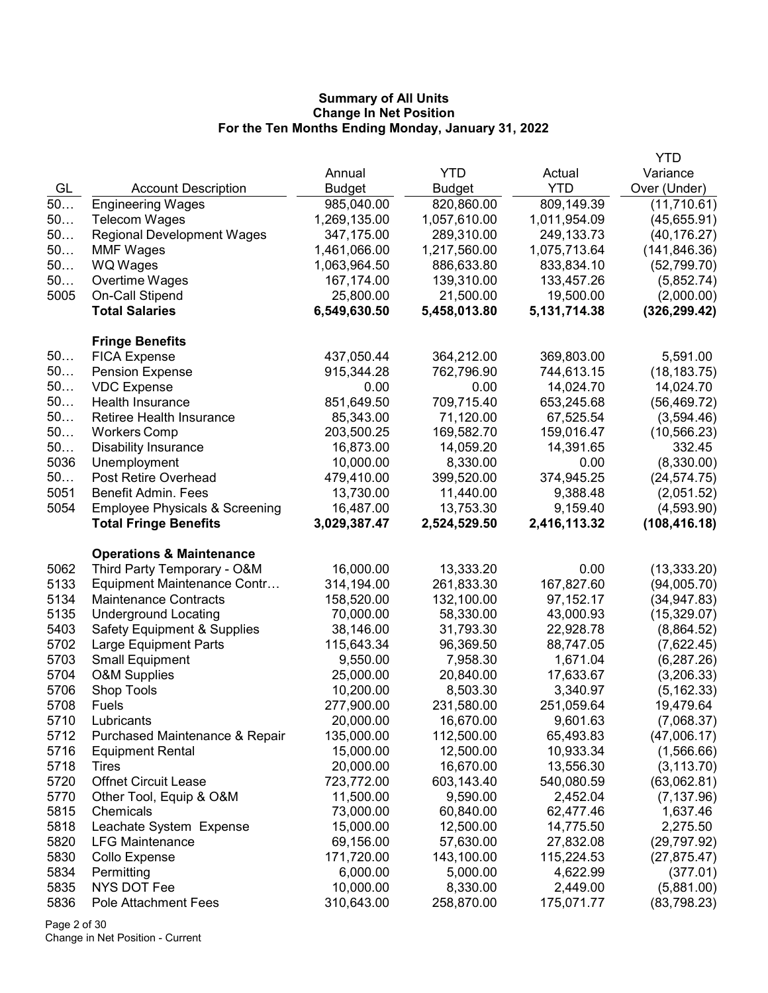|      |                                           |               |               |              | YTD           |
|------|-------------------------------------------|---------------|---------------|--------------|---------------|
|      |                                           | Annual        | <b>YTD</b>    | Actual       | Variance      |
| GL   | <b>Account Description</b>                | <b>Budget</b> | <b>Budget</b> | <b>YTD</b>   | Over (Under)  |
| 50   | <b>Engineering Wages</b>                  | 985,040.00    | 820,860.00    | 809,149.39   | (11,710.61)   |
| 50   | <b>Telecom Wages</b>                      | 1,269,135.00  | 1,057,610.00  | 1,011,954.09 | (45,655.91)   |
| 50   | <b>Regional Development Wages</b>         | 347,175.00    | 289,310.00    | 249,133.73   | (40, 176.27)  |
| 50   | <b>MMF Wages</b>                          | 1,461,066.00  | 1,217,560.00  | 1,075,713.64 | (141, 846.36) |
| 50   | WQ Wages                                  | 1,063,964.50  | 886,633.80    | 833,834.10   | (52, 799.70)  |
| 50   | Overtime Wages                            | 167,174.00    | 139,310.00    | 133,457.26   | (5,852.74)    |
| 5005 | On-Call Stipend                           | 25,800.00     | 21,500.00     | 19,500.00    | (2,000.00)    |
|      | <b>Total Salaries</b>                     | 6,549,630.50  | 5,458,013.80  | 5,131,714.38 | (326, 299.42) |
|      | <b>Fringe Benefits</b>                    |               |               |              |               |
| 50   | <b>FICA Expense</b>                       | 437,050.44    | 364,212.00    | 369,803.00   | 5,591.00      |
| 50   | <b>Pension Expense</b>                    | 915,344.28    | 762,796.90    | 744,613.15   | (18, 183.75)  |
| 50   | <b>VDC Expense</b>                        | 0.00          | 0.00          | 14,024.70    | 14,024.70     |
| 50   | Health Insurance                          | 851,649.50    | 709,715.40    | 653,245.68   | (56, 469.72)  |
| 50   | Retiree Health Insurance                  | 85,343.00     | 71,120.00     | 67,525.54    | (3,594.46)    |
| 50   | <b>Workers Comp</b>                       | 203,500.25    | 169,582.70    | 159,016.47   | (10, 566.23)  |
| 50   | <b>Disability Insurance</b>               | 16,873.00     | 14,059.20     | 14,391.65    | 332.45        |
| 5036 | Unemployment                              | 10,000.00     | 8,330.00      | 0.00         | (8,330.00)    |
| 50   | Post Retire Overhead                      | 479,410.00    | 399,520.00    | 374,945.25   | (24, 574.75)  |
| 5051 | Benefit Admin. Fees                       | 13,730.00     | 11,440.00     | 9,388.48     | (2,051.52)    |
| 5054 | <b>Employee Physicals &amp; Screening</b> | 16,487.00     | 13,753.30     | 9,159.40     | (4,593.90)    |
|      | <b>Total Fringe Benefits</b>              | 3,029,387.47  | 2,524,529.50  | 2,416,113.32 | (108, 416.18) |
|      | <b>Operations &amp; Maintenance</b>       |               |               |              |               |
| 5062 | Third Party Temporary - O&M               | 16,000.00     | 13,333.20     | 0.00         | (13, 333.20)  |
| 5133 | Equipment Maintenance Contr               | 314,194.00    | 261,833.30    | 167,827.60   | (94,005.70)   |
| 5134 | <b>Maintenance Contracts</b>              | 158,520.00    | 132,100.00    | 97,152.17    | (34, 947.83)  |
| 5135 | <b>Underground Locating</b>               | 70,000.00     | 58,330.00     | 43,000.93    | (15,329.07)   |
| 5403 | <b>Safety Equipment &amp; Supplies</b>    | 38,146.00     | 31,793.30     | 22,928.78    | (8,864.52)    |
| 5702 | Large Equipment Parts                     | 115,643.34    | 96,369.50     | 88,747.05    | (7,622.45)    |
| 5703 | <b>Small Equipment</b>                    | 9,550.00      | 7,958.30      | 1,671.04     | (6, 287.26)   |
| 5704 | O&M Supplies                              | 25,000.00     | 20,840.00     | 17,633.67    | (3,206.33)    |
| 5706 | Shop Tools                                | 10,200.00     | 8,503.30      | 3,340.97     | (5, 162.33)   |
| 5708 | Fuels                                     | 277,900.00    | 231,580.00    | 251,059.64   | 19,479.64     |
| 5710 | Lubricants                                | 20,000.00     | 16,670.00     | 9,601.63     | (7,068.37)    |
| 5712 | Purchased Maintenance & Repair            | 135,000.00    | 112,500.00    | 65,493.83    | (47,006.17)   |
| 5716 | <b>Equipment Rental</b>                   | 15,000.00     | 12,500.00     | 10,933.34    | (1,566.66)    |
| 5718 | Tires                                     | 20,000.00     | 16,670.00     | 13,556.30    | (3, 113.70)   |
| 5720 | <b>Offnet Circuit Lease</b>               | 723,772.00    | 603,143.40    | 540,080.59   | (63,062.81)   |
| 5770 | Other Tool, Equip & O&M                   | 11,500.00     | 9,590.00      | 2,452.04     | (7, 137.96)   |
| 5815 | Chemicals                                 | 73,000.00     | 60,840.00     | 62,477.46    | 1,637.46      |
| 5818 | Leachate System Expense                   | 15,000.00     | 12,500.00     | 14,775.50    | 2,275.50      |
| 5820 | <b>LFG Maintenance</b>                    | 69,156.00     | 57,630.00     | 27,832.08    | (29, 797.92)  |
| 5830 | Collo Expense                             | 171,720.00    | 143,100.00    | 115,224.53   | (27, 875.47)  |
| 5834 | Permitting                                | 6,000.00      | 5,000.00      | 4,622.99     | (377.01)      |
| 5835 | NYS DOT Fee                               | 10,000.00     | 8,330.00      | 2,449.00     | (5,881.00)    |
| 5836 | <b>Pole Attachment Fees</b>               | 310,643.00    | 258,870.00    | 175,071.77   | (83, 798.23)  |

Page 2 of 30 Change in Net Position - Current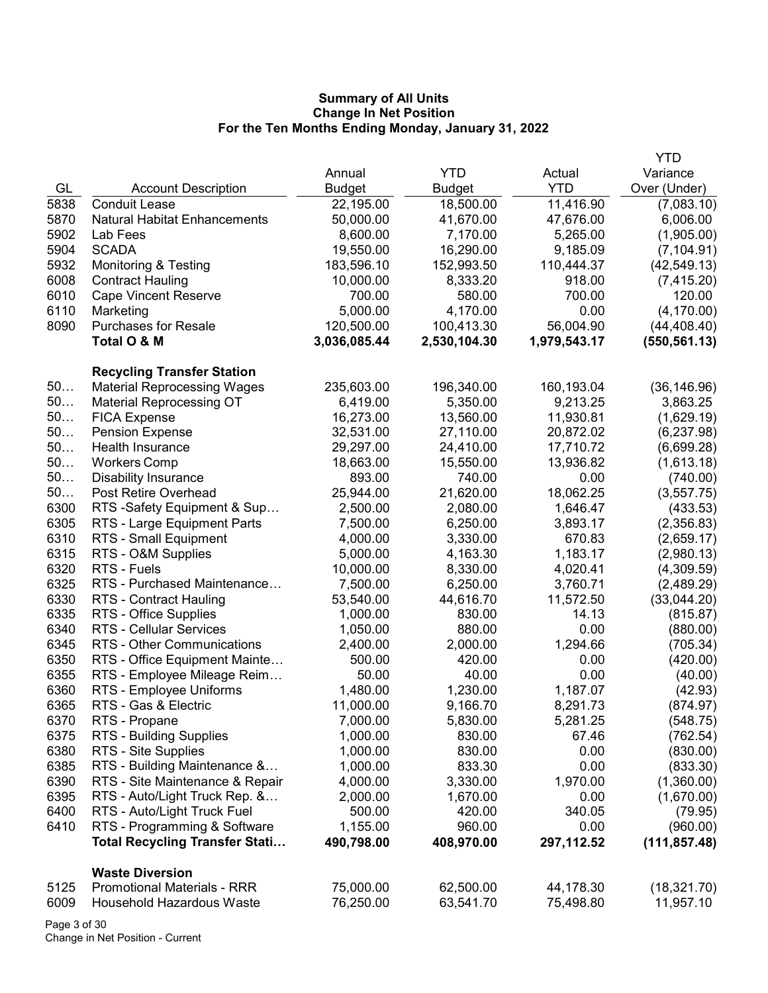|      |                                       |               |               |              | YTD           |
|------|---------------------------------------|---------------|---------------|--------------|---------------|
|      |                                       | Annual        | YTD           | Actual       | Variance      |
| GL   | <b>Account Description</b>            | <b>Budget</b> | <b>Budget</b> | <b>YTD</b>   | Over (Under)  |
| 5838 | <b>Conduit Lease</b>                  | 22,195.00     | 18,500.00     | 11,416.90    | (7,083.10)    |
| 5870 | <b>Natural Habitat Enhancements</b>   | 50,000.00     | 41,670.00     | 47,676.00    | 6,006.00      |
| 5902 | Lab Fees                              | 8,600.00      | 7,170.00      | 5,265.00     | (1,905.00)    |
| 5904 | <b>SCADA</b>                          | 19,550.00     | 16,290.00     | 9,185.09     | (7, 104.91)   |
| 5932 | <b>Monitoring &amp; Testing</b>       | 183,596.10    | 152,993.50    | 110,444.37   | (42, 549.13)  |
| 6008 | <b>Contract Hauling</b>               | 10,000.00     | 8,333.20      | 918.00       | (7, 415.20)   |
| 6010 | <b>Cape Vincent Reserve</b>           | 700.00        | 580.00        | 700.00       | 120.00        |
| 6110 | Marketing                             | 5,000.00      | 4,170.00      | 0.00         | (4, 170.00)   |
| 8090 | <b>Purchases for Resale</b>           | 120,500.00    | 100,413.30    | 56,004.90    | (44, 408.40)  |
|      | Total O & M                           | 3,036,085.44  | 2,530,104.30  | 1,979,543.17 | (550, 561.13) |
|      |                                       |               |               |              |               |
|      | <b>Recycling Transfer Station</b>     |               |               |              |               |
| 50   | <b>Material Reprocessing Wages</b>    | 235,603.00    | 196,340.00    | 160,193.04   | (36, 146.96)  |
| 50   | <b>Material Reprocessing OT</b>       | 6,419.00      | 5,350.00      | 9,213.25     | 3,863.25      |
| 50   | <b>FICA Expense</b>                   | 16,273.00     | 13,560.00     | 11,930.81    | (1,629.19)    |
| 50   | <b>Pension Expense</b>                | 32,531.00     | 27,110.00     | 20,872.02    | (6, 237.98)   |
| 50   | Health Insurance                      | 29,297.00     | 24,410.00     | 17,710.72    | (6,699.28)    |
| 50   | <b>Workers Comp</b>                   | 18,663.00     | 15,550.00     | 13,936.82    | (1,613.18)    |
| 50   | <b>Disability Insurance</b>           | 893.00        | 740.00        | 0.00         | (740.00)      |
| 50   | Post Retire Overhead                  | 25,944.00     | 21,620.00     | 18,062.25    | (3, 557.75)   |
| 6300 | RTS -Safety Equipment & Sup           | 2,500.00      | 2,080.00      | 1,646.47     | (433.53)      |
| 6305 | RTS - Large Equipment Parts           | 7,500.00      | 6,250.00      | 3,893.17     | (2,356.83)    |
| 6310 | RTS - Small Equipment                 | 4,000.00      | 3,330.00      | 670.83       | (2,659.17)    |
| 6315 | RTS - O&M Supplies                    | 5,000.00      | 4,163.30      | 1,183.17     | (2,980.13)    |
| 6320 | RTS - Fuels                           | 10,000.00     | 8,330.00      | 4,020.41     | (4,309.59)    |
| 6325 | RTS - Purchased Maintenance           | 7,500.00      | 6,250.00      | 3,760.71     | (2,489.29)    |
| 6330 | RTS - Contract Hauling                | 53,540.00     | 44,616.70     | 11,572.50    | (33,044.20)   |
| 6335 | RTS - Office Supplies                 | 1,000.00      | 830.00        | 14.13        | (815.87)      |
| 6340 | <b>RTS - Cellular Services</b>        | 1,050.00      | 880.00        | 0.00         | (880.00)      |
| 6345 | RTS - Other Communications            | 2,400.00      | 2,000.00      | 1,294.66     | (705.34)      |
| 6350 | RTS - Office Equipment Mainte         | 500.00        | 420.00        | 0.00         | (420.00)      |
| 6355 | RTS - Employee Mileage Reim           | 50.00         | 40.00         | 0.00         | (40.00)       |
| 6360 | RTS - Employee Uniforms               | 1,480.00      | 1,230.00      | 1,187.07     | (42.93)       |
| 6365 | RTS - Gas & Electric                  | 11,000.00     | 9,166.70      | 8,291.73     | (874.97)      |
| 6370 | RTS - Propane                         | 7,000.00      | 5,830.00      | 5,281.25     | (548.75)      |
| 6375 | RTS - Building Supplies               | 1,000.00      | 830.00        | 67.46        | (762.54)      |
| 6380 | RTS - Site Supplies                   | 1,000.00      | 830.00        | 0.00         | (830.00)      |
| 6385 | RTS - Building Maintenance &          | 1,000.00      | 833.30        | 0.00         | (833.30)      |
| 6390 | RTS - Site Maintenance & Repair       | 4,000.00      | 3,330.00      | 1,970.00     | (1,360.00)    |
| 6395 | RTS - Auto/Light Truck Rep. &         | 2,000.00      | 1,670.00      | 0.00         | (1,670.00)    |
| 6400 | RTS - Auto/Light Truck Fuel           | 500.00        | 420.00        | 340.05       | (79.95)       |
| 6410 | RTS - Programming & Software          | 1,155.00      | 960.00        | 0.00         | (960.00)      |
|      | <b>Total Recycling Transfer Stati</b> | 490,798.00    | 408,970.00    | 297,112.52   | (111, 857.48) |
|      |                                       |               |               |              |               |
|      | <b>Waste Diversion</b>                |               |               |              |               |
| 5125 | <b>Promotional Materials - RRR</b>    | 75,000.00     | 62,500.00     | 44,178.30    | (18, 321.70)  |
| 6009 | Household Hazardous Waste             | 76,250.00     | 63,541.70     | 75,498.80    | 11,957.10     |
|      |                                       |               |               |              |               |

Page 3 of 30 Change in Net Position - Current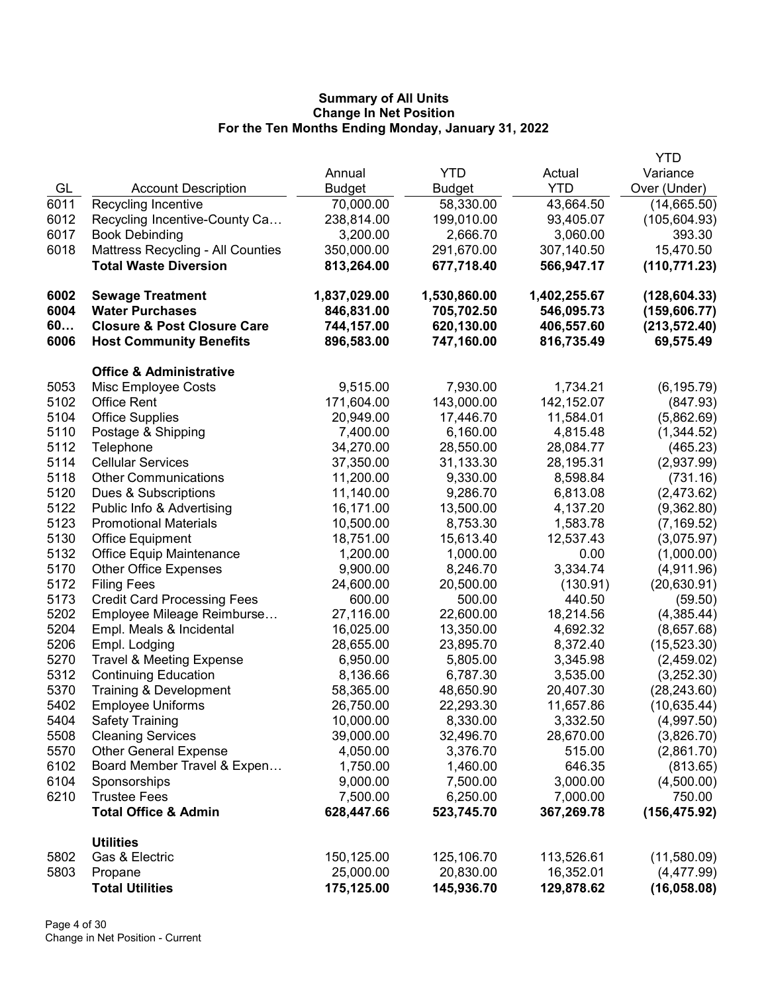|      |                                        |               |               |              | <b>YTD</b>    |
|------|----------------------------------------|---------------|---------------|--------------|---------------|
|      |                                        | Annual        | <b>YTD</b>    | Actual       | Variance      |
| GL   | <b>Account Description</b>             | <b>Budget</b> | <b>Budget</b> | <b>YTD</b>   | Over (Under)  |
| 6011 | Recycling Incentive                    | 70,000.00     | 58,330.00     | 43,664.50    | (14,665.50)   |
| 6012 | Recycling Incentive-County Ca          | 238,814.00    | 199,010.00    | 93,405.07    | (105, 604.93) |
| 6017 | <b>Book Debinding</b>                  | 3,200.00      | 2,666.70      | 3,060.00     | 393.30        |
| 6018 | Mattress Recycling - All Counties      | 350,000.00    | 291,670.00    | 307,140.50   | 15,470.50     |
|      | <b>Total Waste Diversion</b>           | 813,264.00    | 677,718.40    | 566,947.17   | (110, 771.23) |
| 6002 | <b>Sewage Treatment</b>                | 1,837,029.00  | 1,530,860.00  | 1,402,255.67 | (128, 604.33) |
| 6004 | <b>Water Purchases</b>                 | 846,831.00    | 705,702.50    | 546,095.73   | (159, 606.77) |
| 60   | <b>Closure &amp; Post Closure Care</b> | 744,157.00    | 620,130.00    | 406,557.60   | (213, 572.40) |
| 6006 | <b>Host Community Benefits</b>         | 896,583.00    | 747,160.00    | 816,735.49   | 69,575.49     |
|      | <b>Office &amp; Administrative</b>     |               |               |              |               |
| 5053 | Misc Employee Costs                    | 9,515.00      | 7,930.00      | 1,734.21     | (6, 195.79)   |
| 5102 | <b>Office Rent</b>                     | 171,604.00    | 143,000.00    | 142,152.07   | (847.93)      |
| 5104 | <b>Office Supplies</b>                 | 20,949.00     | 17,446.70     | 11,584.01    | (5,862.69)    |
| 5110 | Postage & Shipping                     | 7,400.00      | 6,160.00      | 4,815.48     | (1,344.52)    |
| 5112 | Telephone                              | 34,270.00     | 28,550.00     | 28,084.77    | (465.23)      |
| 5114 | <b>Cellular Services</b>               | 37,350.00     | 31,133.30     | 28,195.31    | (2,937.99)    |
| 5118 | <b>Other Communications</b>            | 11,200.00     | 9,330.00      | 8,598.84     | (731.16)      |
| 5120 | Dues & Subscriptions                   | 11,140.00     | 9,286.70      | 6,813.08     | (2,473.62)    |
| 5122 | Public Info & Advertising              | 16,171.00     | 13,500.00     | 4,137.20     | (9,362.80)    |
| 5123 | <b>Promotional Materials</b>           | 10,500.00     | 8,753.30      | 1,583.78     | (7, 169.52)   |
| 5130 | Office Equipment                       | 18,751.00     | 15,613.40     | 12,537.43    | (3,075.97)    |
| 5132 | Office Equip Maintenance               | 1,200.00      | 1,000.00      | 0.00         | (1,000.00)    |
| 5170 | <b>Other Office Expenses</b>           | 9,900.00      | 8,246.70      | 3,334.74     | (4,911.96)    |
| 5172 | <b>Filing Fees</b>                     | 24,600.00     | 20,500.00     | (130.91)     | (20, 630.91)  |
| 5173 | <b>Credit Card Processing Fees</b>     | 600.00        | 500.00        | 440.50       | (59.50)       |
| 5202 | Employee Mileage Reimburse             | 27,116.00     | 22,600.00     | 18,214.56    | (4,385.44)    |
| 5204 | Empl. Meals & Incidental               | 16,025.00     | 13,350.00     | 4,692.32     | (8,657.68)    |
| 5206 | Empl. Lodging                          | 28,655.00     | 23,895.70     | 8,372.40     | (15, 523.30)  |
| 5270 | <b>Travel &amp; Meeting Expense</b>    | 6,950.00      | 5,805.00      | 3,345.98     | (2,459.02)    |
| 5312 | <b>Continuing Education</b>            | 8,136.66      | 6,787.30      | 3,535.00     | (3,252.30)    |
| 5370 | Training & Development                 | 58,365.00     | 48,650.90     | 20,407.30    | (28, 243.60)  |
| 5402 | <b>Employee Uniforms</b>               | 26,750.00     | 22,293.30     | 11,657.86    | (10, 635.44)  |
| 5404 | <b>Safety Training</b>                 | 10,000.00     | 8,330.00      | 3,332.50     | (4,997.50)    |
| 5508 | <b>Cleaning Services</b>               | 39,000.00     | 32,496.70     | 28,670.00    | (3,826.70)    |
| 5570 | <b>Other General Expense</b>           | 4,050.00      | 3,376.70      | 515.00       | (2,861.70)    |
| 6102 | Board Member Travel & Expen            | 1,750.00      | 1,460.00      | 646.35       | (813.65)      |
| 6104 | Sponsorships                           | 9,000.00      | 7,500.00      | 3,000.00     | (4,500.00)    |
| 6210 | <b>Trustee Fees</b>                    | 7,500.00      | 6,250.00      | 7,000.00     | 750.00        |
|      | <b>Total Office &amp; Admin</b>        | 628,447.66    | 523,745.70    | 367,269.78   | (156, 475.92) |
|      | <b>Utilities</b>                       |               |               |              |               |
| 5802 | Gas & Electric                         | 150,125.00    | 125,106.70    | 113,526.61   | (11,580.09)   |
| 5803 | Propane                                | 25,000.00     | 20,830.00     | 16,352.01    | (4,477.99)    |
|      | <b>Total Utilities</b>                 | 175,125.00    | 145,936.70    | 129,878.62   | (16,058.08)   |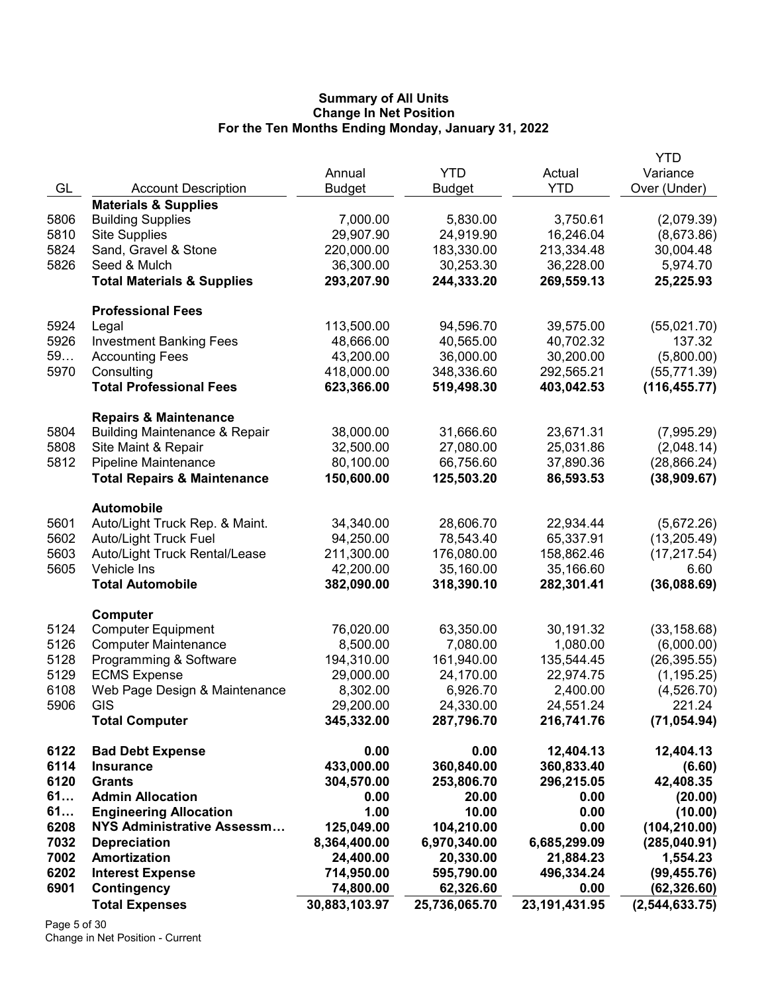|      |                                          |               |               |                  | <b>YTD</b>       |
|------|------------------------------------------|---------------|---------------|------------------|------------------|
|      |                                          | Annual        | <b>YTD</b>    | Actual           | Variance         |
| GL   | <b>Account Description</b>               | <b>Budget</b> | Budget        | <b>YTD</b>       | Over (Under)     |
|      | <b>Materials &amp; Supplies</b>          |               |               |                  |                  |
| 5806 | <b>Building Supplies</b>                 | 7,000.00      | 5,830.00      | 3,750.61         | (2,079.39)       |
| 5810 | <b>Site Supplies</b>                     | 29,907.90     | 24,919.90     | 16,246.04        | (8,673.86)       |
| 5824 | Sand, Gravel & Stone                     | 220,000.00    | 183,330.00    | 213,334.48       | 30,004.48        |
| 5826 | Seed & Mulch                             | 36,300.00     | 30,253.30     | 36,228.00        | 5,974.70         |
|      | <b>Total Materials &amp; Supplies</b>    | 293,207.90    | 244,333.20    | 269,559.13       | 25,225.93        |
|      | <b>Professional Fees</b>                 |               |               |                  |                  |
| 5924 | Legal                                    | 113,500.00    | 94,596.70     | 39,575.00        | (55,021.70)      |
| 5926 | <b>Investment Banking Fees</b>           | 48,666.00     | 40,565.00     | 40,702.32        | 137.32           |
| 59   | <b>Accounting Fees</b>                   | 43,200.00     | 36,000.00     | 30,200.00        | (5,800.00)       |
| 5970 | Consulting                               | 418,000.00    | 348,336.60    | 292,565.21       | (55, 771.39)     |
|      | <b>Total Professional Fees</b>           | 623,366.00    | 519,498.30    | 403,042.53       | (116, 455.77)    |
|      | <b>Repairs &amp; Maintenance</b>         |               |               |                  |                  |
| 5804 | <b>Building Maintenance &amp; Repair</b> | 38,000.00     | 31,666.60     | 23,671.31        | (7,995.29)       |
| 5808 | Site Maint & Repair                      | 32,500.00     | 27,080.00     | 25,031.86        | (2,048.14)       |
| 5812 | <b>Pipeline Maintenance</b>              | 80,100.00     | 66,756.60     | 37,890.36        | (28, 866.24)     |
|      | <b>Total Repairs &amp; Maintenance</b>   | 150,600.00    | 125,503.20    | 86,593.53        | (38,909.67)      |
|      | <b>Automobile</b>                        |               |               |                  |                  |
| 5601 | Auto/Light Truck Rep. & Maint.           | 34,340.00     | 28,606.70     | 22,934.44        | (5,672.26)       |
| 5602 | <b>Auto/Light Truck Fuel</b>             | 94,250.00     | 78,543.40     | 65,337.91        | (13, 205.49)     |
| 5603 | Auto/Light Truck Rental/Lease            | 211,300.00    | 176,080.00    | 158,862.46       | (17, 217.54)     |
| 5605 | Vehicle Ins                              | 42,200.00     | 35,160.00     | 35,166.60        | 6.60             |
|      | <b>Total Automobile</b>                  | 382,090.00    | 318,390.10    | 282,301.41       | (36,088.69)      |
|      | Computer                                 |               |               |                  |                  |
| 5124 | <b>Computer Equipment</b>                | 76,020.00     | 63,350.00     | 30,191.32        | (33, 158.68)     |
| 5126 | <b>Computer Maintenance</b>              | 8,500.00      | 7,080.00      | 1,080.00         | (6,000.00)       |
| 5128 | Programming & Software                   | 194,310.00    | 161,940.00    | 135,544.45       | (26, 395.55)     |
| 5129 | <b>ECMS Expense</b>                      | 29,000.00     | 24,170.00     | 22,974.75        | (1, 195.25)      |
| 6108 | Web Page Design & Maintenance            | 8,302.00      | 6,926.70      | 2,400.00         | (4,526.70)       |
| 5906 | GIS                                      | 29,200.00     | 24,330.00     | 24,551.24        | 221.24           |
|      | <b>Total Computer</b>                    | 345,332.00    | 287,796.70    | 216,741.76       | (71, 054.94)     |
| 6122 | <b>Bad Debt Expense</b>                  | 0.00          | 0.00          | 12,404.13        | 12,404.13        |
| 6114 | <b>Insurance</b>                         | 433,000.00    | 360,840.00    | 360,833.40       | (6.60)           |
| 6120 | <b>Grants</b>                            | 304,570.00    | 253,806.70    | 296,215.05       | 42,408.35        |
| 61   | <b>Admin Allocation</b>                  | 0.00          | 20.00         | 0.00             | (20.00)          |
| 61   | <b>Engineering Allocation</b>            | 1.00          | 10.00         | 0.00             | (10.00)          |
| 6208 | <b>NYS Administrative Assessm</b>        | 125,049.00    | 104,210.00    | 0.00             | (104, 210.00)    |
| 7032 | <b>Depreciation</b>                      | 8,364,400.00  | 6,970,340.00  | 6,685,299.09     | (285, 040.91)    |
| 7002 | Amortization                             | 24,400.00     | 20,330.00     | 21,884.23        | 1,554.23         |
| 6202 | <b>Interest Expense</b>                  | 714,950.00    | 595,790.00    | 496,334.24       | (99, 455.76)     |
| 6901 | <b>Contingency</b>                       | 74,800.00     | 62,326.60     | 0.00             | (62, 326.60)     |
|      | <b>Total Expenses</b>                    | 30,883,103.97 | 25,736,065.70 | 23, 191, 431. 95 | (2, 544, 633.75) |

Page 5 of 30 Change in Net Position - Current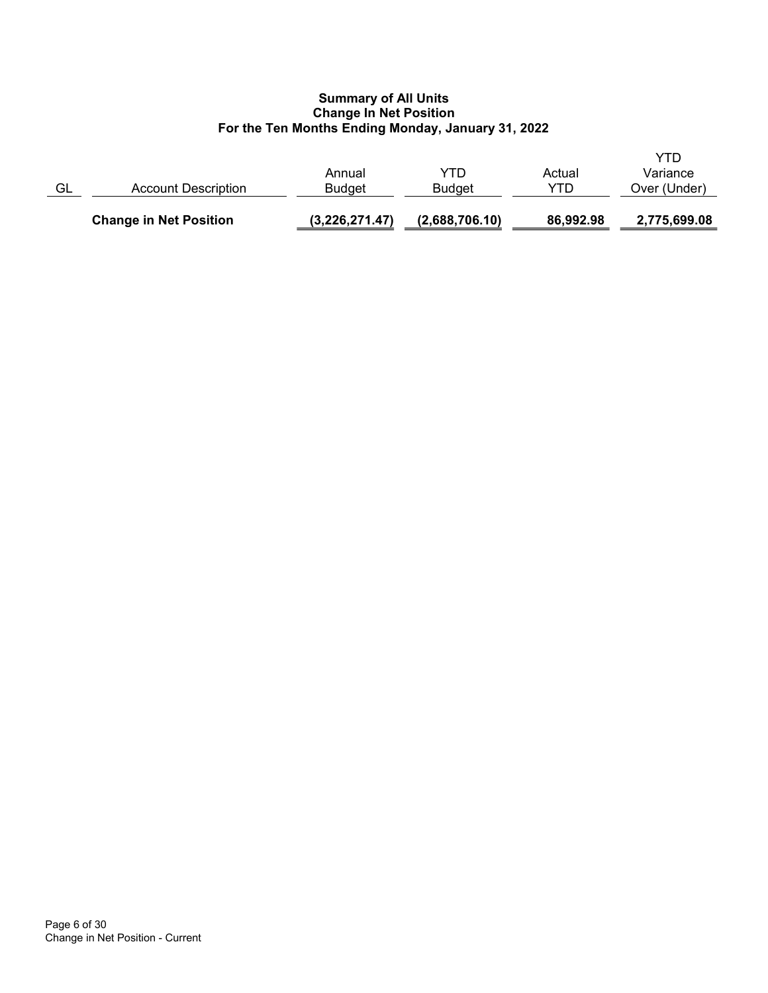|    | <b>Change in Net Position</b> | (3,226,271.47)          | (2,688,706.10)       | 86,992.98     | 2,775,699.08                    |
|----|-------------------------------|-------------------------|----------------------|---------------|---------------------------------|
| GL | Account Description           | Annual<br><b>Budget</b> | YTD<br><b>Budget</b> | Actual<br>YTD | YTD<br>Variance<br>Over (Under) |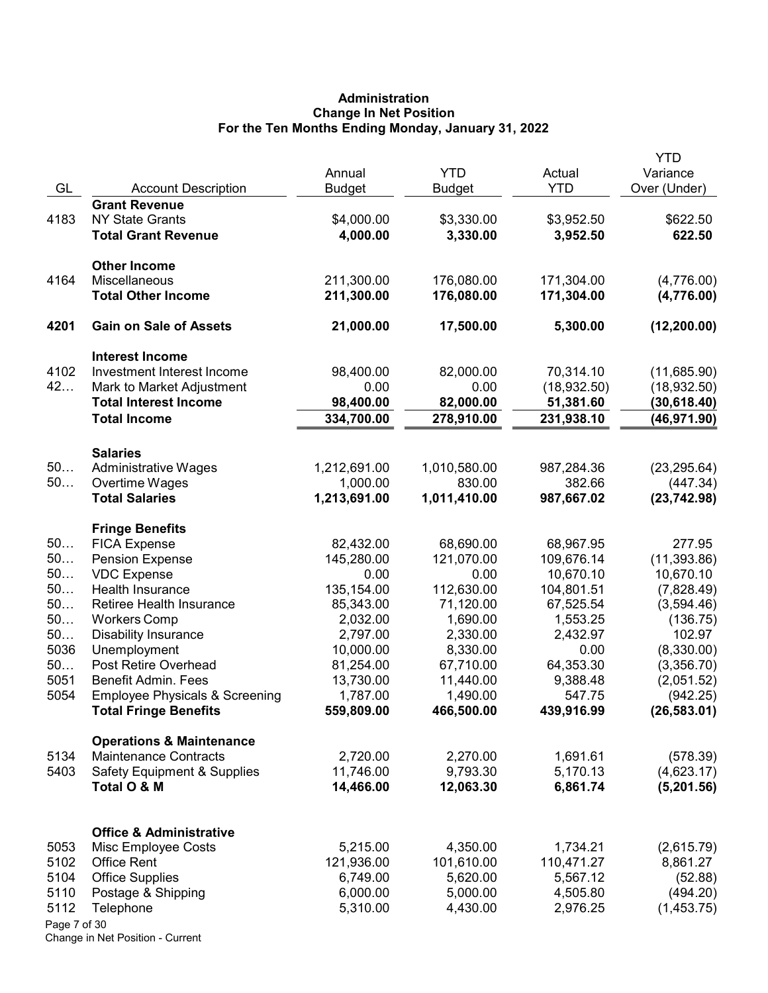# Administration Change In Net Position For the Ten Months Ending Monday, January 31, 2022

|              |                                           |                         |                             | Actual      | <b>YTD</b>               |
|--------------|-------------------------------------------|-------------------------|-----------------------------|-------------|--------------------------|
| GL           | <b>Account Description</b>                | Annual<br><b>Budget</b> | <b>YTD</b><br><b>Budget</b> | <b>YTD</b>  | Variance<br>Over (Under) |
|              | <b>Grant Revenue</b>                      |                         |                             |             |                          |
| 4183         | <b>NY State Grants</b>                    | \$4,000.00              | \$3,330.00                  | \$3,952.50  | \$622.50                 |
|              | <b>Total Grant Revenue</b>                | 4,000.00                | 3,330.00                    | 3,952.50    | 622.50                   |
|              |                                           |                         |                             |             |                          |
|              | <b>Other Income</b>                       |                         |                             |             |                          |
| 4164         | Miscellaneous                             | 211,300.00              | 176,080.00                  | 171,304.00  | (4,776.00)               |
|              | <b>Total Other Income</b>                 | 211,300.00              | 176,080.00                  | 171,304.00  | (4,776.00)               |
| 4201         | <b>Gain on Sale of Assets</b>             | 21,000.00               | 17,500.00                   | 5,300.00    | (12, 200.00)             |
|              | <b>Interest Income</b>                    |                         |                             |             |                          |
| 4102         | Investment Interest Income                | 98,400.00               | 82,000.00                   | 70,314.10   | (11,685.90)              |
| 42           | Mark to Market Adjustment                 | 0.00                    | 0.00                        | (18,932.50) | (18, 932.50)             |
|              | <b>Total Interest Income</b>              | 98,400.00               | 82,000.00                   | 51,381.60   | (30, 618.40)             |
|              | <b>Total Income</b>                       | 334,700.00              | 278,910.00                  | 231,938.10  | (46, 971.90)             |
|              | <b>Salaries</b>                           |                         |                             |             |                          |
| 50           | <b>Administrative Wages</b>               | 1,212,691.00            | 1,010,580.00                | 987,284.36  | (23, 295.64)             |
| 50           | Overtime Wages                            | 1,000.00                | 830.00                      | 382.66      | (447.34)                 |
|              | <b>Total Salaries</b>                     | 1,213,691.00            | 1,011,410.00                | 987,667.02  | (23, 742.98)             |
|              | <b>Fringe Benefits</b>                    |                         |                             |             |                          |
| 50           | <b>FICA Expense</b>                       | 82,432.00               | 68,690.00                   | 68,967.95   | 277.95                   |
| 50           | <b>Pension Expense</b>                    | 145,280.00              | 121,070.00                  | 109,676.14  | (11, 393.86)             |
| 50           | <b>VDC</b> Expense                        | 0.00                    | 0.00                        | 10,670.10   | 10,670.10                |
| 50           | Health Insurance                          | 135,154.00              | 112,630.00                  | 104,801.51  | (7,828.49)               |
| 50           | Retiree Health Insurance                  | 85,343.00               | 71,120.00                   | 67,525.54   | (3,594.46)               |
| 50           | <b>Workers Comp</b>                       | 2,032.00                | 1,690.00                    | 1,553.25    | (136.75)                 |
| 50           | <b>Disability Insurance</b>               | 2,797.00                | 2,330.00                    | 2,432.97    | 102.97                   |
| 5036         | Unemployment                              | 10,000.00               | 8,330.00                    | 0.00        | (8,330.00)               |
| 50           | Post Retire Overhead                      | 81,254.00               | 67,710.00                   | 64,353.30   | (3,356.70)               |
| 5051         | Benefit Admin. Fees                       | 13,730.00               | 11,440.00                   | 9,388.48    | (2,051.52)               |
| 5054         | <b>Employee Physicals &amp; Screening</b> | 1,787.00                | 1,490.00                    | 547.75      | (942.25)                 |
|              | <b>Total Fringe Benefits</b>              | 559,809.00              | 466,500.00                  | 439,916.99  | (26, 583.01)             |
|              | <b>Operations &amp; Maintenance</b>       |                         |                             |             |                          |
| 5134         | <b>Maintenance Contracts</b>              | 2,720.00                | 2,270.00                    | 1,691.61    | (578.39)                 |
| 5403         | <b>Safety Equipment &amp; Supplies</b>    | 11,746.00               | 9,793.30                    | 5,170.13    | (4,623.17)               |
|              | Total O & M                               | 14,466.00               | 12,063.30                   | 6,861.74    | (5,201.56)               |
|              | <b>Office &amp; Administrative</b>        |                         |                             |             |                          |
| 5053         | Misc Employee Costs                       | 5,215.00                | 4,350.00                    | 1,734.21    | (2,615.79)               |
| 5102         | <b>Office Rent</b>                        | 121,936.00              | 101,610.00                  | 110,471.27  | 8,861.27                 |
| 5104         | <b>Office Supplies</b>                    | 6,749.00                | 5,620.00                    | 5,567.12    | (52.88)                  |
| 5110         | Postage & Shipping                        | 6,000.00                | 5,000.00                    | 4,505.80    | (494.20)                 |
| 5112         | Telephone                                 | 5,310.00                | 4,430.00                    | 2,976.25    | (1,453.75)               |
| Page 7 of 30 |                                           |                         |                             |             |                          |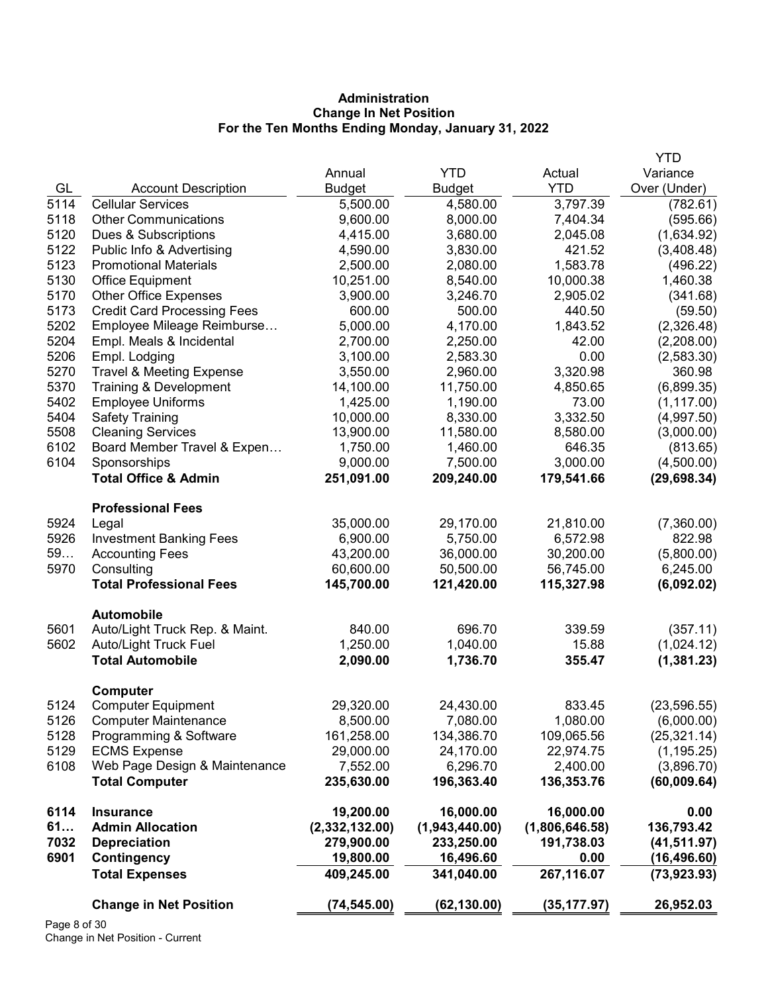# Administration Change In Net Position For the Ten Months Ending Monday, January 31, 2022

|              | <b>Change in Net Position</b>                     | (74, 545.00)         | (62, 130.00)         | (35, 177.97)       | 26,952.03                |
|--------------|---------------------------------------------------|----------------------|----------------------|--------------------|--------------------------|
|              | <b>Total Expenses</b>                             | 409,245.00           | 341,040.00           | 267,116.07         | (73, 923.93)             |
| 6901         | Contingency                                       | 19,800.00            | 16,496.60            | 0.00               | (16, 496.60)             |
| 7032         | <b>Depreciation</b>                               | 279,900.00           | 233,250.00           | 191,738.03         | (41, 511.97)             |
| 61           | <b>Admin Allocation</b>                           | (2,332,132.00)       | (1,943,440.00)       | (1,806,646.58)     | 136,793.42               |
| 6114         | <b>Insurance</b>                                  | 19,200.00            | 16,000.00            | 16,000.00          | 0.00                     |
|              | <b>Total Computer</b>                             | 235,630.00           | 196,363.40           | 136,353.76         | (60,009.64)              |
| 6108         | Web Page Design & Maintenance                     | 7,552.00             | 6,296.70             | 2,400.00           | (3,896.70)               |
| 5129         | <b>ECMS Expense</b>                               | 29,000.00            | 24,170.00            | 22,974.75          | (1, 195.25)              |
| 5128         | Programming & Software                            | 161,258.00           | 134,386.70           | 109,065.56         | (25, 321.14)             |
| 5126         | <b>Computer Maintenance</b>                       | 8,500.00             | 7,080.00             | 1,080.00           | (6,000.00)               |
| 5124         | <b>Computer Equipment</b>                         | 29,320.00            | 24,430.00            | 833.45             | (23, 596.55)             |
|              | Computer                                          |                      |                      |                    |                          |
|              | <b>Total Automobile</b>                           | 2,090.00             | 1,736.70             | 355.47             | (1, 381.23)              |
| 5602         | <b>Auto/Light Truck Fuel</b>                      | 1,250.00             | 1,040.00             | 15.88              | (1,024.12)               |
| 5601         | Auto/Light Truck Rep. & Maint.                    | 840.00               | 696.70               | 339.59             | (357.11)                 |
|              | <b>Automobile</b>                                 |                      |                      |                    |                          |
|              | <b>Total Professional Fees</b>                    | 145,700.00           | 121,420.00           | 115,327.98         | (6,092.02)               |
| 5970         | Consulting                                        | 60,600.00            | 50,500.00            | 56,745.00          | 6,245.00                 |
| 59           | <b>Accounting Fees</b>                            | 43,200.00            | 36,000.00            | 30,200.00          | (5,800.00)               |
| 5926         | <b>Investment Banking Fees</b>                    | 6,900.00             | 5,750.00             | 6,572.98           | 822.98                   |
| 5924         | Legal                                             | 35,000.00            | 29,170.00            | 21,810.00          | (7,360.00)               |
|              | <b>Professional Fees</b>                          |                      |                      |                    |                          |
|              | <b>Total Office &amp; Admin</b>                   | 251,091.00           | 209,240.00           | 179,541.66         | (29, 698.34)             |
| 6104         | Sponsorships                                      | 9,000.00             | 7,500.00             | 3,000.00           | (4,500.00)               |
| 6102         | Board Member Travel & Expen                       | 1,750.00             | 1,460.00             | 646.35             | (813.65)                 |
| 5508         | <b>Cleaning Services</b>                          | 13,900.00            | 11,580.00            | 8,580.00           | (3,000.00)               |
| 5404         | <b>Safety Training</b>                            | 10,000.00            | 8,330.00             | 3,332.50           | (4,997.50)               |
| 5402         | <b>Employee Uniforms</b>                          | 1,425.00             | 1,190.00             | 73.00              | (1, 117.00)              |
| 5370         | Training & Development                            | 14,100.00            | 11,750.00            | 4,850.65           | (6,899.35)               |
| 5270         | <b>Travel &amp; Meeting Expense</b>               | 3,550.00             | 2,960.00             | 3,320.98           | 360.98                   |
| 5206         | Empl. Lodging                                     | 3,100.00             | 2,583.30             | 0.00               | (2,583.30)               |
| 5204         | Empl. Meals & Incidental                          | 2,700.00             | 2,250.00             | 42.00              | (2,208.00)               |
| 5202         | Employee Mileage Reimburse                        | 5,000.00             | 4,170.00             | 1,843.52           | (2,326.48)               |
| 5173         | <b>Credit Card Processing Fees</b>                | 600.00               | 500.00               | 440.50             | (59.50)                  |
| 5170         | <b>Other Office Expenses</b>                      | 3,900.00             | 3,246.70             | 2,905.02           | (341.68)                 |
| 5130         | Office Equipment                                  | 10,251.00            | 8,540.00             | 10,000.38          | 1,460.38                 |
| 5123         | <b>Promotional Materials</b>                      | 2,500.00             | 2,080.00             | 1,583.78           | (496.22)                 |
| 5122         | Dues & Subscriptions<br>Public Info & Advertising | 4,415.00<br>4,590.00 | 3,830.00             | 2,045.08<br>421.52 | (1,634.92)<br>(3,408.48) |
| 5120         | <b>Other Communications</b>                       | 9,600.00             | 8,000.00<br>3,680.00 | 7,404.34           | (595.66)                 |
| 5114<br>5118 | <b>Cellular Services</b>                          | 5,500.00             | 4,580.00             | 3,797.39           | (782.61)                 |
| GL           | <b>Account Description</b>                        | <b>Budget</b>        | <b>Budget</b>        | <b>YTD</b>         | Over (Under)             |
|              |                                                   | Annual               | <b>YTD</b>           | Actual             | Variance                 |
|              |                                                   |                      |                      |                    | <b>YTD</b>               |

Page 8 of 30 Change in Net Position - Current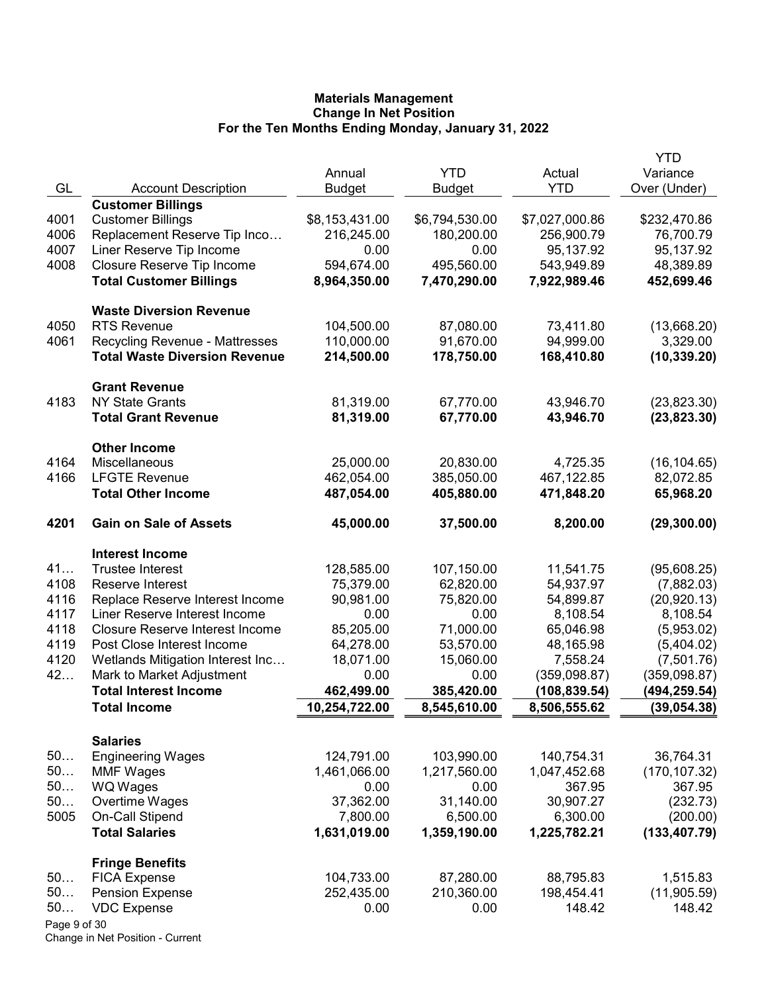|              |                                        |                |                |                | <b>YTD</b>    |
|--------------|----------------------------------------|----------------|----------------|----------------|---------------|
|              |                                        | Annual         | <b>YTD</b>     | Actual         | Variance      |
| GL           | <b>Account Description</b>             | <b>Budget</b>  | <b>Budget</b>  | <b>YTD</b>     | Over (Under)  |
|              | <b>Customer Billings</b>               |                |                |                |               |
| 4001         | <b>Customer Billings</b>               | \$8,153,431.00 | \$6,794,530.00 | \$7,027,000.86 | \$232,470.86  |
| 4006         | Replacement Reserve Tip Inco           | 216,245.00     | 180,200.00     | 256,900.79     | 76,700.79     |
| 4007         | Liner Reserve Tip Income               | 0.00           | 0.00           | 95,137.92      | 95,137.92     |
| 4008         | Closure Reserve Tip Income             | 594,674.00     | 495,560.00     | 543,949.89     | 48,389.89     |
|              | <b>Total Customer Billings</b>         | 8,964,350.00   | 7,470,290.00   | 7,922,989.46   | 452,699.46    |
|              | <b>Waste Diversion Revenue</b>         |                |                |                |               |
| 4050         | <b>RTS Revenue</b>                     | 104,500.00     | 87,080.00      | 73,411.80      | (13,668.20)   |
| 4061         | <b>Recycling Revenue - Mattresses</b>  | 110,000.00     | 91,670.00      | 94,999.00      | 3,329.00      |
|              | <b>Total Waste Diversion Revenue</b>   | 214,500.00     | 178,750.00     | 168,410.80     | (10, 339.20)  |
|              | <b>Grant Revenue</b>                   |                |                |                |               |
| 4183         | <b>NY State Grants</b>                 | 81,319.00      | 67,770.00      | 43,946.70      | (23,823.30)   |
|              | <b>Total Grant Revenue</b>             | 81,319.00      | 67,770.00      | 43,946.70      | (23,823.30)   |
|              | <b>Other Income</b>                    |                |                |                |               |
| 4164         | Miscellaneous                          | 25,000.00      | 20,830.00      | 4,725.35       | (16, 104.65)  |
| 4166         | <b>LFGTE Revenue</b>                   | 462,054.00     | 385,050.00     | 467,122.85     | 82,072.85     |
|              | <b>Total Other Income</b>              | 487,054.00     | 405,880.00     | 471,848.20     | 65,968.20     |
| 4201         | <b>Gain on Sale of Assets</b>          | 45,000.00      | 37,500.00      | 8,200.00       | (29, 300.00)  |
|              | <b>Interest Income</b>                 |                |                |                |               |
| 41           | <b>Trustee Interest</b>                | 128,585.00     | 107,150.00     | 11,541.75      | (95,608.25)   |
| 4108         | Reserve Interest                       | 75,379.00      | 62,820.00      | 54,937.97      | (7,882.03)    |
| 4116         | Replace Reserve Interest Income        | 90,981.00      | 75,820.00      | 54,899.87      | (20, 920.13)  |
| 4117         | Liner Reserve Interest Income          | 0.00           | 0.00           | 8,108.54       | 8,108.54      |
| 4118         | <b>Closure Reserve Interest Income</b> | 85,205.00      | 71,000.00      | 65,046.98      | (5,953.02)    |
| 4119         | Post Close Interest Income             | 64,278.00      | 53,570.00      | 48,165.98      | (5,404.02)    |
| 4120         | Wetlands Mitigation Interest Inc       | 18,071.00      | 15,060.00      | 7,558.24       | (7,501.76)    |
| 42           | Mark to Market Adjustment              | 0.00           | 0.00           | (359, 098.87)  | (359,098.87)  |
|              | <b>Total Interest Income</b>           | 462,499.00     | 385,420.00     | (108, 839.54)  | (494,259.54)  |
|              | <b>Total Income</b>                    | 10,254,722.00  | 8,545,610.00   | 8,506,555.62   | (39, 054.38)  |
|              | <b>Salaries</b>                        |                |                |                |               |
| 50           | <b>Engineering Wages</b>               | 124,791.00     | 103,990.00     | 140,754.31     | 36,764.31     |
| 50           | <b>MMF Wages</b>                       | 1,461,066.00   | 1,217,560.00   | 1,047,452.68   | (170, 107.32) |
| 50           | WQ Wages                               | 0.00           | 0.00           | 367.95         | 367.95        |
| 50           | Overtime Wages                         | 37,362.00      | 31,140.00      | 30,907.27      | (232.73)      |
| 5005         | On-Call Stipend                        | 7,800.00       | 6,500.00       | 6,300.00       | (200.00)      |
|              | <b>Total Salaries</b>                  | 1,631,019.00   | 1,359,190.00   | 1,225,782.21   | (133, 407.79) |
|              | <b>Fringe Benefits</b>                 |                |                |                |               |
| 50           | <b>FICA Expense</b>                    | 104,733.00     | 87,280.00      | 88,795.83      | 1,515.83      |
| 50           | <b>Pension Expense</b>                 | 252,435.00     | 210,360.00     | 198,454.41     | (11,905.59)   |
| 50           | <b>VDC Expense</b>                     | 0.00           | 0.00           | 148.42         | 148.42        |
| Page 9 of 30 |                                        |                |                |                |               |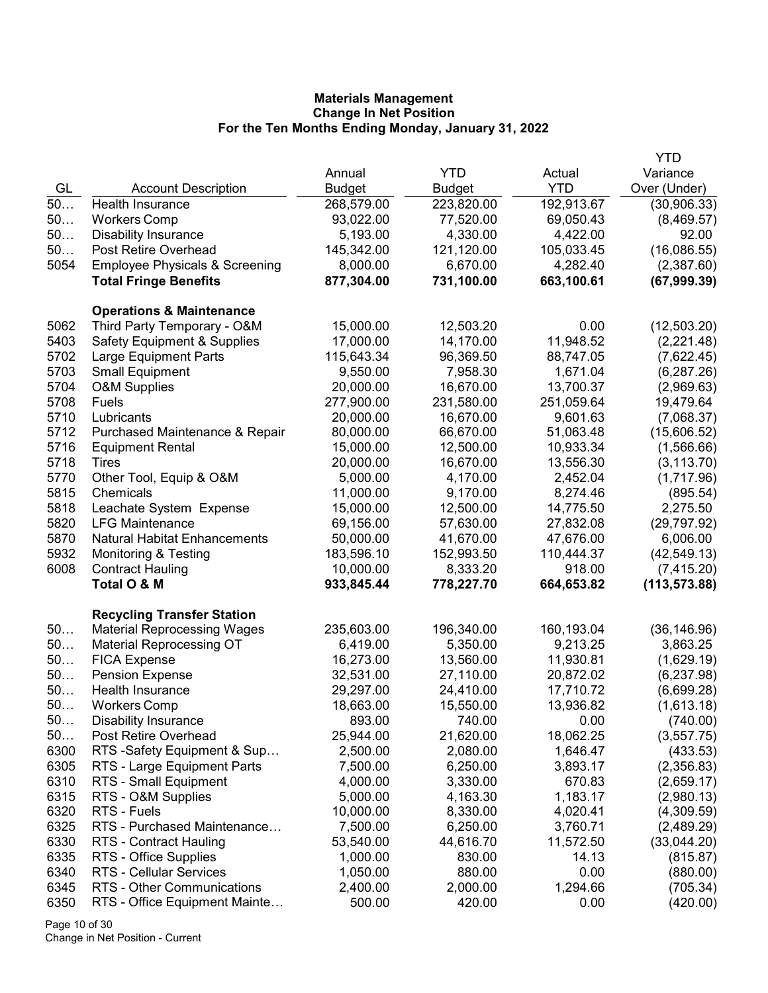| <b>YTD</b><br>Variance<br>Annual<br>Actual<br>GL<br><b>YTD</b><br>Over (Under)<br><b>Account Description</b><br><b>Budget</b><br>Budget<br>$50$<br>Health Insurance<br>268,579.00<br>223,820.00<br>192,913.67<br>(30,906.33)<br>50<br>93,022.00<br>77,520.00<br>69,050.43<br>(8,469.57)<br><b>Workers Comp</b><br>50<br>4,422.00<br>5,193.00<br>4,330.00<br>92.00<br><b>Disability Insurance</b><br>50<br>(16,086.55)<br>Post Retire Overhead<br>145,342.00<br>121,120.00<br>105,033.45<br>5054<br><b>Employee Physicals &amp; Screening</b><br>8,000.00<br>6,670.00<br>4,282.40<br>(2,387.60)<br>877,304.00<br>731,100.00<br>663,100.61<br>(67,999.39)<br><b>Total Fringe Benefits</b><br><b>Operations &amp; Maintenance</b><br>5062<br>Third Party Temporary - O&M<br>15,000.00<br>12,503.20<br>0.00<br>(12,503.20)<br>5403<br>17,000.00<br>14,170.00<br>11,948.52<br>(2,221.48)<br><b>Safety Equipment &amp; Supplies</b><br>5702<br><b>Large Equipment Parts</b><br>115,643.34<br>96,369.50<br>88,747.05<br>(7,622.45)<br>5703<br>9,550.00<br>7,958.30<br>1,671.04<br><b>Small Equipment</b><br>(6, 287.26)<br>5704<br>20,000.00<br>16,670.00<br>13,700.37<br>O&M Supplies<br>(2,969.63)<br>5708<br>277,900.00<br>231,580.00<br>251,059.64<br>19,479.64<br>Fuels<br>5710<br>20,000.00<br>16,670.00<br>9,601.63<br>Lubricants<br>(7,068.37)<br>5712<br>80,000.00<br>66,670.00<br>51,063.48<br>Purchased Maintenance & Repair<br>(15,606.52)<br>5716<br>15,000.00<br>12,500.00<br>10,933.34<br>(1,566.66)<br><b>Equipment Rental</b><br>5718<br>20,000.00<br>16,670.00<br>13,556.30<br>(3, 113.70)<br><b>Tires</b><br>5770<br>Other Tool, Equip & O&M<br>5,000.00<br>4,170.00<br>2,452.04<br>(1,717.96)<br>5815<br>9,170.00<br>8,274.46<br>Chemicals<br>11,000.00<br>(895.54)<br>5818<br>Leachate System Expense<br>15,000.00<br>12,500.00<br>14,775.50<br>2,275.50<br>5820<br>69,156.00<br>57,630.00<br><b>LFG Maintenance</b><br>27,832.08<br>(29, 797.92)<br>5870<br>41,670.00<br>47,676.00<br><b>Natural Habitat Enhancements</b><br>50,000.00<br>6,006.00<br>5932<br>110,444.37<br><b>Monitoring &amp; Testing</b><br>183,596.10<br>152,993.50<br>(42, 549.13)<br>6008<br>10,000.00<br>918.00<br><b>Contract Hauling</b><br>8,333.20<br>(7, 415.20)<br>664,653.82<br>Total O & M<br>933,845.44<br>778,227.70<br>(113, 573.88)<br><b>Recycling Transfer Station</b><br>50<br>235,603.00<br>160,193.04<br><b>Material Reprocessing Wages</b><br>196,340.00<br>(36, 146.96)<br>50<br><b>Material Reprocessing OT</b><br>6,419.00<br>5,350.00<br>9,213.25<br>3,863.25<br>50<br><b>FICA Expense</b><br>16,273.00<br>13,560.00<br>11,930.81<br>(1,629.19)<br>50<br>32,531.00<br>(6, 237.98)<br><b>Pension Expense</b><br>27,110.00<br>20,872.02<br>50<br>Health Insurance<br>29,297.00<br>24,410.00<br>17,710.72<br>(6,699.28)<br>50<br><b>Workers Comp</b><br>18,663.00<br>15,550.00<br>13,936.82<br>(1,613.18)<br>50<br><b>Disability Insurance</b><br>893.00<br>740.00<br>0.00<br>(740.00)<br>50<br>Post Retire Overhead<br>21,620.00<br>18,062.25<br>(3,557.75)<br>25,944.00<br>6300<br>2,080.00<br>(433.53)<br>RTS -Safety Equipment & Sup<br>2,500.00<br>1,646.47<br>6305<br>RTS - Large Equipment Parts<br>7,500.00<br>6,250.00<br>3,893.17<br>(2,356.83)<br>6310<br>3,330.00<br>(2,659.17)<br>RTS - Small Equipment<br>4,000.00<br>670.83<br>6315<br>1,183.17<br>(2,980.13)<br>RTS - O&M Supplies<br>5,000.00<br>4,163.30<br>6320<br>(4,309.59)<br>RTS - Fuels<br>10,000.00<br>8,330.00<br>4,020.41<br>6325<br>RTS - Purchased Maintenance<br>3,760.71<br>7,500.00<br>6,250.00<br>(2,489.29)<br>6330<br>44,616.70<br>11,572.50<br>(33,044.20)<br><b>RTS - Contract Hauling</b><br>53,540.00<br>6335<br>RTS - Office Supplies<br>1,000.00<br>830.00<br>14.13<br>(815.87)<br>6340<br>(880.00)<br>RTS - Cellular Services<br>1,050.00<br>880.00<br>0.00<br>6345<br>RTS - Other Communications<br>1,294.66<br>(705.34)<br>2,400.00<br>2,000.00<br>6350<br>RTS - Office Equipment Mainte<br>420.00<br>(420.00)<br>500.00<br>0.00 |  |  | YTD |
|---------------------------------------------------------------------------------------------------------------------------------------------------------------------------------------------------------------------------------------------------------------------------------------------------------------------------------------------------------------------------------------------------------------------------------------------------------------------------------------------------------------------------------------------------------------------------------------------------------------------------------------------------------------------------------------------------------------------------------------------------------------------------------------------------------------------------------------------------------------------------------------------------------------------------------------------------------------------------------------------------------------------------------------------------------------------------------------------------------------------------------------------------------------------------------------------------------------------------------------------------------------------------------------------------------------------------------------------------------------------------------------------------------------------------------------------------------------------------------------------------------------------------------------------------------------------------------------------------------------------------------------------------------------------------------------------------------------------------------------------------------------------------------------------------------------------------------------------------------------------------------------------------------------------------------------------------------------------------------------------------------------------------------------------------------------------------------------------------------------------------------------------------------------------------------------------------------------------------------------------------------------------------------------------------------------------------------------------------------------------------------------------------------------------------------------------------------------------------------------------------------------------------------------------------------------------------------------------------------------------------------------------------------------------------------------------------------------------------------------------------------------------------------------------------------------------------------------------------------------------------------------------------------------------------------------------------------------------------------------------------------------------------------------------------------------------------------------------------------------------------------------------------------------------------------------------------------------------------------------------------------------------------------------------------------------------------------------------------------------------------------------------------------------------------------------------------------------------------------------------------------------------------------------------------------------------------------------------------------------------------------------------------------------------------------------------------------------------------------------------------------------------------------------------------------------------------------------------------------------------------------------------------------------------------------------------------------------------------------------------------------------------------------------|--|--|-----|
|                                                                                                                                                                                                                                                                                                                                                                                                                                                                                                                                                                                                                                                                                                                                                                                                                                                                                                                                                                                                                                                                                                                                                                                                                                                                                                                                                                                                                                                                                                                                                                                                                                                                                                                                                                                                                                                                                                                                                                                                                                                                                                                                                                                                                                                                                                                                                                                                                                                                                                                                                                                                                                                                                                                                                                                                                                                                                                                                                                                                                                                                                                                                                                                                                                                                                                                                                                                                                                                                                                                                                                                                                                                                                                                                                                                                                                                                                                                                                                                                                                       |  |  |     |
|                                                                                                                                                                                                                                                                                                                                                                                                                                                                                                                                                                                                                                                                                                                                                                                                                                                                                                                                                                                                                                                                                                                                                                                                                                                                                                                                                                                                                                                                                                                                                                                                                                                                                                                                                                                                                                                                                                                                                                                                                                                                                                                                                                                                                                                                                                                                                                                                                                                                                                                                                                                                                                                                                                                                                                                                                                                                                                                                                                                                                                                                                                                                                                                                                                                                                                                                                                                                                                                                                                                                                                                                                                                                                                                                                                                                                                                                                                                                                                                                                                       |  |  |     |
|                                                                                                                                                                                                                                                                                                                                                                                                                                                                                                                                                                                                                                                                                                                                                                                                                                                                                                                                                                                                                                                                                                                                                                                                                                                                                                                                                                                                                                                                                                                                                                                                                                                                                                                                                                                                                                                                                                                                                                                                                                                                                                                                                                                                                                                                                                                                                                                                                                                                                                                                                                                                                                                                                                                                                                                                                                                                                                                                                                                                                                                                                                                                                                                                                                                                                                                                                                                                                                                                                                                                                                                                                                                                                                                                                                                                                                                                                                                                                                                                                                       |  |  |     |
|                                                                                                                                                                                                                                                                                                                                                                                                                                                                                                                                                                                                                                                                                                                                                                                                                                                                                                                                                                                                                                                                                                                                                                                                                                                                                                                                                                                                                                                                                                                                                                                                                                                                                                                                                                                                                                                                                                                                                                                                                                                                                                                                                                                                                                                                                                                                                                                                                                                                                                                                                                                                                                                                                                                                                                                                                                                                                                                                                                                                                                                                                                                                                                                                                                                                                                                                                                                                                                                                                                                                                                                                                                                                                                                                                                                                                                                                                                                                                                                                                                       |  |  |     |
|                                                                                                                                                                                                                                                                                                                                                                                                                                                                                                                                                                                                                                                                                                                                                                                                                                                                                                                                                                                                                                                                                                                                                                                                                                                                                                                                                                                                                                                                                                                                                                                                                                                                                                                                                                                                                                                                                                                                                                                                                                                                                                                                                                                                                                                                                                                                                                                                                                                                                                                                                                                                                                                                                                                                                                                                                                                                                                                                                                                                                                                                                                                                                                                                                                                                                                                                                                                                                                                                                                                                                                                                                                                                                                                                                                                                                                                                                                                                                                                                                                       |  |  |     |
|                                                                                                                                                                                                                                                                                                                                                                                                                                                                                                                                                                                                                                                                                                                                                                                                                                                                                                                                                                                                                                                                                                                                                                                                                                                                                                                                                                                                                                                                                                                                                                                                                                                                                                                                                                                                                                                                                                                                                                                                                                                                                                                                                                                                                                                                                                                                                                                                                                                                                                                                                                                                                                                                                                                                                                                                                                                                                                                                                                                                                                                                                                                                                                                                                                                                                                                                                                                                                                                                                                                                                                                                                                                                                                                                                                                                                                                                                                                                                                                                                                       |  |  |     |
|                                                                                                                                                                                                                                                                                                                                                                                                                                                                                                                                                                                                                                                                                                                                                                                                                                                                                                                                                                                                                                                                                                                                                                                                                                                                                                                                                                                                                                                                                                                                                                                                                                                                                                                                                                                                                                                                                                                                                                                                                                                                                                                                                                                                                                                                                                                                                                                                                                                                                                                                                                                                                                                                                                                                                                                                                                                                                                                                                                                                                                                                                                                                                                                                                                                                                                                                                                                                                                                                                                                                                                                                                                                                                                                                                                                                                                                                                                                                                                                                                                       |  |  |     |
|                                                                                                                                                                                                                                                                                                                                                                                                                                                                                                                                                                                                                                                                                                                                                                                                                                                                                                                                                                                                                                                                                                                                                                                                                                                                                                                                                                                                                                                                                                                                                                                                                                                                                                                                                                                                                                                                                                                                                                                                                                                                                                                                                                                                                                                                                                                                                                                                                                                                                                                                                                                                                                                                                                                                                                                                                                                                                                                                                                                                                                                                                                                                                                                                                                                                                                                                                                                                                                                                                                                                                                                                                                                                                                                                                                                                                                                                                                                                                                                                                                       |  |  |     |
|                                                                                                                                                                                                                                                                                                                                                                                                                                                                                                                                                                                                                                                                                                                                                                                                                                                                                                                                                                                                                                                                                                                                                                                                                                                                                                                                                                                                                                                                                                                                                                                                                                                                                                                                                                                                                                                                                                                                                                                                                                                                                                                                                                                                                                                                                                                                                                                                                                                                                                                                                                                                                                                                                                                                                                                                                                                                                                                                                                                                                                                                                                                                                                                                                                                                                                                                                                                                                                                                                                                                                                                                                                                                                                                                                                                                                                                                                                                                                                                                                                       |  |  |     |
|                                                                                                                                                                                                                                                                                                                                                                                                                                                                                                                                                                                                                                                                                                                                                                                                                                                                                                                                                                                                                                                                                                                                                                                                                                                                                                                                                                                                                                                                                                                                                                                                                                                                                                                                                                                                                                                                                                                                                                                                                                                                                                                                                                                                                                                                                                                                                                                                                                                                                                                                                                                                                                                                                                                                                                                                                                                                                                                                                                                                                                                                                                                                                                                                                                                                                                                                                                                                                                                                                                                                                                                                                                                                                                                                                                                                                                                                                                                                                                                                                                       |  |  |     |
|                                                                                                                                                                                                                                                                                                                                                                                                                                                                                                                                                                                                                                                                                                                                                                                                                                                                                                                                                                                                                                                                                                                                                                                                                                                                                                                                                                                                                                                                                                                                                                                                                                                                                                                                                                                                                                                                                                                                                                                                                                                                                                                                                                                                                                                                                                                                                                                                                                                                                                                                                                                                                                                                                                                                                                                                                                                                                                                                                                                                                                                                                                                                                                                                                                                                                                                                                                                                                                                                                                                                                                                                                                                                                                                                                                                                                                                                                                                                                                                                                                       |  |  |     |
|                                                                                                                                                                                                                                                                                                                                                                                                                                                                                                                                                                                                                                                                                                                                                                                                                                                                                                                                                                                                                                                                                                                                                                                                                                                                                                                                                                                                                                                                                                                                                                                                                                                                                                                                                                                                                                                                                                                                                                                                                                                                                                                                                                                                                                                                                                                                                                                                                                                                                                                                                                                                                                                                                                                                                                                                                                                                                                                                                                                                                                                                                                                                                                                                                                                                                                                                                                                                                                                                                                                                                                                                                                                                                                                                                                                                                                                                                                                                                                                                                                       |  |  |     |
|                                                                                                                                                                                                                                                                                                                                                                                                                                                                                                                                                                                                                                                                                                                                                                                                                                                                                                                                                                                                                                                                                                                                                                                                                                                                                                                                                                                                                                                                                                                                                                                                                                                                                                                                                                                                                                                                                                                                                                                                                                                                                                                                                                                                                                                                                                                                                                                                                                                                                                                                                                                                                                                                                                                                                                                                                                                                                                                                                                                                                                                                                                                                                                                                                                                                                                                                                                                                                                                                                                                                                                                                                                                                                                                                                                                                                                                                                                                                                                                                                                       |  |  |     |
|                                                                                                                                                                                                                                                                                                                                                                                                                                                                                                                                                                                                                                                                                                                                                                                                                                                                                                                                                                                                                                                                                                                                                                                                                                                                                                                                                                                                                                                                                                                                                                                                                                                                                                                                                                                                                                                                                                                                                                                                                                                                                                                                                                                                                                                                                                                                                                                                                                                                                                                                                                                                                                                                                                                                                                                                                                                                                                                                                                                                                                                                                                                                                                                                                                                                                                                                                                                                                                                                                                                                                                                                                                                                                                                                                                                                                                                                                                                                                                                                                                       |  |  |     |
|                                                                                                                                                                                                                                                                                                                                                                                                                                                                                                                                                                                                                                                                                                                                                                                                                                                                                                                                                                                                                                                                                                                                                                                                                                                                                                                                                                                                                                                                                                                                                                                                                                                                                                                                                                                                                                                                                                                                                                                                                                                                                                                                                                                                                                                                                                                                                                                                                                                                                                                                                                                                                                                                                                                                                                                                                                                                                                                                                                                                                                                                                                                                                                                                                                                                                                                                                                                                                                                                                                                                                                                                                                                                                                                                                                                                                                                                                                                                                                                                                                       |  |  |     |
|                                                                                                                                                                                                                                                                                                                                                                                                                                                                                                                                                                                                                                                                                                                                                                                                                                                                                                                                                                                                                                                                                                                                                                                                                                                                                                                                                                                                                                                                                                                                                                                                                                                                                                                                                                                                                                                                                                                                                                                                                                                                                                                                                                                                                                                                                                                                                                                                                                                                                                                                                                                                                                                                                                                                                                                                                                                                                                                                                                                                                                                                                                                                                                                                                                                                                                                                                                                                                                                                                                                                                                                                                                                                                                                                                                                                                                                                                                                                                                                                                                       |  |  |     |
|                                                                                                                                                                                                                                                                                                                                                                                                                                                                                                                                                                                                                                                                                                                                                                                                                                                                                                                                                                                                                                                                                                                                                                                                                                                                                                                                                                                                                                                                                                                                                                                                                                                                                                                                                                                                                                                                                                                                                                                                                                                                                                                                                                                                                                                                                                                                                                                                                                                                                                                                                                                                                                                                                                                                                                                                                                                                                                                                                                                                                                                                                                                                                                                                                                                                                                                                                                                                                                                                                                                                                                                                                                                                                                                                                                                                                                                                                                                                                                                                                                       |  |  |     |
|                                                                                                                                                                                                                                                                                                                                                                                                                                                                                                                                                                                                                                                                                                                                                                                                                                                                                                                                                                                                                                                                                                                                                                                                                                                                                                                                                                                                                                                                                                                                                                                                                                                                                                                                                                                                                                                                                                                                                                                                                                                                                                                                                                                                                                                                                                                                                                                                                                                                                                                                                                                                                                                                                                                                                                                                                                                                                                                                                                                                                                                                                                                                                                                                                                                                                                                                                                                                                                                                                                                                                                                                                                                                                                                                                                                                                                                                                                                                                                                                                                       |  |  |     |
|                                                                                                                                                                                                                                                                                                                                                                                                                                                                                                                                                                                                                                                                                                                                                                                                                                                                                                                                                                                                                                                                                                                                                                                                                                                                                                                                                                                                                                                                                                                                                                                                                                                                                                                                                                                                                                                                                                                                                                                                                                                                                                                                                                                                                                                                                                                                                                                                                                                                                                                                                                                                                                                                                                                                                                                                                                                                                                                                                                                                                                                                                                                                                                                                                                                                                                                                                                                                                                                                                                                                                                                                                                                                                                                                                                                                                                                                                                                                                                                                                                       |  |  |     |
|                                                                                                                                                                                                                                                                                                                                                                                                                                                                                                                                                                                                                                                                                                                                                                                                                                                                                                                                                                                                                                                                                                                                                                                                                                                                                                                                                                                                                                                                                                                                                                                                                                                                                                                                                                                                                                                                                                                                                                                                                                                                                                                                                                                                                                                                                                                                                                                                                                                                                                                                                                                                                                                                                                                                                                                                                                                                                                                                                                                                                                                                                                                                                                                                                                                                                                                                                                                                                                                                                                                                                                                                                                                                                                                                                                                                                                                                                                                                                                                                                                       |  |  |     |
|                                                                                                                                                                                                                                                                                                                                                                                                                                                                                                                                                                                                                                                                                                                                                                                                                                                                                                                                                                                                                                                                                                                                                                                                                                                                                                                                                                                                                                                                                                                                                                                                                                                                                                                                                                                                                                                                                                                                                                                                                                                                                                                                                                                                                                                                                                                                                                                                                                                                                                                                                                                                                                                                                                                                                                                                                                                                                                                                                                                                                                                                                                                                                                                                                                                                                                                                                                                                                                                                                                                                                                                                                                                                                                                                                                                                                                                                                                                                                                                                                                       |  |  |     |
|                                                                                                                                                                                                                                                                                                                                                                                                                                                                                                                                                                                                                                                                                                                                                                                                                                                                                                                                                                                                                                                                                                                                                                                                                                                                                                                                                                                                                                                                                                                                                                                                                                                                                                                                                                                                                                                                                                                                                                                                                                                                                                                                                                                                                                                                                                                                                                                                                                                                                                                                                                                                                                                                                                                                                                                                                                                                                                                                                                                                                                                                                                                                                                                                                                                                                                                                                                                                                                                                                                                                                                                                                                                                                                                                                                                                                                                                                                                                                                                                                                       |  |  |     |
|                                                                                                                                                                                                                                                                                                                                                                                                                                                                                                                                                                                                                                                                                                                                                                                                                                                                                                                                                                                                                                                                                                                                                                                                                                                                                                                                                                                                                                                                                                                                                                                                                                                                                                                                                                                                                                                                                                                                                                                                                                                                                                                                                                                                                                                                                                                                                                                                                                                                                                                                                                                                                                                                                                                                                                                                                                                                                                                                                                                                                                                                                                                                                                                                                                                                                                                                                                                                                                                                                                                                                                                                                                                                                                                                                                                                                                                                                                                                                                                                                                       |  |  |     |
|                                                                                                                                                                                                                                                                                                                                                                                                                                                                                                                                                                                                                                                                                                                                                                                                                                                                                                                                                                                                                                                                                                                                                                                                                                                                                                                                                                                                                                                                                                                                                                                                                                                                                                                                                                                                                                                                                                                                                                                                                                                                                                                                                                                                                                                                                                                                                                                                                                                                                                                                                                                                                                                                                                                                                                                                                                                                                                                                                                                                                                                                                                                                                                                                                                                                                                                                                                                                                                                                                                                                                                                                                                                                                                                                                                                                                                                                                                                                                                                                                                       |  |  |     |
|                                                                                                                                                                                                                                                                                                                                                                                                                                                                                                                                                                                                                                                                                                                                                                                                                                                                                                                                                                                                                                                                                                                                                                                                                                                                                                                                                                                                                                                                                                                                                                                                                                                                                                                                                                                                                                                                                                                                                                                                                                                                                                                                                                                                                                                                                                                                                                                                                                                                                                                                                                                                                                                                                                                                                                                                                                                                                                                                                                                                                                                                                                                                                                                                                                                                                                                                                                                                                                                                                                                                                                                                                                                                                                                                                                                                                                                                                                                                                                                                                                       |  |  |     |
|                                                                                                                                                                                                                                                                                                                                                                                                                                                                                                                                                                                                                                                                                                                                                                                                                                                                                                                                                                                                                                                                                                                                                                                                                                                                                                                                                                                                                                                                                                                                                                                                                                                                                                                                                                                                                                                                                                                                                                                                                                                                                                                                                                                                                                                                                                                                                                                                                                                                                                                                                                                                                                                                                                                                                                                                                                                                                                                                                                                                                                                                                                                                                                                                                                                                                                                                                                                                                                                                                                                                                                                                                                                                                                                                                                                                                                                                                                                                                                                                                                       |  |  |     |
|                                                                                                                                                                                                                                                                                                                                                                                                                                                                                                                                                                                                                                                                                                                                                                                                                                                                                                                                                                                                                                                                                                                                                                                                                                                                                                                                                                                                                                                                                                                                                                                                                                                                                                                                                                                                                                                                                                                                                                                                                                                                                                                                                                                                                                                                                                                                                                                                                                                                                                                                                                                                                                                                                                                                                                                                                                                                                                                                                                                                                                                                                                                                                                                                                                                                                                                                                                                                                                                                                                                                                                                                                                                                                                                                                                                                                                                                                                                                                                                                                                       |  |  |     |
|                                                                                                                                                                                                                                                                                                                                                                                                                                                                                                                                                                                                                                                                                                                                                                                                                                                                                                                                                                                                                                                                                                                                                                                                                                                                                                                                                                                                                                                                                                                                                                                                                                                                                                                                                                                                                                                                                                                                                                                                                                                                                                                                                                                                                                                                                                                                                                                                                                                                                                                                                                                                                                                                                                                                                                                                                                                                                                                                                                                                                                                                                                                                                                                                                                                                                                                                                                                                                                                                                                                                                                                                                                                                                                                                                                                                                                                                                                                                                                                                                                       |  |  |     |
|                                                                                                                                                                                                                                                                                                                                                                                                                                                                                                                                                                                                                                                                                                                                                                                                                                                                                                                                                                                                                                                                                                                                                                                                                                                                                                                                                                                                                                                                                                                                                                                                                                                                                                                                                                                                                                                                                                                                                                                                                                                                                                                                                                                                                                                                                                                                                                                                                                                                                                                                                                                                                                                                                                                                                                                                                                                                                                                                                                                                                                                                                                                                                                                                                                                                                                                                                                                                                                                                                                                                                                                                                                                                                                                                                                                                                                                                                                                                                                                                                                       |  |  |     |
|                                                                                                                                                                                                                                                                                                                                                                                                                                                                                                                                                                                                                                                                                                                                                                                                                                                                                                                                                                                                                                                                                                                                                                                                                                                                                                                                                                                                                                                                                                                                                                                                                                                                                                                                                                                                                                                                                                                                                                                                                                                                                                                                                                                                                                                                                                                                                                                                                                                                                                                                                                                                                                                                                                                                                                                                                                                                                                                                                                                                                                                                                                                                                                                                                                                                                                                                                                                                                                                                                                                                                                                                                                                                                                                                                                                                                                                                                                                                                                                                                                       |  |  |     |
|                                                                                                                                                                                                                                                                                                                                                                                                                                                                                                                                                                                                                                                                                                                                                                                                                                                                                                                                                                                                                                                                                                                                                                                                                                                                                                                                                                                                                                                                                                                                                                                                                                                                                                                                                                                                                                                                                                                                                                                                                                                                                                                                                                                                                                                                                                                                                                                                                                                                                                                                                                                                                                                                                                                                                                                                                                                                                                                                                                                                                                                                                                                                                                                                                                                                                                                                                                                                                                                                                                                                                                                                                                                                                                                                                                                                                                                                                                                                                                                                                                       |  |  |     |
|                                                                                                                                                                                                                                                                                                                                                                                                                                                                                                                                                                                                                                                                                                                                                                                                                                                                                                                                                                                                                                                                                                                                                                                                                                                                                                                                                                                                                                                                                                                                                                                                                                                                                                                                                                                                                                                                                                                                                                                                                                                                                                                                                                                                                                                                                                                                                                                                                                                                                                                                                                                                                                                                                                                                                                                                                                                                                                                                                                                                                                                                                                                                                                                                                                                                                                                                                                                                                                                                                                                                                                                                                                                                                                                                                                                                                                                                                                                                                                                                                                       |  |  |     |
|                                                                                                                                                                                                                                                                                                                                                                                                                                                                                                                                                                                                                                                                                                                                                                                                                                                                                                                                                                                                                                                                                                                                                                                                                                                                                                                                                                                                                                                                                                                                                                                                                                                                                                                                                                                                                                                                                                                                                                                                                                                                                                                                                                                                                                                                                                                                                                                                                                                                                                                                                                                                                                                                                                                                                                                                                                                                                                                                                                                                                                                                                                                                                                                                                                                                                                                                                                                                                                                                                                                                                                                                                                                                                                                                                                                                                                                                                                                                                                                                                                       |  |  |     |
|                                                                                                                                                                                                                                                                                                                                                                                                                                                                                                                                                                                                                                                                                                                                                                                                                                                                                                                                                                                                                                                                                                                                                                                                                                                                                                                                                                                                                                                                                                                                                                                                                                                                                                                                                                                                                                                                                                                                                                                                                                                                                                                                                                                                                                                                                                                                                                                                                                                                                                                                                                                                                                                                                                                                                                                                                                                                                                                                                                                                                                                                                                                                                                                                                                                                                                                                                                                                                                                                                                                                                                                                                                                                                                                                                                                                                                                                                                                                                                                                                                       |  |  |     |
|                                                                                                                                                                                                                                                                                                                                                                                                                                                                                                                                                                                                                                                                                                                                                                                                                                                                                                                                                                                                                                                                                                                                                                                                                                                                                                                                                                                                                                                                                                                                                                                                                                                                                                                                                                                                                                                                                                                                                                                                                                                                                                                                                                                                                                                                                                                                                                                                                                                                                                                                                                                                                                                                                                                                                                                                                                                                                                                                                                                                                                                                                                                                                                                                                                                                                                                                                                                                                                                                                                                                                                                                                                                                                                                                                                                                                                                                                                                                                                                                                                       |  |  |     |
|                                                                                                                                                                                                                                                                                                                                                                                                                                                                                                                                                                                                                                                                                                                                                                                                                                                                                                                                                                                                                                                                                                                                                                                                                                                                                                                                                                                                                                                                                                                                                                                                                                                                                                                                                                                                                                                                                                                                                                                                                                                                                                                                                                                                                                                                                                                                                                                                                                                                                                                                                                                                                                                                                                                                                                                                                                                                                                                                                                                                                                                                                                                                                                                                                                                                                                                                                                                                                                                                                                                                                                                                                                                                                                                                                                                                                                                                                                                                                                                                                                       |  |  |     |
|                                                                                                                                                                                                                                                                                                                                                                                                                                                                                                                                                                                                                                                                                                                                                                                                                                                                                                                                                                                                                                                                                                                                                                                                                                                                                                                                                                                                                                                                                                                                                                                                                                                                                                                                                                                                                                                                                                                                                                                                                                                                                                                                                                                                                                                                                                                                                                                                                                                                                                                                                                                                                                                                                                                                                                                                                                                                                                                                                                                                                                                                                                                                                                                                                                                                                                                                                                                                                                                                                                                                                                                                                                                                                                                                                                                                                                                                                                                                                                                                                                       |  |  |     |
|                                                                                                                                                                                                                                                                                                                                                                                                                                                                                                                                                                                                                                                                                                                                                                                                                                                                                                                                                                                                                                                                                                                                                                                                                                                                                                                                                                                                                                                                                                                                                                                                                                                                                                                                                                                                                                                                                                                                                                                                                                                                                                                                                                                                                                                                                                                                                                                                                                                                                                                                                                                                                                                                                                                                                                                                                                                                                                                                                                                                                                                                                                                                                                                                                                                                                                                                                                                                                                                                                                                                                                                                                                                                                                                                                                                                                                                                                                                                                                                                                                       |  |  |     |
|                                                                                                                                                                                                                                                                                                                                                                                                                                                                                                                                                                                                                                                                                                                                                                                                                                                                                                                                                                                                                                                                                                                                                                                                                                                                                                                                                                                                                                                                                                                                                                                                                                                                                                                                                                                                                                                                                                                                                                                                                                                                                                                                                                                                                                                                                                                                                                                                                                                                                                                                                                                                                                                                                                                                                                                                                                                                                                                                                                                                                                                                                                                                                                                                                                                                                                                                                                                                                                                                                                                                                                                                                                                                                                                                                                                                                                                                                                                                                                                                                                       |  |  |     |
|                                                                                                                                                                                                                                                                                                                                                                                                                                                                                                                                                                                                                                                                                                                                                                                                                                                                                                                                                                                                                                                                                                                                                                                                                                                                                                                                                                                                                                                                                                                                                                                                                                                                                                                                                                                                                                                                                                                                                                                                                                                                                                                                                                                                                                                                                                                                                                                                                                                                                                                                                                                                                                                                                                                                                                                                                                                                                                                                                                                                                                                                                                                                                                                                                                                                                                                                                                                                                                                                                                                                                                                                                                                                                                                                                                                                                                                                                                                                                                                                                                       |  |  |     |
|                                                                                                                                                                                                                                                                                                                                                                                                                                                                                                                                                                                                                                                                                                                                                                                                                                                                                                                                                                                                                                                                                                                                                                                                                                                                                                                                                                                                                                                                                                                                                                                                                                                                                                                                                                                                                                                                                                                                                                                                                                                                                                                                                                                                                                                                                                                                                                                                                                                                                                                                                                                                                                                                                                                                                                                                                                                                                                                                                                                                                                                                                                                                                                                                                                                                                                                                                                                                                                                                                                                                                                                                                                                                                                                                                                                                                                                                                                                                                                                                                                       |  |  |     |
|                                                                                                                                                                                                                                                                                                                                                                                                                                                                                                                                                                                                                                                                                                                                                                                                                                                                                                                                                                                                                                                                                                                                                                                                                                                                                                                                                                                                                                                                                                                                                                                                                                                                                                                                                                                                                                                                                                                                                                                                                                                                                                                                                                                                                                                                                                                                                                                                                                                                                                                                                                                                                                                                                                                                                                                                                                                                                                                                                                                                                                                                                                                                                                                                                                                                                                                                                                                                                                                                                                                                                                                                                                                                                                                                                                                                                                                                                                                                                                                                                                       |  |  |     |
|                                                                                                                                                                                                                                                                                                                                                                                                                                                                                                                                                                                                                                                                                                                                                                                                                                                                                                                                                                                                                                                                                                                                                                                                                                                                                                                                                                                                                                                                                                                                                                                                                                                                                                                                                                                                                                                                                                                                                                                                                                                                                                                                                                                                                                                                                                                                                                                                                                                                                                                                                                                                                                                                                                                                                                                                                                                                                                                                                                                                                                                                                                                                                                                                                                                                                                                                                                                                                                                                                                                                                                                                                                                                                                                                                                                                                                                                                                                                                                                                                                       |  |  |     |
|                                                                                                                                                                                                                                                                                                                                                                                                                                                                                                                                                                                                                                                                                                                                                                                                                                                                                                                                                                                                                                                                                                                                                                                                                                                                                                                                                                                                                                                                                                                                                                                                                                                                                                                                                                                                                                                                                                                                                                                                                                                                                                                                                                                                                                                                                                                                                                                                                                                                                                                                                                                                                                                                                                                                                                                                                                                                                                                                                                                                                                                                                                                                                                                                                                                                                                                                                                                                                                                                                                                                                                                                                                                                                                                                                                                                                                                                                                                                                                                                                                       |  |  |     |
|                                                                                                                                                                                                                                                                                                                                                                                                                                                                                                                                                                                                                                                                                                                                                                                                                                                                                                                                                                                                                                                                                                                                                                                                                                                                                                                                                                                                                                                                                                                                                                                                                                                                                                                                                                                                                                                                                                                                                                                                                                                                                                                                                                                                                                                                                                                                                                                                                                                                                                                                                                                                                                                                                                                                                                                                                                                                                                                                                                                                                                                                                                                                                                                                                                                                                                                                                                                                                                                                                                                                                                                                                                                                                                                                                                                                                                                                                                                                                                                                                                       |  |  |     |
|                                                                                                                                                                                                                                                                                                                                                                                                                                                                                                                                                                                                                                                                                                                                                                                                                                                                                                                                                                                                                                                                                                                                                                                                                                                                                                                                                                                                                                                                                                                                                                                                                                                                                                                                                                                                                                                                                                                                                                                                                                                                                                                                                                                                                                                                                                                                                                                                                                                                                                                                                                                                                                                                                                                                                                                                                                                                                                                                                                                                                                                                                                                                                                                                                                                                                                                                                                                                                                                                                                                                                                                                                                                                                                                                                                                                                                                                                                                                                                                                                                       |  |  |     |
|                                                                                                                                                                                                                                                                                                                                                                                                                                                                                                                                                                                                                                                                                                                                                                                                                                                                                                                                                                                                                                                                                                                                                                                                                                                                                                                                                                                                                                                                                                                                                                                                                                                                                                                                                                                                                                                                                                                                                                                                                                                                                                                                                                                                                                                                                                                                                                                                                                                                                                                                                                                                                                                                                                                                                                                                                                                                                                                                                                                                                                                                                                                                                                                                                                                                                                                                                                                                                                                                                                                                                                                                                                                                                                                                                                                                                                                                                                                                                                                                                                       |  |  |     |
|                                                                                                                                                                                                                                                                                                                                                                                                                                                                                                                                                                                                                                                                                                                                                                                                                                                                                                                                                                                                                                                                                                                                                                                                                                                                                                                                                                                                                                                                                                                                                                                                                                                                                                                                                                                                                                                                                                                                                                                                                                                                                                                                                                                                                                                                                                                                                                                                                                                                                                                                                                                                                                                                                                                                                                                                                                                                                                                                                                                                                                                                                                                                                                                                                                                                                                                                                                                                                                                                                                                                                                                                                                                                                                                                                                                                                                                                                                                                                                                                                                       |  |  |     |
|                                                                                                                                                                                                                                                                                                                                                                                                                                                                                                                                                                                                                                                                                                                                                                                                                                                                                                                                                                                                                                                                                                                                                                                                                                                                                                                                                                                                                                                                                                                                                                                                                                                                                                                                                                                                                                                                                                                                                                                                                                                                                                                                                                                                                                                                                                                                                                                                                                                                                                                                                                                                                                                                                                                                                                                                                                                                                                                                                                                                                                                                                                                                                                                                                                                                                                                                                                                                                                                                                                                                                                                                                                                                                                                                                                                                                                                                                                                                                                                                                                       |  |  |     |

Page 10 of 30 Change in Net Position - Current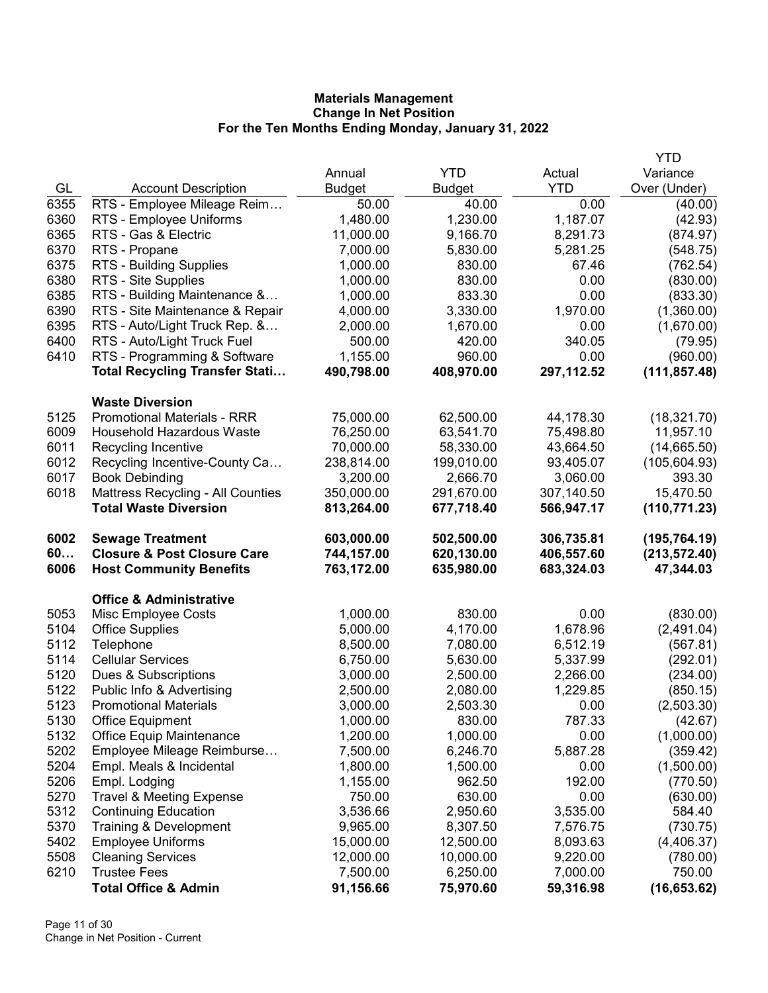|      |                                                        |                       |                       |                       | YTD                        |
|------|--------------------------------------------------------|-----------------------|-----------------------|-----------------------|----------------------------|
|      |                                                        | Annual                | <b>YTD</b>            | Actual                | Variance                   |
| GL   | <b>Account Description</b>                             | <b>Budget</b>         | <b>Budget</b>         | <b>YTD</b>            | Over (Under)               |
| 6355 | RTS - Employee Mileage Reim                            | 50.00                 | 40.00                 | 0.00                  | (40.00)                    |
| 6360 | RTS - Employee Uniforms                                | 1,480.00              | 1,230.00              | 1,187.07              | (42.93)                    |
| 6365 | RTS - Gas & Electric                                   | 11,000.00             | 9,166.70              | 8,291.73              | (874.97)                   |
| 6370 | RTS - Propane                                          | 7,000.00              | 5,830.00              | 5,281.25              | (548.75)                   |
| 6375 | RTS - Building Supplies                                | 1,000.00              | 830.00                | 67.46                 | (762.54)                   |
| 6380 | RTS - Site Supplies                                    | 1,000.00              | 830.00                | 0.00                  | (830.00)                   |
| 6385 | RTS - Building Maintenance &                           | 1,000.00              | 833.30                | 0.00                  | (833.30)                   |
| 6390 | RTS - Site Maintenance & Repair                        | 4,000.00              | 3,330.00              | 1,970.00              | (1,360.00)                 |
| 6395 | RTS - Auto/Light Truck Rep. &                          | 2,000.00              | 1,670.00              | 0.00                  | (1,670.00)                 |
| 6400 | RTS - Auto/Light Truck Fuel                            | 500.00                | 420.00                | 340.05                | (79.95)                    |
| 6410 | RTS - Programming & Software                           | 1,155.00              | 960.00                | 0.00                  | (960.00)                   |
|      | <b>Total Recycling Transfer Stati</b>                  | 490,798.00            | 408,970.00            | 297,112.52            | (111, 857.48)              |
|      | <b>Waste Diversion</b>                                 |                       |                       |                       |                            |
| 5125 | <b>Promotional Materials - RRR</b>                     | 75,000.00             | 62,500.00             | 44,178.30             | (18, 321.70)               |
| 6009 | <b>Household Hazardous Waste</b>                       | 76,250.00             | 63,541.70             | 75,498.80             | 11,957.10                  |
| 6011 | Recycling Incentive                                    | 70,000.00             | 58,330.00             | 43,664.50             | (14, 665.50)               |
| 6012 | Recycling Incentive-County Ca                          | 238,814.00            | 199,010.00            | 93,405.07             | (105, 604.93)              |
| 6017 | <b>Book Debinding</b>                                  | 3,200.00              | 2,666.70              | 3,060.00              | 393.30                     |
| 6018 | <b>Mattress Recycling - All Counties</b>               | 350,000.00            | 291,670.00            | 307,140.50            | 15,470.50                  |
|      | <b>Total Waste Diversion</b>                           | 813,264.00            | 677,718.40            | 566,947.17            | (110, 771.23)              |
|      |                                                        |                       |                       |                       |                            |
| 6002 | <b>Sewage Treatment</b>                                | 603,000.00            | 502,500.00            | 306,735.81            |                            |
| 60   | <b>Closure &amp; Post Closure Care</b>                 | 744,157.00            | 620,130.00            | 406,557.60            | (195, 764.19)              |
| 6006 | <b>Host Community Benefits</b>                         | 763,172.00            | 635,980.00            | 683,324.03            | (213, 572.40)<br>47,344.03 |
|      | <b>Office &amp; Administrative</b>                     |                       |                       |                       |                            |
| 5053 | Misc Employee Costs                                    | 1,000.00              | 830.00                | 0.00                  | (830.00)                   |
| 5104 | <b>Office Supplies</b>                                 | 5,000.00              | 4,170.00              | 1,678.96              | (2,491.04)                 |
| 5112 | Telephone                                              | 8,500.00              | 7,080.00              | 6,512.19              | (567.81)                   |
| 5114 | <b>Cellular Services</b>                               | 6,750.00              | 5,630.00              | 5,337.99              | (292.01)                   |
| 5120 | Dues & Subscriptions                                   | 3,000.00              | 2,500.00              | 2,266.00              | (234.00)                   |
| 5122 | Public Info & Advertising                              | 2,500.00              | 2,080.00              | 1,229.85              | (850.15)                   |
| 5123 | <b>Promotional Materials</b>                           | 3,000.00              | 2,503.30              | 0.00                  | (2,503.30)                 |
| 5130 | <b>Office Equipment</b>                                | 1,000.00              | 830.00                | 787.33                | (42.67)                    |
| 5132 | <b>Office Equip Maintenance</b>                        | 1,200.00              | 1,000.00              | 0.00                  | (1,000.00)                 |
| 5202 | Employee Mileage Reimburse                             | 7,500.00              | 6,246.70              | 5,887.28              | (359.42)                   |
| 5204 | Empl. Meals & Incidental                               | 1,800.00              | 1,500.00              | 0.00                  | (1,500.00)                 |
| 5206 | Empl. Lodging                                          | 1,155.00              | 962.50                | 192.00                | (770.50)                   |
| 5270 | <b>Travel &amp; Meeting Expense</b>                    | 750.00                | 630.00                | 0.00                  | (630.00)                   |
| 5312 | <b>Continuing Education</b>                            | 3,536.66              | 2,950.60              | 3,535.00              | 584.40                     |
| 5370 | Training & Development                                 | 9,965.00              | 8,307.50              | 7,576.75              | (730.75)                   |
| 5402 | <b>Employee Uniforms</b>                               | 15,000.00             | 12,500.00             | 8,093.63              | (4,406.37)                 |
| 5508 | <b>Cleaning Services</b>                               | 12,000.00             | 10,000.00             | 9,220.00              | (780.00)                   |
| 6210 | <b>Trustee Fees</b><br><b>Total Office &amp; Admin</b> | 7,500.00<br>91,156.66 | 6,250.00<br>75,970.60 | 7,000.00<br>59,316.98 | 750.00<br>(16, 653.62)     |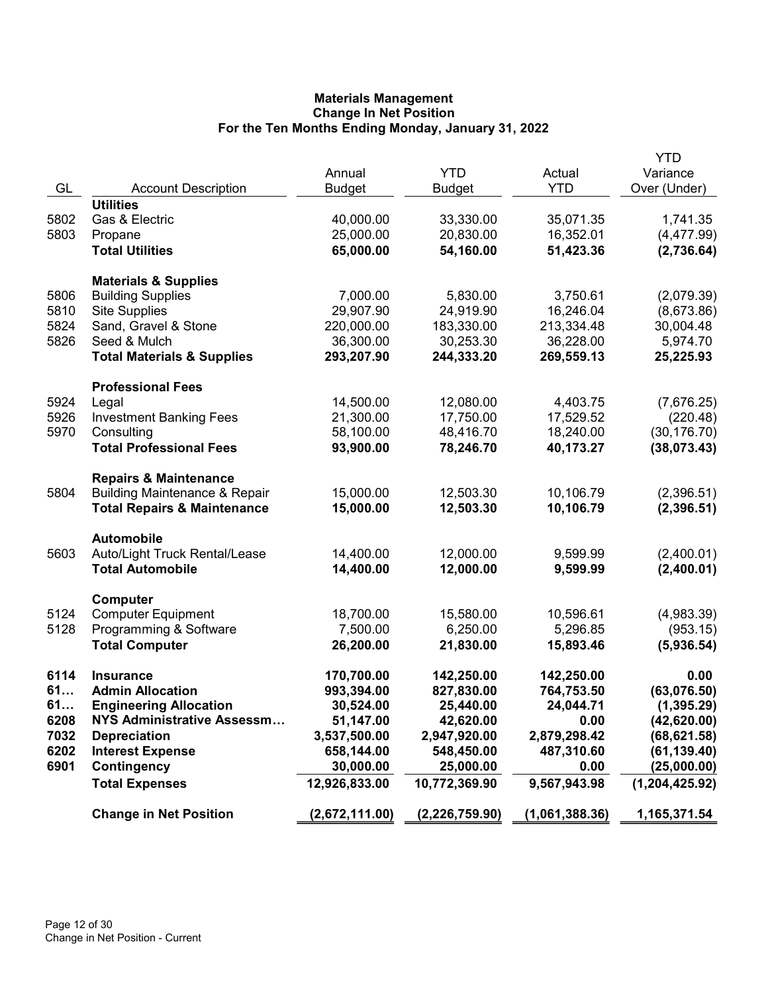|      |                                                    | Annual         | <b>YTD</b>     | Actual         | YTD<br>Variance  |
|------|----------------------------------------------------|----------------|----------------|----------------|------------------|
| GL   | <b>Account Description</b><br><b>Utilities</b>     | <b>Budget</b>  | <b>Budget</b>  | <b>YTD</b>     | Over (Under)     |
| 5802 | Gas & Electric                                     | 40,000.00      | 33,330.00      | 35,071.35      | 1,741.35         |
| 5803 | Propane                                            | 25,000.00      | 20,830.00      | 16,352.01      | (4,477.99)       |
|      | <b>Total Utilities</b>                             | 65,000.00      | 54,160.00      | 51,423.36      | (2,736.64)       |
|      |                                                    |                |                |                |                  |
|      | <b>Materials &amp; Supplies</b>                    |                |                |                |                  |
| 5806 | <b>Building Supplies</b>                           | 7,000.00       | 5,830.00       | 3,750.61       | (2,079.39)       |
| 5810 | <b>Site Supplies</b>                               | 29,907.90      | 24,919.90      | 16,246.04      | (8,673.86)       |
| 5824 | Sand, Gravel & Stone                               | 220,000.00     | 183,330.00     | 213,334.48     | 30,004.48        |
| 5826 | Seed & Mulch                                       | 36,300.00      | 30,253.30      | 36,228.00      | 5,974.70         |
|      | <b>Total Materials &amp; Supplies</b>              | 293,207.90     | 244,333.20     | 269,559.13     | 25,225.93        |
|      | <b>Professional Fees</b>                           |                |                |                |                  |
| 5924 | Legal                                              | 14,500.00      | 12,080.00      | 4,403.75       | (7,676.25)       |
| 5926 | <b>Investment Banking Fees</b>                     | 21,300.00      | 17,750.00      | 17,529.52      | (220.48)         |
| 5970 | Consulting                                         | 58,100.00      | 48,416.70      | 18,240.00      | (30, 176.70)     |
|      | <b>Total Professional Fees</b>                     | 93,900.00      | 78,246.70      | 40,173.27      | (38,073.43)      |
|      | <b>Repairs &amp; Maintenance</b>                   |                |                |                |                  |
| 5804 | <b>Building Maintenance &amp; Repair</b>           | 15,000.00      | 12,503.30      | 10,106.79      | (2,396.51)       |
|      | <b>Total Repairs &amp; Maintenance</b>             | 15,000.00      | 12,503.30      | 10,106.79      | (2, 396.51)      |
|      |                                                    |                |                |                |                  |
| 5603 | <b>Automobile</b><br>Auto/Light Truck Rental/Lease | 14,400.00      | 12,000.00      | 9,599.99       | (2,400.01)       |
|      | <b>Total Automobile</b>                            | 14,400.00      | 12,000.00      | 9,599.99       | (2,400.01)       |
|      |                                                    |                |                |                |                  |
|      | Computer                                           |                |                |                |                  |
| 5124 | <b>Computer Equipment</b>                          | 18,700.00      | 15,580.00      | 10,596.61      | (4,983.39)       |
| 5128 | Programming & Software                             | 7,500.00       | 6,250.00       | 5,296.85       | (953.15)         |
|      | <b>Total Computer</b>                              | 26,200.00      | 21,830.00      | 15,893.46      | (5,936.54)       |
| 6114 | <b>Insurance</b>                                   | 170,700.00     | 142,250.00     | 142,250.00     | 0.00             |
| 61   | <b>Admin Allocation</b>                            | 993,394.00     | 827,830.00     | 764,753.50     | (63,076.50)      |
| 61   | <b>Engineering Allocation</b>                      | 30,524.00      | 25,440.00      | 24,044.71      | (1, 395.29)      |
| 6208 | NYS Administrative Assessm                         | 51,147.00      | 42,620.00      | 0.00           | (42, 620.00)     |
| 7032 | <b>Depreciation</b>                                | 3,537,500.00   | 2,947,920.00   | 2,879,298.42   | (68, 621.58)     |
| 6202 | <b>Interest Expense</b>                            | 658,144.00     | 548,450.00     | 487,310.60     | (61, 139.40)     |
| 6901 | Contingency                                        | 30,000.00      | 25,000.00      | 0.00           | (25,000.00)      |
|      | <b>Total Expenses</b>                              | 12,926,833.00  | 10,772,369.90  | 9,567,943.98   | (1, 204, 425.92) |
|      | <b>Change in Net Position</b>                      | (2,672,111.00) | (2,226,759.90) | (1,061,388.36) | 1,165,371.54     |
|      |                                                    |                |                |                |                  |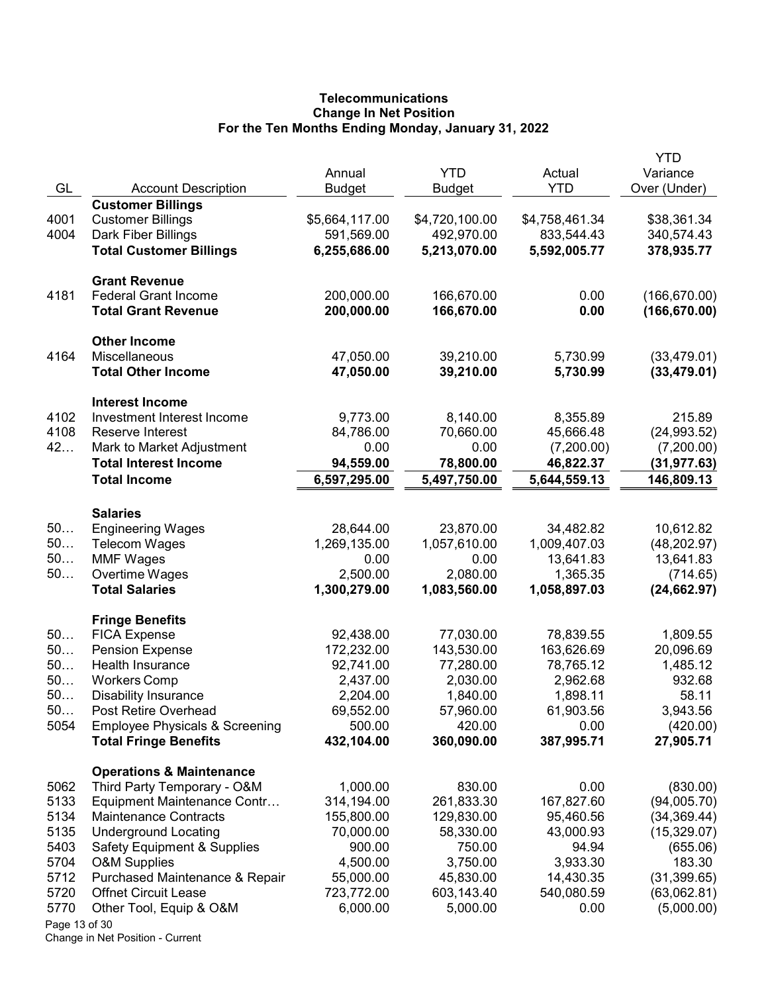# **Telecommunications** Change In Net Position For the Ten Months Ending Monday, January 31, 2022

|               |                                                 |                |                |                | <b>YTD</b>    |
|---------------|-------------------------------------------------|----------------|----------------|----------------|---------------|
|               |                                                 | Annual         | <b>YTD</b>     | Actual         | Variance      |
| GL            | <b>Account Description</b>                      | <b>Budget</b>  | Budget         | <b>YTD</b>     | Over (Under)  |
| 4001          | <b>Customer Billings</b>                        | \$5,664,117.00 | \$4,720,100.00 | \$4,758,461.34 | \$38,361.34   |
| 4004          | <b>Customer Billings</b><br>Dark Fiber Billings | 591,569.00     | 492,970.00     | 833,544.43     | 340,574.43    |
|               | <b>Total Customer Billings</b>                  | 6,255,686.00   | 5,213,070.00   | 5,592,005.77   |               |
|               |                                                 |                |                |                | 378,935.77    |
|               | <b>Grant Revenue</b>                            |                |                |                |               |
| 4181          | <b>Federal Grant Income</b>                     | 200,000.00     | 166,670.00     | 0.00           | (166, 670.00) |
|               | <b>Total Grant Revenue</b>                      | 200,000.00     | 166,670.00     | 0.00           | (166, 670.00) |
|               | <b>Other Income</b>                             |                |                |                |               |
| 4164          | Miscellaneous                                   | 47,050.00      | 39,210.00      | 5,730.99       | (33, 479.01)  |
|               | <b>Total Other Income</b>                       | 47,050.00      | 39,210.00      | 5,730.99       | (33, 479.01)  |
|               | <b>Interest Income</b>                          |                |                |                |               |
| 4102          | Investment Interest Income                      | 9,773.00       | 8,140.00       | 8,355.89       | 215.89        |
| 4108          | Reserve Interest                                | 84,786.00      | 70,660.00      | 45,666.48      | (24, 993.52)  |
| 42            | Mark to Market Adjustment                       | 0.00           | 0.00           | (7,200.00)     | (7,200.00)    |
|               | <b>Total Interest Income</b>                    | 94,559.00      | 78,800.00      | 46,822.37      | (31,977.63)   |
|               | <b>Total Income</b>                             | 6,597,295.00   | 5,497,750.00   | 5,644,559.13   | 146,809.13    |
|               |                                                 |                |                |                |               |
|               | <b>Salaries</b>                                 |                |                |                |               |
| 50            | <b>Engineering Wages</b>                        | 28,644.00      | 23,870.00      | 34,482.82      | 10,612.82     |
| 50            | <b>Telecom Wages</b>                            | 1,269,135.00   | 1,057,610.00   | 1,009,407.03   | (48, 202.97)  |
| 50            | <b>MMF Wages</b>                                | 0.00           | 0.00           | 13,641.83      | 13,641.83     |
| 50            | Overtime Wages                                  | 2,500.00       | 2,080.00       | 1,365.35       | (714.65)      |
|               | <b>Total Salaries</b>                           | 1,300,279.00   | 1,083,560.00   | 1,058,897.03   | (24, 662.97)  |
|               | <b>Fringe Benefits</b>                          |                |                |                |               |
| 50            | <b>FICA Expense</b>                             | 92,438.00      | 77,030.00      | 78,839.55      | 1,809.55      |
| 50            | <b>Pension Expense</b>                          | 172,232.00     | 143,530.00     | 163,626.69     | 20,096.69     |
| 50            | Health Insurance                                | 92,741.00      | 77,280.00      | 78,765.12      | 1,485.12      |
| 50            | <b>Workers Comp</b>                             | 2,437.00       | 2,030.00       | 2,962.68       | 932.68        |
| 50            | <b>Disability Insurance</b>                     | 2,204.00       | 1,840.00       | 1,898.11       | 58.11         |
| 50            | Post Retire Overhead                            | 69,552.00      | 57,960.00      | 61,903.56      | 3,943.56      |
| 5054          | <b>Employee Physicals &amp; Screening</b>       | 500.00         | 420.00         | 0.00           | (420.00)      |
|               | <b>Total Fringe Benefits</b>                    | 432,104.00     | 360,090.00     | 387,995.71     | 27,905.71     |
|               | <b>Operations &amp; Maintenance</b>             |                |                |                |               |
| 5062          | Third Party Temporary - O&M                     | 1,000.00       | 830.00         | 0.00           | (830.00)      |
| 5133          | Equipment Maintenance Contr                     | 314,194.00     | 261,833.30     | 167,827.60     | (94,005.70)   |
| 5134          | <b>Maintenance Contracts</b>                    | 155,800.00     | 129,830.00     | 95,460.56      | (34, 369.44)  |
| 5135          | <b>Underground Locating</b>                     | 70,000.00      | 58,330.00      | 43,000.93      | (15,329.07)   |
| 5403          | <b>Safety Equipment &amp; Supplies</b>          | 900.00         | 750.00         | 94.94          | (655.06)      |
| 5704          | <b>O&amp;M Supplies</b>                         | 4,500.00       | 3,750.00       | 3,933.30       | 183.30        |
| 5712          | Purchased Maintenance & Repair                  | 55,000.00      | 45,830.00      | 14,430.35      | (31, 399.65)  |
| 5720          | <b>Offnet Circuit Lease</b>                     | 723,772.00     | 603,143.40     | 540,080.59     | (63,062.81)   |
| 5770          | Other Tool, Equip & O&M                         | 6,000.00       | 5,000.00       | 0.00           | (5,000.00)    |
| Page 13 of 30 |                                                 |                |                |                |               |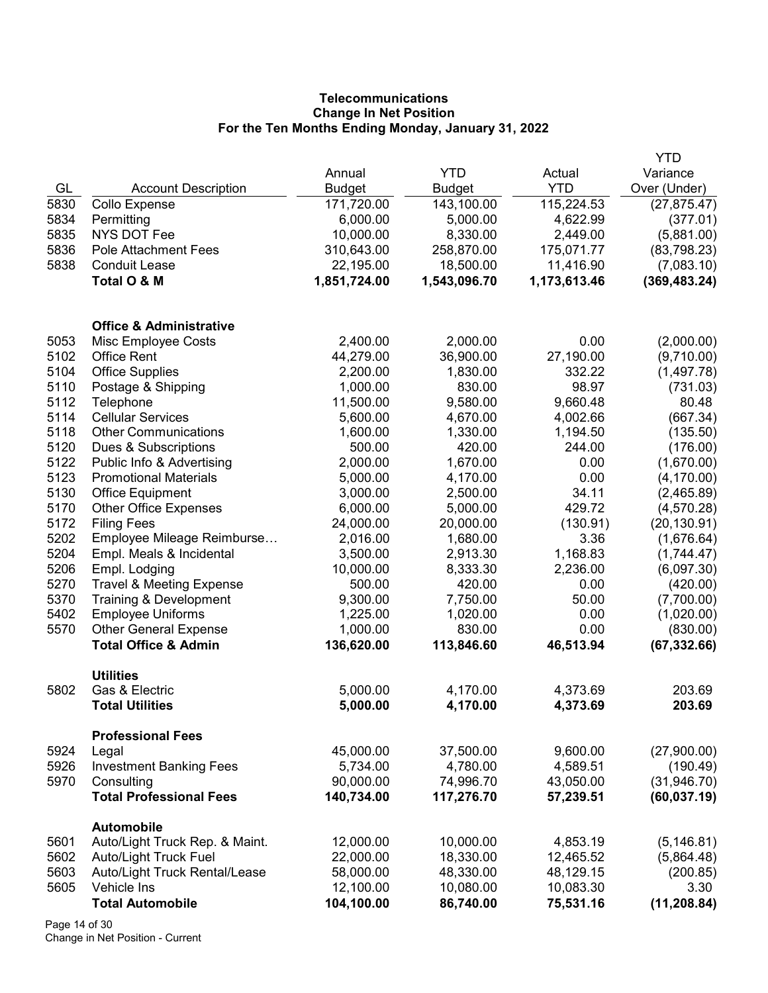# **Telecommunications** Change In Net Position For the Ten Months Ending Monday, January 31, 2022

|      |                                              |               |               |              | YTD           |
|------|----------------------------------------------|---------------|---------------|--------------|---------------|
|      |                                              | Annual        | <b>YTD</b>    | Actual       | Variance      |
| GL   | <b>Account Description</b>                   | <b>Budget</b> | <b>Budget</b> | <b>YTD</b>   | Over (Under)  |
| 5830 | Collo Expense                                | 171,720.00    | 143,100.00    | 115,224.53   | (27, 875.47)  |
| 5834 | Permitting                                   | 6,000.00      | 5,000.00      | 4,622.99     | (377.01)      |
| 5835 | <b>NYS DOT Fee</b>                           | 10,000.00     | 8,330.00      | 2,449.00     | (5,881.00)    |
| 5836 | <b>Pole Attachment Fees</b>                  | 310,643.00    | 258,870.00    | 175,071.77   | (83,798.23)   |
| 5838 | <b>Conduit Lease</b>                         | 22,195.00     | 18,500.00     | 11,416.90    | (7,083.10)    |
|      | Total O & M                                  | 1,851,724.00  | 1,543,096.70  | 1,173,613.46 | (369, 483.24) |
|      | <b>Office &amp; Administrative</b>           |               |               |              |               |
| 5053 | Misc Employee Costs                          | 2,400.00      | 2,000.00      | 0.00         | (2,000.00)    |
| 5102 | <b>Office Rent</b>                           | 44,279.00     | 36,900.00     | 27,190.00    | (9,710.00)    |
| 5104 | <b>Office Supplies</b>                       | 2,200.00      | 1,830.00      | 332.22       | (1,497.78)    |
| 5110 | Postage & Shipping                           | 1,000.00      | 830.00        | 98.97        | (731.03)      |
| 5112 | Telephone                                    | 11,500.00     | 9,580.00      | 9,660.48     | 80.48         |
| 5114 | <b>Cellular Services</b>                     | 5,600.00      | 4,670.00      | 4,002.66     | (667.34)      |
| 5118 | <b>Other Communications</b>                  | 1,600.00      | 1,330.00      | 1,194.50     | (135.50)      |
| 5120 | Dues & Subscriptions                         | 500.00        | 420.00        | 244.00       | (176.00)      |
| 5122 | Public Info & Advertising                    | 2,000.00      | 1,670.00      | 0.00         | (1,670.00)    |
| 5123 | <b>Promotional Materials</b>                 | 5,000.00      | 4,170.00      | 0.00         | (4, 170.00)   |
| 5130 | <b>Office Equipment</b>                      | 3,000.00      | 2,500.00      | 34.11        | (2,465.89)    |
| 5170 | <b>Other Office Expenses</b>                 | 6,000.00      | 5,000.00      | 429.72       | (4,570.28)    |
| 5172 | <b>Filing Fees</b>                           | 24,000.00     | 20,000.00     | (130.91)     | (20, 130.91)  |
| 5202 | Employee Mileage Reimburse                   | 2,016.00      | 1,680.00      | 3.36         | (1,676.64)    |
| 5204 | Empl. Meals & Incidental                     | 3,500.00      | 2,913.30      | 1,168.83     | (1,744.47)    |
| 5206 | Empl. Lodging                                | 10,000.00     | 8,333.30      | 2,236.00     | (6,097.30)    |
| 5270 | <b>Travel &amp; Meeting Expense</b>          | 500.00        | 420.00        | 0.00         | (420.00)      |
| 5370 | Training & Development                       | 9,300.00      | 7,750.00      | 50.00        | (7,700.00)    |
| 5402 | <b>Employee Uniforms</b>                     | 1,225.00      | 1,020.00      | 0.00         | (1,020.00)    |
| 5570 | <b>Other General Expense</b>                 | 1,000.00      | 830.00        | 0.00         | (830.00)      |
|      | <b>Total Office &amp; Admin</b>              | 136,620.00    | 113,846.60    | 46,513.94    | (67, 332.66)  |
| 5802 | <b>Utilities</b><br>Gas & Electric           | 5,000.00      | 4,170.00      | 4,373.69     | 203.69        |
|      | <b>Total Utilities</b>                       | 5,000.00      | 4,170.00      | 4,373.69     | 203.69        |
|      | <b>Professional Fees</b>                     |               |               |              |               |
| 5924 | Legal                                        | 45,000.00     | 37,500.00     | 9,600.00     | (27,900.00)   |
| 5926 | <b>Investment Banking Fees</b>               | 5,734.00      | 4,780.00      | 4,589.51     | (190.49)      |
| 5970 | Consulting                                   | 90,000.00     | 74,996.70     | 43,050.00    | (31, 946.70)  |
|      | <b>Total Professional Fees</b>               | 140,734.00    | 117,276.70    | 57,239.51    | (60, 037.19)  |
| 5601 | Automobile<br>Auto/Light Truck Rep. & Maint. | 12,000.00     | 10,000.00     | 4,853.19     | (5, 146.81)   |
| 5602 | <b>Auto/Light Truck Fuel</b>                 | 22,000.00     | 18,330.00     | 12,465.52    | (5,864.48)    |
| 5603 | Auto/Light Truck Rental/Lease                | 58,000.00     | 48,330.00     | 48,129.15    | (200.85)      |
| 5605 | Vehicle Ins                                  | 12,100.00     | 10,080.00     | 10,083.30    | 3.30          |
|      | <b>Total Automobile</b>                      | 104,100.00    | 86,740.00     | 75,531.16    | (11, 208.84)  |
|      |                                              |               |               |              |               |

Page 14 of 30 Change in Net Position - Current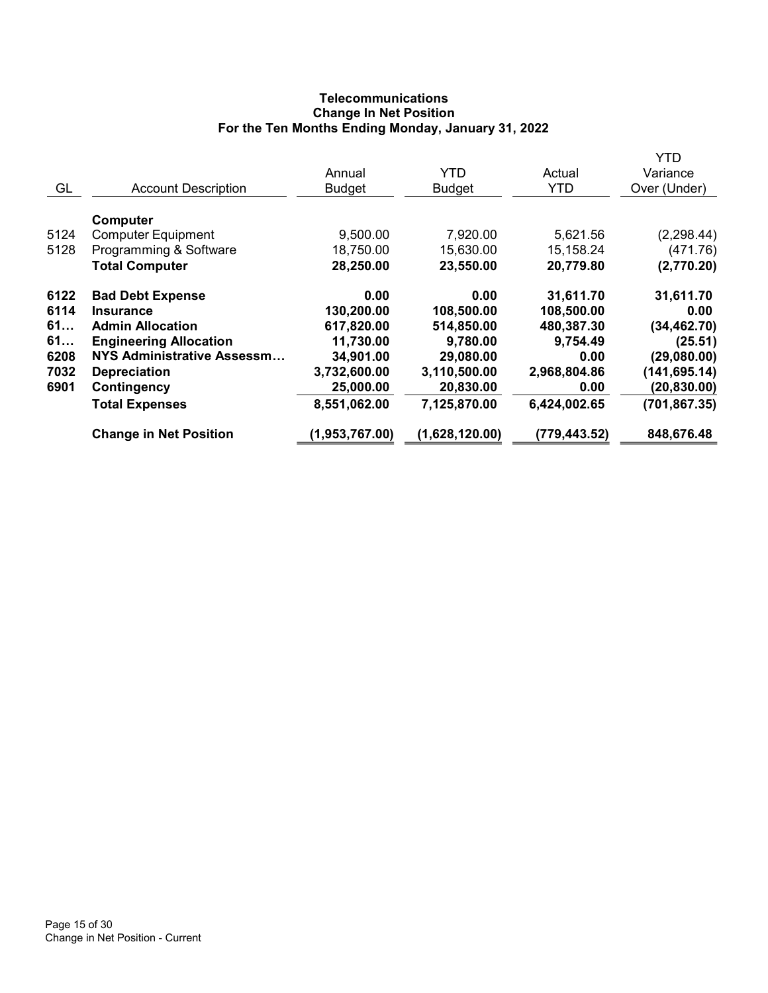# **Telecommunications** Change In Net Position For the Ten Months Ending Monday, January 31, 2022

|      |                               |                |                |              | YTD           |
|------|-------------------------------|----------------|----------------|--------------|---------------|
|      |                               | Annual         | YTD            | Actual       | Variance      |
| GL   | <b>Account Description</b>    | <b>Budget</b>  | <b>Budget</b>  | <b>YTD</b>   | Over (Under)  |
|      |                               |                |                |              |               |
|      | Computer                      |                |                |              |               |
| 5124 | <b>Computer Equipment</b>     | 9,500.00       | 7,920.00       | 5,621.56     | (2, 298.44)   |
| 5128 | Programming & Software        | 18,750.00      | 15,630.00      | 15,158.24    | (471.76)      |
|      | <b>Total Computer</b>         | 28,250.00      | 23,550.00      | 20,779.80    | (2,770.20)    |
| 6122 | <b>Bad Debt Expense</b>       | 0.00           | 0.00           | 31,611.70    | 31,611.70     |
| 6114 | <b>Insurance</b>              | 130,200.00     | 108,500.00     | 108,500.00   | 0.00          |
| 61   | <b>Admin Allocation</b>       | 617,820.00     | 514,850.00     | 480,387.30   | (34, 462.70)  |
| 61   | <b>Engineering Allocation</b> | 11,730.00      | 9,780.00       | 9,754.49     | (25.51)       |
| 6208 | NYS Administrative Assessm    | 34,901.00      | 29,080.00      | 0.00         | (29,080.00)   |
| 7032 | <b>Depreciation</b>           | 3,732,600.00   | 3,110,500.00   | 2,968,804.86 | (141, 695.14) |
| 6901 | Contingency                   | 25,000.00      | 20,830.00      | 0.00         | (20, 830.00)  |
|      | <b>Total Expenses</b>         | 8,551,062.00   | 7,125,870.00   | 6,424,002.65 | (701, 867.35) |
|      | <b>Change in Net Position</b> | (1,953,767.00) | (1,628,120.00) | (779,443.52) | 848,676.48    |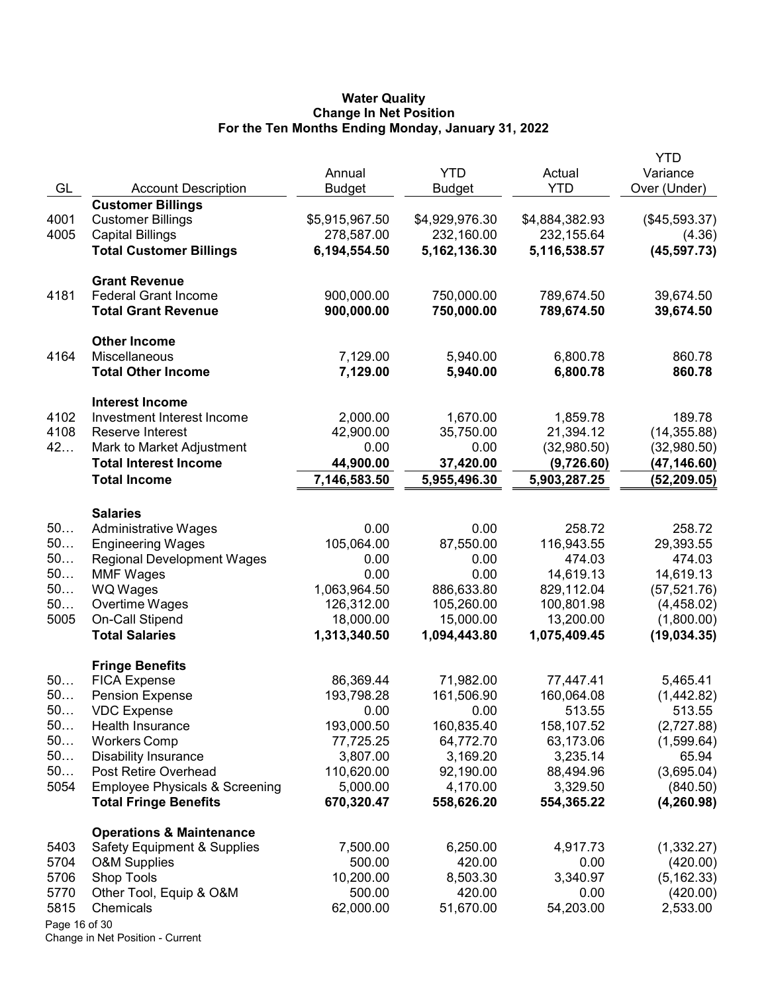### Water Quality Change In Net Position For the Ten Months Ending Monday, January 31, 2022

|               |                                           |                |                |                | <b>YTD</b>    |
|---------------|-------------------------------------------|----------------|----------------|----------------|---------------|
|               |                                           | Annual         | <b>YTD</b>     | Actual         | Variance      |
| GL            | <b>Account Description</b>                | <b>Budget</b>  | <b>Budget</b>  | <b>YTD</b>     | Over (Under)  |
|               | <b>Customer Billings</b>                  |                |                |                |               |
| 4001          | <b>Customer Billings</b>                  | \$5,915,967.50 | \$4,929,976.30 | \$4,884,382.93 | (\$45,593.37) |
| 4005          | <b>Capital Billings</b>                   | 278,587.00     | 232,160.00     | 232,155.64     | (4.36)        |
|               | <b>Total Customer Billings</b>            | 6,194,554.50   | 5,162,136.30   | 5,116,538.57   | (45, 597.73)  |
|               | <b>Grant Revenue</b>                      |                |                |                |               |
| 4181          | <b>Federal Grant Income</b>               | 900,000.00     | 750,000.00     | 789,674.50     | 39,674.50     |
|               | <b>Total Grant Revenue</b>                | 900,000.00     | 750,000.00     | 789,674.50     | 39,674.50     |
|               | <b>Other Income</b>                       |                |                |                |               |
| 4164          | Miscellaneous                             | 7,129.00       | 5,940.00       | 6,800.78       | 860.78        |
|               | <b>Total Other Income</b>                 | 7,129.00       | 5,940.00       | 6,800.78       | 860.78        |
|               | <b>Interest Income</b>                    |                |                |                |               |
| 4102          | Investment Interest Income                | 2,000.00       | 1,670.00       | 1,859.78       | 189.78        |
| 4108          | Reserve Interest                          | 42,900.00      | 35,750.00      | 21,394.12      | (14, 355.88)  |
| 42            | Mark to Market Adjustment                 | 0.00           | 0.00           | (32,980.50)    | (32,980.50)   |
|               | <b>Total Interest Income</b>              | 44,900.00      | 37,420.00      | (9,726.60)     | (47,146.60)   |
|               | <b>Total Income</b>                       | 7,146,583.50   | 5,955,496.30   | 5,903,287.25   | (52, 209.05)  |
|               | <b>Salaries</b>                           |                |                |                |               |
| 50            | <b>Administrative Wages</b>               | 0.00           | 0.00           | 258.72         | 258.72        |
| 50            | <b>Engineering Wages</b>                  | 105,064.00     | 87,550.00      | 116,943.55     | 29,393.55     |
| 50            | <b>Regional Development Wages</b>         | 0.00           | 0.00           | 474.03         | 474.03        |
| 50            | <b>MMF Wages</b>                          | 0.00           | 0.00           | 14,619.13      | 14,619.13     |
| 50            | <b>WQ Wages</b>                           | 1,063,964.50   | 886,633.80     | 829,112.04     | (57, 521.76)  |
| 50            | Overtime Wages                            | 126,312.00     | 105,260.00     | 100,801.98     | (4,458.02)    |
| 5005          | On-Call Stipend                           | 18,000.00      | 15,000.00      | 13,200.00      | (1,800.00)    |
|               | <b>Total Salaries</b>                     | 1,313,340.50   | 1,094,443.80   | 1,075,409.45   | (19,034.35)   |
|               | <b>Fringe Benefits</b>                    |                |                |                |               |
| 50            | <b>FICA Expense</b>                       | 86,369.44      | 71,982.00      | 77,447.41      | 5,465.41      |
| 50            | <b>Pension Expense</b>                    | 193,798.28     | 161,506.90     | 160,064.08     | (1,442.82)    |
| 50.           | <b>VDC Expense</b>                        | 0.00           | 0.00           | 513.55         | 513.55        |
| 50            | Health Insurance                          | 193,000.50     | 160,835.40     | 158,107.52     | (2,727.88)    |
| 50            | <b>Workers Comp</b>                       | 77,725.25      | 64,772.70      | 63,173.06      | (1,599.64)    |
| 50            | <b>Disability Insurance</b>               | 3,807.00       | 3,169.20       | 3,235.14       | 65.94         |
| 50            | Post Retire Overhead                      | 110,620.00     | 92,190.00      | 88,494.96      | (3,695.04)    |
| 5054          | <b>Employee Physicals &amp; Screening</b> | 5,000.00       | 4,170.00       | 3,329.50       | (840.50)      |
|               | <b>Total Fringe Benefits</b>              | 670,320.47     | 558,626.20     | 554,365.22     | (4, 260.98)   |
|               | <b>Operations &amp; Maintenance</b>       |                |                |                |               |
| 5403          | <b>Safety Equipment &amp; Supplies</b>    | 7,500.00       | 6,250.00       | 4,917.73       | (1,332.27)    |
| 5704          | <b>O&amp;M Supplies</b>                   | 500.00         | 420.00         | 0.00           | (420.00)      |
| 5706          | Shop Tools                                | 10,200.00      | 8,503.30       | 3,340.97       | (5, 162.33)   |
| 5770          | Other Tool, Equip & O&M                   | 500.00         | 420.00         | 0.00           | (420.00)      |
| 5815          | Chemicals                                 | 62,000.00      | 51,670.00      | 54,203.00      | 2,533.00      |
| Page 16 of 30 |                                           |                |                |                |               |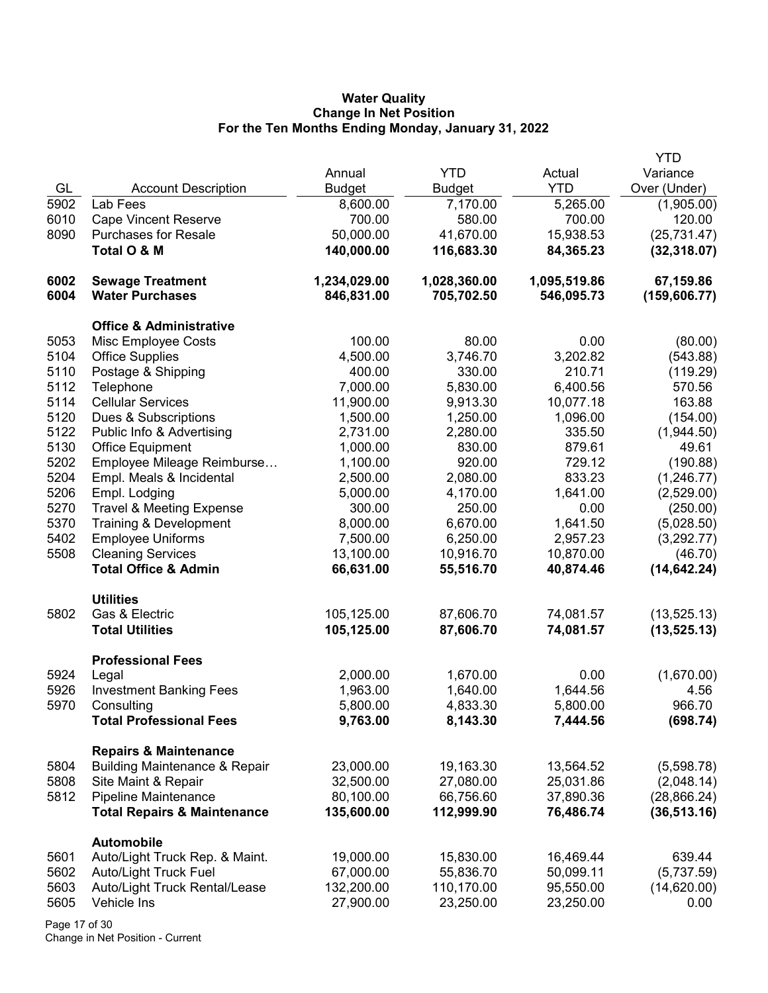## Water Quality Change In Net Position For the Ten Months Ending Monday, January 31, 2022

|      |                                          |               |               |              | <b>YTD</b>    |
|------|------------------------------------------|---------------|---------------|--------------|---------------|
|      |                                          | Annual        | <b>YTD</b>    | Actual       | Variance      |
| GL   | <b>Account Description</b>               | <b>Budget</b> | <b>Budget</b> | <b>YTD</b>   | Over (Under)  |
| 5902 | Lab Fees                                 | 8,600.00      | 7,170.00      | 5,265.00     | (1,905.00)    |
| 6010 | <b>Cape Vincent Reserve</b>              | 700.00        | 580.00        | 700.00       | 120.00        |
| 8090 | <b>Purchases for Resale</b>              | 50,000.00     | 41,670.00     | 15,938.53    | (25, 731.47)  |
|      | Total O & M                              | 140,000.00    | 116,683.30    | 84,365.23    | (32, 318.07)  |
|      |                                          |               |               |              |               |
| 6002 | <b>Sewage Treatment</b>                  | 1,234,029.00  | 1,028,360.00  | 1,095,519.86 | 67,159.86     |
| 6004 | <b>Water Purchases</b>                   | 846,831.00    | 705,702.50    | 546,095.73   | (159, 606.77) |
|      |                                          |               |               |              |               |
|      | <b>Office &amp; Administrative</b>       |               |               |              |               |
| 5053 | Misc Employee Costs                      | 100.00        | 80.00         | 0.00         | (80.00)       |
| 5104 | <b>Office Supplies</b>                   | 4,500.00      | 3,746.70      | 3,202.82     | (543.88)      |
| 5110 | Postage & Shipping                       | 400.00        | 330.00        | 210.71       | (119.29)      |
| 5112 | Telephone                                | 7,000.00      | 5,830.00      | 6,400.56     | 570.56        |
| 5114 | <b>Cellular Services</b>                 | 11,900.00     | 9,913.30      | 10,077.18    | 163.88        |
| 5120 | Dues & Subscriptions                     | 1,500.00      | 1,250.00      | 1,096.00     | (154.00)      |
| 5122 | Public Info & Advertising                | 2,731.00      | 2,280.00      | 335.50       | (1,944.50)    |
| 5130 | <b>Office Equipment</b>                  | 1,000.00      | 830.00        | 879.61       | 49.61         |
| 5202 | Employee Mileage Reimburse               | 1,100.00      | 920.00        | 729.12       | (190.88)      |
| 5204 | Empl. Meals & Incidental                 | 2,500.00      | 2,080.00      | 833.23       | (1,246.77)    |
| 5206 | Empl. Lodging                            | 5,000.00      | 4,170.00      | 1,641.00     | (2,529.00)    |
| 5270 | <b>Travel &amp; Meeting Expense</b>      | 300.00        | 250.00        | 0.00         | (250.00)      |
| 5370 | Training & Development                   | 8,000.00      | 6,670.00      | 1,641.50     | (5,028.50)    |
| 5402 | <b>Employee Uniforms</b>                 | 7,500.00      | 6,250.00      | 2,957.23     | (3,292.77)    |
| 5508 | <b>Cleaning Services</b>                 | 13,100.00     | 10,916.70     | 10,870.00    | (46.70)       |
|      | <b>Total Office &amp; Admin</b>          | 66,631.00     | 55,516.70     | 40,874.46    | (14, 642.24)  |
|      |                                          |               |               |              |               |
|      | <b>Utilities</b>                         |               |               |              |               |
| 5802 | Gas & Electric                           | 105,125.00    | 87,606.70     | 74,081.57    | (13, 525.13)  |
|      | <b>Total Utilities</b>                   | 105,125.00    | 87,606.70     | 74,081.57    | (13, 525.13)  |
|      |                                          |               |               |              |               |
|      | <b>Professional Fees</b>                 |               |               |              |               |
| 5924 | Legal                                    | 2,000.00      | 1,670.00      | 0.00         | (1,670.00)    |
| 5926 | <b>Investment Banking Fees</b>           | 1,963.00      | 1,640.00      | 1,644.56     | 4.56          |
| 5970 | Consulting                               | 5,800.00      | 4,833.30      | 5,800.00     | 966.70        |
|      | <b>Total Professional Fees</b>           | 9,763.00      | 8,143.30      | 7,444.56     | (698.74)      |
|      |                                          |               |               |              |               |
|      | <b>Repairs &amp; Maintenance</b>         |               |               |              |               |
| 5804 | <b>Building Maintenance &amp; Repair</b> | 23,000.00     | 19,163.30     | 13,564.52    | (5,598.78)    |
| 5808 | Site Maint & Repair                      | 32,500.00     | 27,080.00     | 25,031.86    | (2,048.14)    |
| 5812 | <b>Pipeline Maintenance</b>              | 80,100.00     | 66,756.60     | 37,890.36    | (28, 866.24)  |
|      | <b>Total Repairs &amp; Maintenance</b>   | 135,600.00    | 112,999.90    | 76,486.74    | (36, 513.16)  |
|      |                                          |               |               |              |               |
|      | <b>Automobile</b>                        |               |               |              |               |
| 5601 | Auto/Light Truck Rep. & Maint.           | 19,000.00     | 15,830.00     | 16,469.44    | 639.44        |
| 5602 | Auto/Light Truck Fuel                    | 67,000.00     | 55,836.70     | 50,099.11    | (5,737.59)    |
| 5603 | Auto/Light Truck Rental/Lease            | 132,200.00    | 110,170.00    | 95,550.00    | (14,620.00)   |
| 5605 | Vehicle Ins                              | 27,900.00     | 23,250.00     | 23,250.00    | 0.00          |
|      |                                          |               |               |              |               |

Page 17 of 30 Change in Net Position - Current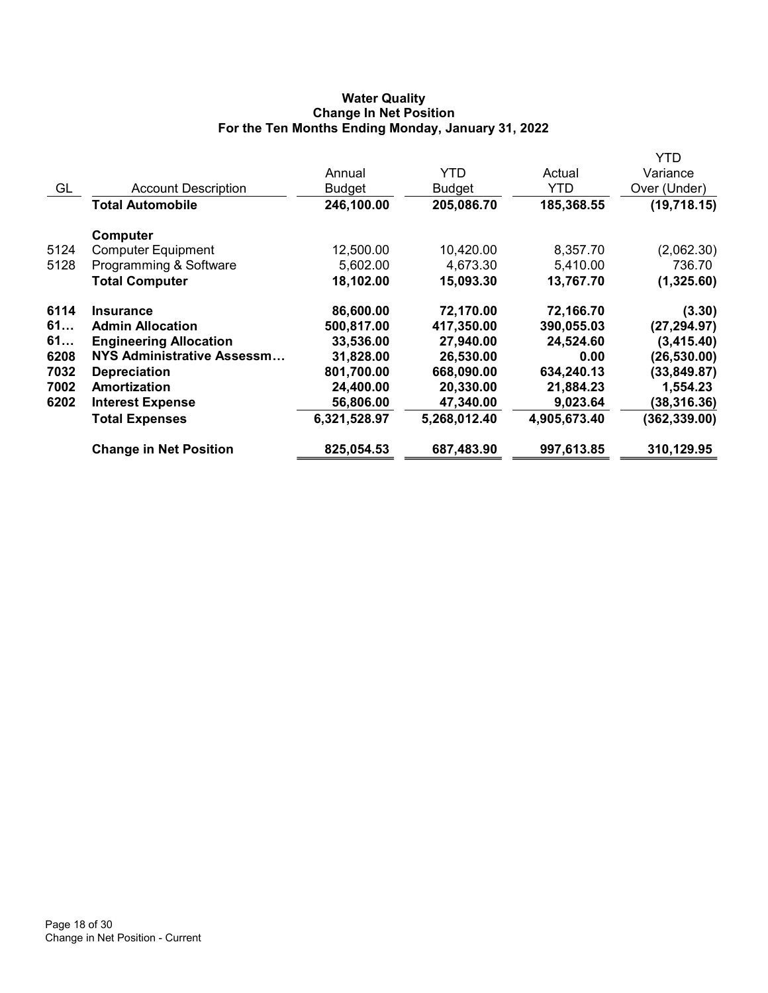# Water Quality Change In Net Position For the Ten Months Ending Monday, January 31, 2022

|      |                                   |              |              |              | YTD           |
|------|-----------------------------------|--------------|--------------|--------------|---------------|
|      |                                   | Annual       | <b>YTD</b>   | Actual       | Variance      |
| GL   | <b>Account Description</b>        | Budget       | Budget       | YTD          | Over (Under)  |
|      | Total Automobile                  | 246,100.00   | 205,086.70   | 185,368.55   | (19,718.15)   |
|      | Computer                          |              |              |              |               |
| 5124 | <b>Computer Equipment</b>         | 12,500.00    | 10,420.00    | 8,357.70     | (2,062.30)    |
| 5128 | Programming & Software            | 5,602.00     | 4,673.30     | 5,410.00     | 736.70        |
|      | <b>Total Computer</b>             | 18,102.00    | 15,093.30    | 13,767.70    | (1,325.60)    |
| 6114 | <b>Insurance</b>                  | 86,600.00    | 72,170.00    | 72,166.70    | (3.30)        |
| 61   | <b>Admin Allocation</b>           | 500,817.00   | 417,350.00   | 390,055.03   | (27, 294.97)  |
| 61   | <b>Engineering Allocation</b>     | 33,536.00    | 27,940.00    | 24,524.60    | (3,415.40)    |
| 6208 | <b>NYS Administrative Assessm</b> | 31,828.00    | 26,530.00    | 0.00         | (26, 530.00)  |
| 7032 | <b>Depreciation</b>               | 801,700.00   | 668,090.00   | 634,240.13   | (33, 849.87)  |
| 7002 | Amortization                      | 24,400.00    | 20,330.00    | 21,884.23    | 1,554.23      |
| 6202 | <b>Interest Expense</b>           | 56,806.00    | 47,340.00    | 9,023.64     | (38,316.36)   |
|      | <b>Total Expenses</b>             | 6,321,528.97 | 5,268,012.40 | 4,905,673.40 | (362, 339.00) |
|      | <b>Change in Net Position</b>     | 825,054.53   | 687,483.90   | 997,613.85   | 310,129.95    |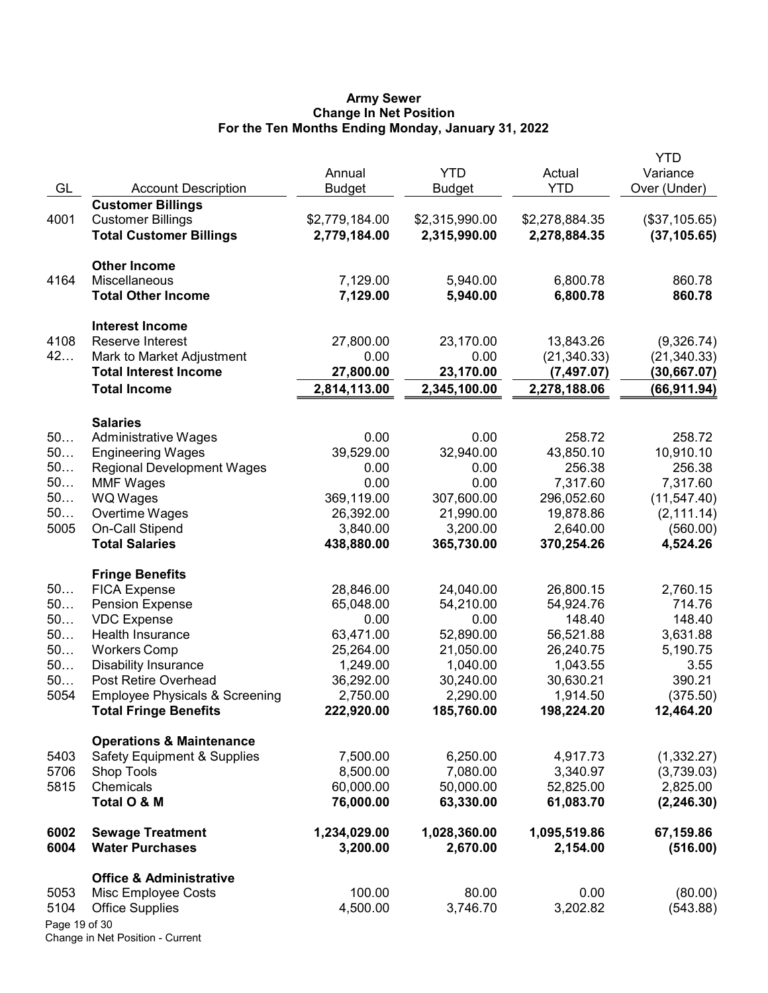### Army Sewer Change In Net Position For the Ten Months Ending Monday, January 31, 2022

|               |                                                    | Annual                | <b>YTD</b>            | Actual                 | <b>YTD</b><br>Variance |
|---------------|----------------------------------------------------|-----------------------|-----------------------|------------------------|------------------------|
| GL            | <b>Account Description</b>                         | <b>Budget</b>         | <b>Budget</b>         | <b>YTD</b>             | Over (Under)           |
|               | <b>Customer Billings</b>                           |                       |                       |                        |                        |
| 4001          | <b>Customer Billings</b>                           | \$2,779,184.00        | \$2,315,990.00        | \$2,278,884.35         | (\$37,105.65)          |
|               | <b>Total Customer Billings</b>                     | 2,779,184.00          | 2,315,990.00          | 2,278,884.35           | (37, 105.65)           |
|               | <b>Other Income</b>                                |                       |                       |                        |                        |
| 4164          | Miscellaneous                                      | 7,129.00              | 5,940.00              | 6,800.78               | 860.78                 |
|               | <b>Total Other Income</b>                          | 7,129.00              | 5,940.00              | 6,800.78               | 860.78                 |
|               | <b>Interest Income</b>                             |                       |                       |                        |                        |
| 4108          | Reserve Interest                                   | 27,800.00             | 23,170.00             | 13,843.26              | (9,326.74)             |
| 42            | Mark to Market Adjustment                          | 0.00                  | 0.00                  | (21, 340.33)           | (21, 340.33)           |
|               | <b>Total Interest Income</b>                       | 27,800.00             | 23,170.00             | (7, 497.07)            | (30,667.07)            |
|               | <b>Total Income</b>                                | 2,814,113.00          | 2,345,100.00          | 2,278,188.06           | (66, 911.94)           |
|               | <b>Salaries</b>                                    |                       |                       |                        |                        |
| 50            | <b>Administrative Wages</b>                        | 0.00                  | 0.00                  | 258.72                 | 258.72                 |
| 50            | <b>Engineering Wages</b>                           | 39,529.00             | 32,940.00             | 43,850.10              | 10,910.10              |
| 50            | <b>Regional Development Wages</b>                  | 0.00                  | 0.00                  | 256.38                 | 256.38                 |
| 50            | <b>MMF Wages</b>                                   | 0.00                  | 0.00                  | 7,317.60               | 7,317.60               |
| 50            | WQ Wages                                           | 369,119.00            | 307,600.00            | 296,052.60             | (11, 547.40)           |
| 50            | Overtime Wages                                     | 26,392.00             | 21,990.00             | 19,878.86              | (2, 111.14)            |
| 5005          | On-Call Stipend                                    | 3,840.00              | 3,200.00              | 2,640.00               | (560.00)               |
|               | <b>Total Salaries</b>                              | 438,880.00            | 365,730.00            | 370,254.26             | 4,524.26               |
|               | <b>Fringe Benefits</b>                             |                       |                       |                        |                        |
| 50            | <b>FICA Expense</b>                                | 28,846.00             | 24,040.00             | 26,800.15              | 2,760.15               |
| 50            | <b>Pension Expense</b>                             | 65,048.00             | 54,210.00             | 54,924.76              | 714.76                 |
| 50            | <b>VDC Expense</b>                                 | 0.00                  | 0.00                  | 148.40                 | 148.40                 |
| 50<br>50      | Health Insurance                                   | 63,471.00             | 52,890.00             | 56,521.88<br>26,240.75 | 3,631.88               |
| 50            | <b>Workers Comp</b><br><b>Disability Insurance</b> | 25,264.00<br>1,249.00 | 21,050.00<br>1,040.00 | 1,043.55               | 5,190.75               |
| 50            | Post Retire Overhead                               | 36,292.00             | 30,240.00             | 30,630.21              | 3.55<br>390.21         |
| 5054          | <b>Employee Physicals &amp; Screening</b>          | 2,750.00              | 2,290.00              | 1,914.50               | (375.50)               |
|               | <b>Total Fringe Benefits</b>                       | 222,920.00            | 185,760.00            | 198,224.20             | 12,464.20              |
|               | <b>Operations &amp; Maintenance</b>                |                       |                       |                        |                        |
| 5403          | <b>Safety Equipment &amp; Supplies</b>             | 7,500.00              | 6,250.00              | 4,917.73               | (1,332.27)             |
| 5706          | <b>Shop Tools</b>                                  | 8,500.00              | 7,080.00              | 3,340.97               | (3,739.03)             |
| 5815          | Chemicals                                          | 60,000.00             | 50,000.00             | 52,825.00              | 2,825.00               |
|               | Total O & M                                        | 76,000.00             | 63,330.00             | 61,083.70              | (2, 246.30)            |
| 6002          | <b>Sewage Treatment</b>                            | 1,234,029.00          | 1,028,360.00          | 1,095,519.86           | 67,159.86              |
| 6004          | <b>Water Purchases</b>                             | 3,200.00              | 2,670.00              | 2,154.00               | (516.00)               |
|               | <b>Office &amp; Administrative</b>                 |                       |                       |                        |                        |
| 5053          | Misc Employee Costs                                | 100.00                | 80.00                 | 0.00                   | (80.00)                |
| 5104          | <b>Office Supplies</b>                             | 4,500.00              | 3,746.70              | 3,202.82               | (543.88)               |
| Page 19 of 30 |                                                    |                       |                       |                        |                        |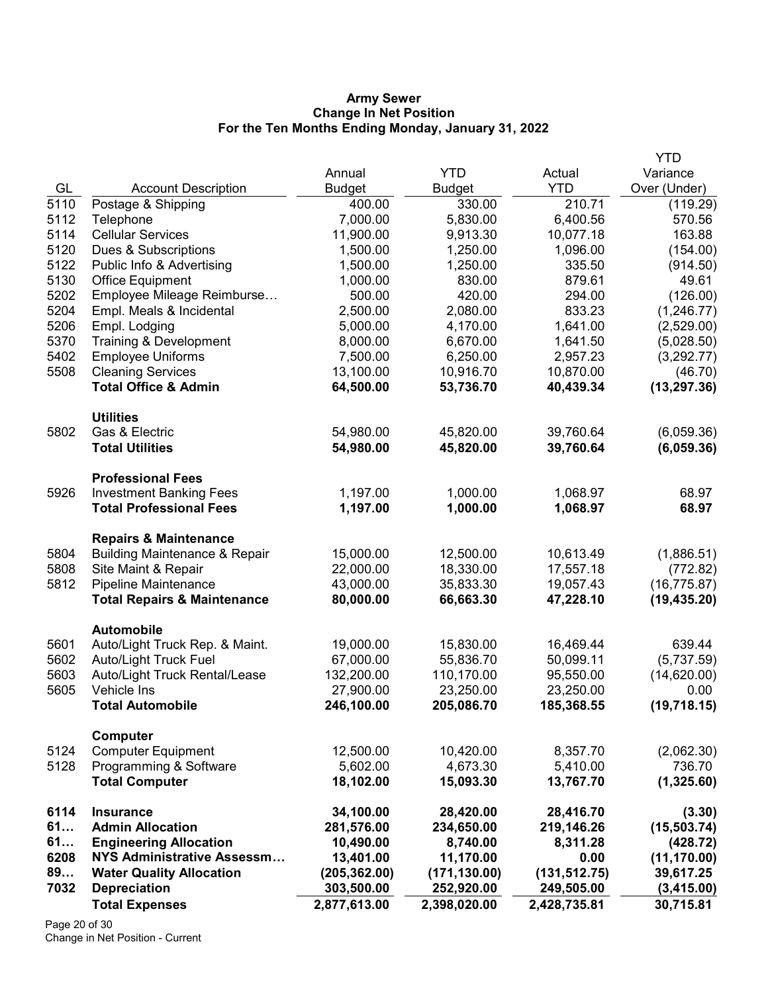### Army Sewer Change In Net Position For the Ten Months Ending Monday, January 31, 2022

|      |                                          |               |               |               | YTD          |
|------|------------------------------------------|---------------|---------------|---------------|--------------|
|      |                                          | Annual        | <b>YTD</b>    | Actual        | Variance     |
| GL   | <b>Account Description</b>               | <b>Budget</b> | <b>Budget</b> | <b>YTD</b>    | Over (Under) |
| 5110 | Postage & Shipping                       | 400.00        | 330.00        | 210.71        | (119.29)     |
| 5112 | Telephone                                | 7,000.00      | 5,830.00      | 6,400.56      | 570.56       |
| 5114 | <b>Cellular Services</b>                 | 11,900.00     | 9,913.30      | 10,077.18     | 163.88       |
| 5120 | Dues & Subscriptions                     | 1,500.00      | 1,250.00      | 1,096.00      | (154.00)     |
| 5122 | Public Info & Advertising                | 1,500.00      | 1,250.00      | 335.50        | (914.50)     |
| 5130 | <b>Office Equipment</b>                  | 1,000.00      | 830.00        | 879.61        | 49.61        |
| 5202 | Employee Mileage Reimburse               | 500.00        | 420.00        | 294.00        | (126.00)     |
| 5204 | Empl. Meals & Incidental                 | 2,500.00      | 2,080.00      | 833.23        | (1,246.77)   |
| 5206 | Empl. Lodging                            | 5,000.00      | 4,170.00      | 1,641.00      | (2,529.00)   |
| 5370 | Training & Development                   | 8,000.00      | 6,670.00      | 1,641.50      | (5,028.50)   |
| 5402 | <b>Employee Uniforms</b>                 | 7,500.00      | 6,250.00      | 2,957.23      | (3,292.77)   |
| 5508 | <b>Cleaning Services</b>                 | 13,100.00     | 10,916.70     | 10,870.00     | (46.70)      |
|      | <b>Total Office &amp; Admin</b>          | 64,500.00     | 53,736.70     | 40,439.34     | (13, 297.36) |
|      | <b>Utilities</b>                         |               |               |               |              |
| 5802 | Gas & Electric                           | 54,980.00     | 45,820.00     | 39,760.64     | (6,059.36)   |
|      | <b>Total Utilities</b>                   | 54,980.00     | 45,820.00     | 39,760.64     | (6,059.36)   |
|      | <b>Professional Fees</b>                 |               |               |               |              |
| 5926 | <b>Investment Banking Fees</b>           | 1,197.00      | 1,000.00      | 1,068.97      | 68.97        |
|      | <b>Total Professional Fees</b>           | 1,197.00      | 1,000.00      | 1,068.97      | 68.97        |
|      | <b>Repairs &amp; Maintenance</b>         |               |               |               |              |
| 5804 | <b>Building Maintenance &amp; Repair</b> | 15,000.00     | 12,500.00     | 10,613.49     | (1,886.51)   |
| 5808 | Site Maint & Repair                      | 22,000.00     | 18,330.00     | 17,557.18     | (772.82)     |
| 5812 | Pipeline Maintenance                     | 43,000.00     | 35,833.30     | 19,057.43     | (16, 775.87) |
|      | <b>Total Repairs &amp; Maintenance</b>   | 80,000.00     | 66,663.30     | 47,228.10     | (19, 435.20) |
|      | Automobile                               |               |               |               |              |
| 5601 | Auto/Light Truck Rep. & Maint.           | 19,000.00     | 15,830.00     | 16,469.44     | 639.44       |
| 5602 | <b>Auto/Light Truck Fuel</b>             | 67,000.00     | 55,836.70     | 50,099.11     | (5,737.59)   |
| 5603 | Auto/Light Truck Rental/Lease            | 132,200.00    | 110,170.00    | 95,550.00     | (14,620.00)  |
| 5605 | Vehicle Ins                              | 27,900.00     | 23,250.00     | 23,250.00     | 0.00         |
|      | <b>Total Automobile</b>                  | 246,100.00    | 205,086.70    | 185,368.55    | (19, 718.15) |
|      |                                          |               |               |               |              |
|      | <b>Computer</b>                          |               |               |               |              |
| 5124 | <b>Computer Equipment</b>                | 12,500.00     | 10,420.00     | 8,357.70      | (2,062.30)   |
| 5128 | Programming & Software                   | 5,602.00      | 4,673.30      | 5,410.00      | 736.70       |
|      | <b>Total Computer</b>                    | 18,102.00     | 15,093.30     | 13,767.70     | (1,325.60)   |
| 6114 | <b>Insurance</b>                         | 34,100.00     | 28,420.00     | 28,416.70     | (3.30)       |
| 61   | <b>Admin Allocation</b>                  | 281,576.00    | 234,650.00    | 219,146.26    | (15, 503.74) |
| 61   | <b>Engineering Allocation</b>            | 10,490.00     | 8,740.00      | 8,311.28      | (428.72)     |
| 6208 | <b>NYS Administrative Assessm</b>        | 13,401.00     | 11,170.00     | 0.00          | (11, 170.00) |
| 89   | <b>Water Quality Allocation</b>          | (205, 362.00) | (171, 130.00) | (131, 512.75) | 39,617.25    |
| 7032 | <b>Depreciation</b>                      | 303,500.00    | 252,920.00    | 249,505.00    | (3,415.00)   |
|      | <b>Total Expenses</b>                    | 2,877,613.00  | 2,398,020.00  | 2,428,735.81  | 30,715.81    |

Page 20 of 30 Change in Net Position - Current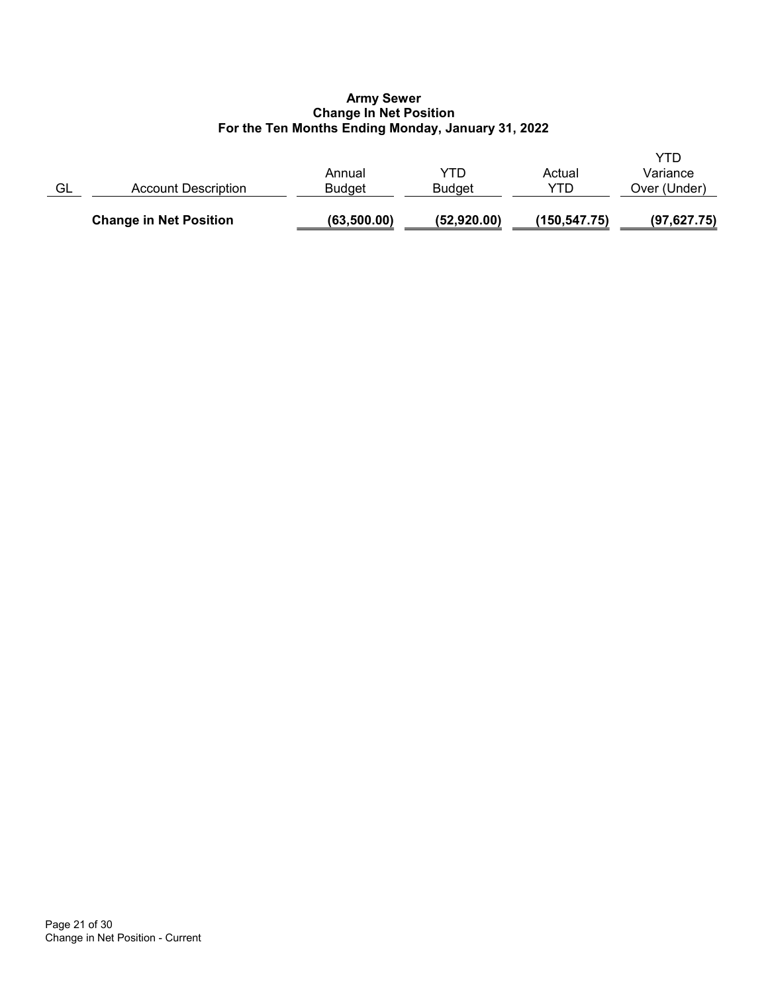# Army Sewer Change In Net Position For the Ten Months Ending Monday, January 31, 2022

|    | <b>Change in Net Position</b> | (63,500.00)      | (52,920.00)          | (150,547.75)  | (97, 627.75)             |
|----|-------------------------------|------------------|----------------------|---------------|--------------------------|
| GL | Account Description           | Annual<br>Budaet | YTD<br><b>Budget</b> | Actual<br>YTD | Variance<br>Over (Under) |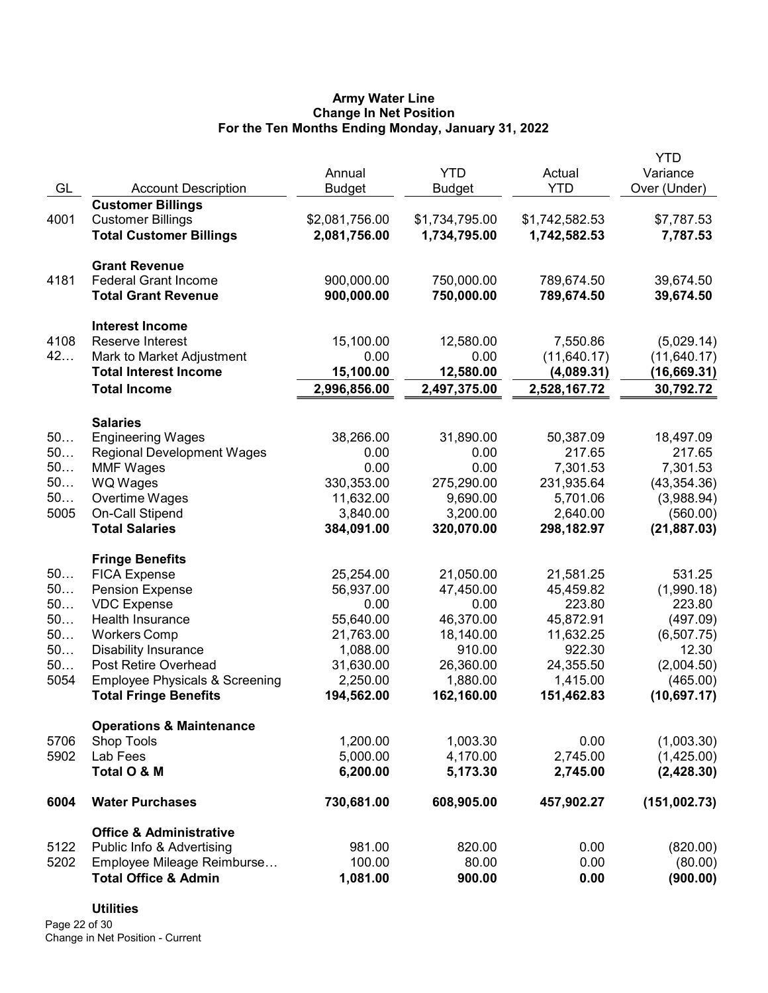# Army Water Line Change In Net Position For the Ten Months Ending Monday, January 31, 2022

|          |                                           |                       |                     |                     | <b>YTD</b>          |
|----------|-------------------------------------------|-----------------------|---------------------|---------------------|---------------------|
|          |                                           | Annual                | <b>YTD</b>          | Actual              | Variance            |
| GL       | <b>Account Description</b>                | <b>Budget</b>         | <b>Budget</b>       | <b>YTD</b>          | Over (Under)        |
|          | <b>Customer Billings</b>                  |                       |                     |                     |                     |
| 4001     | <b>Customer Billings</b>                  | \$2,081,756.00        | \$1,734,795.00      | \$1,742,582.53      | \$7,787.53          |
|          | <b>Total Customer Billings</b>            | 2,081,756.00          | 1,734,795.00        | 1,742,582.53        | 7,787.53            |
|          |                                           |                       |                     |                     |                     |
|          | <b>Grant Revenue</b>                      |                       |                     |                     |                     |
| 4181     | <b>Federal Grant Income</b>               | 900,000.00            | 750,000.00          | 789,674.50          | 39,674.50           |
|          | <b>Total Grant Revenue</b>                | 900,000.00            | 750,000.00          | 789,674.50          | 39,674.50           |
|          |                                           |                       |                     |                     |                     |
|          | <b>Interest Income</b>                    |                       |                     |                     |                     |
| 4108     | Reserve Interest                          | 15,100.00             | 12,580.00           | 7,550.86            | (5,029.14)          |
| 42       | Mark to Market Adjustment                 | 0.00                  | 0.00                | (11, 640.17)        | (11, 640.17)        |
|          | <b>Total Interest Income</b>              | 15,100.00             | 12,580.00           | (4,089.31)          | (16,669.31)         |
|          | <b>Total Income</b>                       | 2,996,856.00          | 2,497,375.00        | 2,528,167.72        | 30,792.72           |
|          | <b>Salaries</b>                           |                       |                     |                     |                     |
| 50       | <b>Engineering Wages</b>                  | 38,266.00             | 31,890.00           | 50,387.09           | 18,497.09           |
| 50       | <b>Regional Development Wages</b>         | 0.00                  | 0.00                | 217.65              | 217.65              |
| 50       | <b>MMF Wages</b>                          | 0.00                  | 0.00                | 7,301.53            | 7,301.53            |
| 50       | WQ Wages                                  | 330,353.00            | 275,290.00          | 231,935.64          | (43, 354.36)        |
| 50       | Overtime Wages                            | 11,632.00             | 9,690.00            | 5,701.06            | (3,988.94)          |
| 5005     | <b>On-Call Stipend</b>                    | 3,840.00              | 3,200.00            | 2,640.00            | (560.00)            |
|          | <b>Total Salaries</b>                     | 384,091.00            | 320,070.00          | 298,182.97          | (21, 887.03)        |
|          |                                           |                       |                     |                     |                     |
|          | <b>Fringe Benefits</b>                    |                       |                     |                     |                     |
| 50       | <b>FICA Expense</b>                       | 25,254.00             | 21,050.00           | 21,581.25           | 531.25              |
| 50<br>50 | <b>Pension Expense</b>                    | 56,937.00             | 47,450.00           | 45,459.82           | (1,990.18)          |
| 50       | <b>VDC Expense</b>                        | 0.00                  | 0.00                | 223.80              | 223.80              |
| 50       | Health Insurance<br><b>Workers Comp</b>   | 55,640.00             | 46,370.00           | 45,872.91           | (497.09)            |
| 50       | <b>Disability Insurance</b>               | 21,763.00<br>1,088.00 | 18,140.00<br>910.00 | 11,632.25<br>922.30 | (6,507.75)<br>12.30 |
| 50       | Post Retire Overhead                      | 31,630.00             | 26,360.00           | 24,355.50           | (2,004.50)          |
| 5054     | <b>Employee Physicals &amp; Screening</b> | 2,250.00              | 1,880.00            | 1,415.00            | (465.00)            |
|          | <b>Total Fringe Benefits</b>              | 194,562.00            | 162,160.00          | 151,462.83          | (10,697.17)         |
|          |                                           |                       |                     |                     |                     |
|          | <b>Operations &amp; Maintenance</b>       |                       |                     |                     |                     |
| 5706     | <b>Shop Tools</b>                         | 1,200.00              | 1,003.30            | 0.00                | (1,003.30)          |
| 5902     | Lab Fees                                  | 5,000.00              | 4,170.00            | 2,745.00            | (1,425.00)          |
|          | Total O & M                               | 6,200.00              | 5,173.30            | 2,745.00            | (2,428.30)          |
| 6004     | <b>Water Purchases</b>                    | 730,681.00            | 608,905.00          | 457,902.27          | (151,002.73)        |
|          | <b>Office &amp; Administrative</b>        |                       |                     |                     |                     |
| 5122     | Public Info & Advertising                 | 981.00                | 820.00              | 0.00                | (820.00)            |
| 5202     | Employee Mileage Reimburse                | 100.00                | 80.00               | 0.00                | (80.00)             |
|          | <b>Total Office &amp; Admin</b>           | 1,081.00              | 900.00              | 0.00                | (900.00)            |
|          |                                           |                       |                     |                     |                     |

# **Utilities**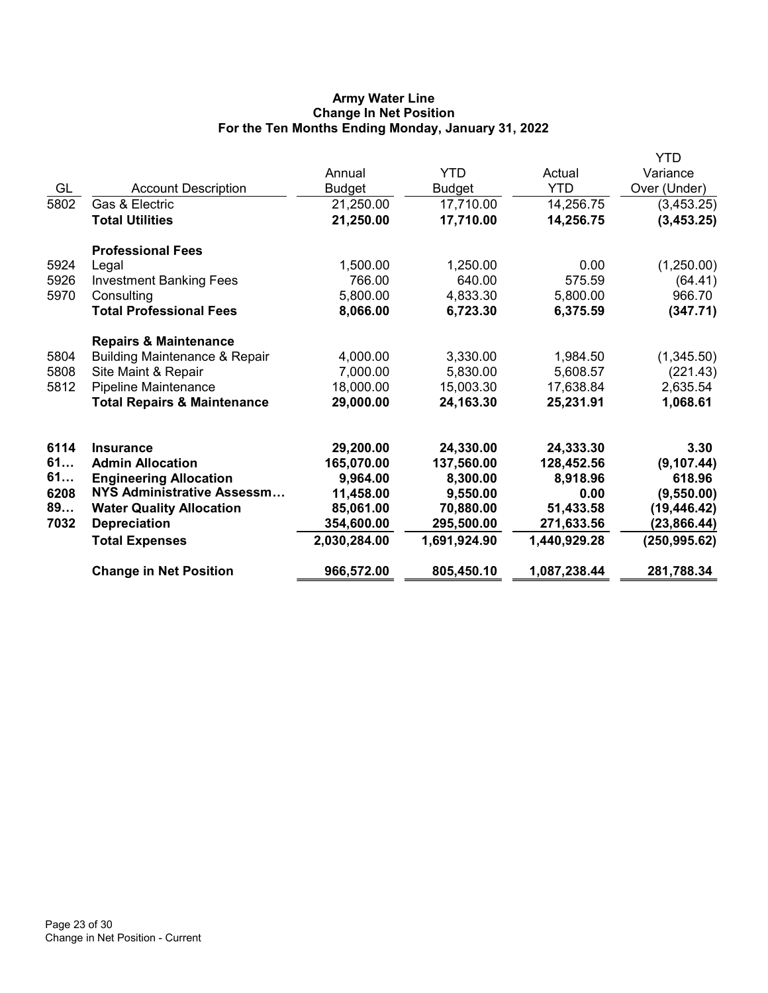# Army Water Line Change In Net Position For the Ten Months Ending Monday, January 31, 2022

|      |                                          |               |               |              | YTD           |
|------|------------------------------------------|---------------|---------------|--------------|---------------|
|      |                                          | Annual        | <b>YTD</b>    | Actual       | Variance      |
| GL   | <b>Account Description</b>               | <b>Budget</b> | <b>Budget</b> | <b>YTD</b>   | Over (Under)  |
| 5802 | Gas & Electric                           | 21,250.00     | 17,710.00     | 14,256.75    | (3,453.25)    |
|      | <b>Total Utilities</b>                   | 21,250.00     | 17,710.00     | 14,256.75    | (3,453.25)    |
|      | <b>Professional Fees</b>                 |               |               |              |               |
| 5924 | Legal                                    | 1,500.00      | 1,250.00      | 0.00         | (1,250.00)    |
| 5926 | <b>Investment Banking Fees</b>           | 766.00        | 640.00        | 575.59       | (64.41)       |
| 5970 | Consulting                               | 5,800.00      | 4,833.30      | 5,800.00     | 966.70        |
|      | <b>Total Professional Fees</b>           | 8,066.00      | 6,723.30      | 6,375.59     | (347.71)      |
|      | <b>Repairs &amp; Maintenance</b>         |               |               |              |               |
| 5804 | <b>Building Maintenance &amp; Repair</b> | 4,000.00      | 3,330.00      | 1,984.50     | (1,345.50)    |
| 5808 | Site Maint & Repair                      | 7,000.00      | 5,830.00      | 5,608.57     | (221.43)      |
| 5812 | Pipeline Maintenance                     | 18,000.00     | 15,003.30     | 17,638.84    | 2,635.54      |
|      | <b>Total Repairs &amp; Maintenance</b>   | 29,000.00     | 24,163.30     | 25,231.91    | 1,068.61      |
| 6114 | <b>Insurance</b>                         | 29,200.00     | 24,330.00     | 24,333.30    | 3.30          |
| 61   | <b>Admin Allocation</b>                  | 165,070.00    | 137,560.00    | 128,452.56   | (9, 107.44)   |
| 61   | <b>Engineering Allocation</b>            | 9,964.00      | 8,300.00      | 8,918.96     | 618.96        |
| 6208 | NYS Administrative Assessm               | 11,458.00     | 9,550.00      | 0.00         | (9,550.00)    |
| 89   | <b>Water Quality Allocation</b>          | 85,061.00     | 70,880.00     | 51,433.58    | (19, 446.42)  |
| 7032 | <b>Depreciation</b>                      | 354,600.00    | 295,500.00    | 271,633.56   | (23, 866.44)  |
|      | <b>Total Expenses</b>                    | 2,030,284.00  | 1,691,924.90  | 1,440,929.28 | (250, 995.62) |
|      | <b>Change in Net Position</b>            | 966,572.00    | 805,450.10    | 1,087,238.44 | 281,788.34    |
|      |                                          |               |               |              |               |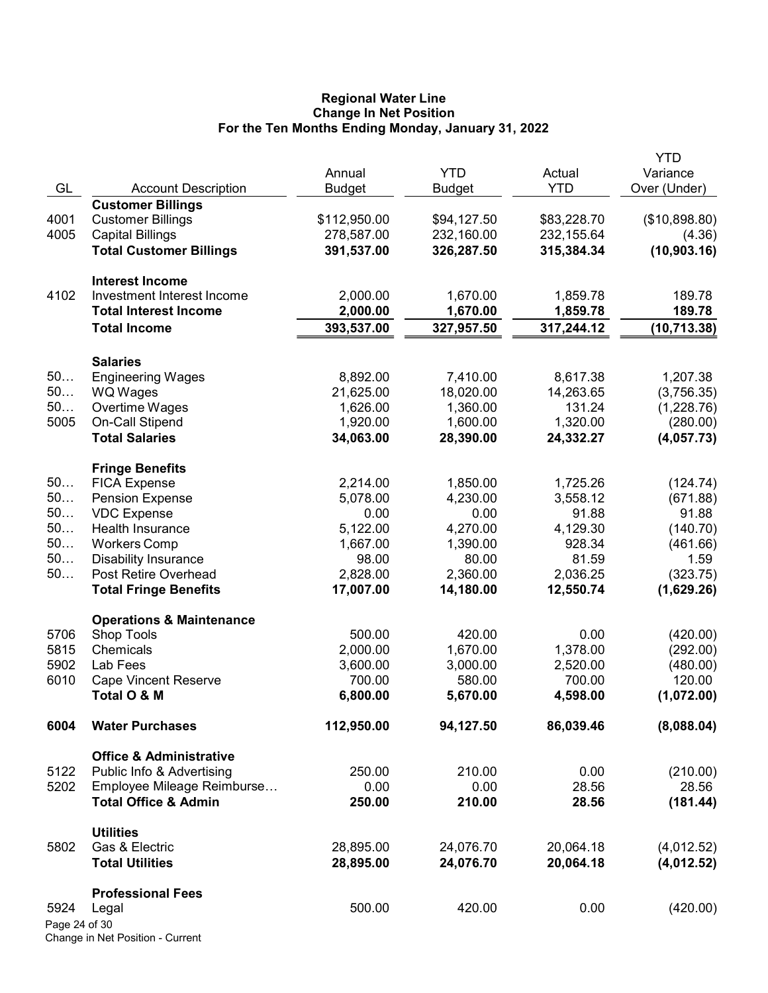### Regional Water Line Change In Net Position For the Ten Months Ending Monday, January 31, 2022

|               |                                          |               |               |                                                                                                                                                                                                                                                                                                          | <b>YTD</b>    |
|---------------|------------------------------------------|---------------|---------------|----------------------------------------------------------------------------------------------------------------------------------------------------------------------------------------------------------------------------------------------------------------------------------------------------------|---------------|
|               |                                          | Annual        | <b>YTD</b>    | Actual                                                                                                                                                                                                                                                                                                   | Variance      |
| GL            | <b>Account Description</b>               | <b>Budget</b> | <b>Budget</b> | <b>YTD</b>                                                                                                                                                                                                                                                                                               | Over (Under)  |
|               | <b>Customer Billings</b>                 |               |               |                                                                                                                                                                                                                                                                                                          |               |
| 4001          | <b>Customer Billings</b>                 | \$112,950.00  | \$94,127.50   | \$83,228.70                                                                                                                                                                                                                                                                                              | (\$10,898.80) |
| 4005          | <b>Capital Billings</b>                  | 278,587.00    | 232,160.00    | 232,155.64                                                                                                                                                                                                                                                                                               | (4.36)        |
|               | <b>Total Customer Billings</b>           | 391,537.00    | 326,287.50    | 315,384.34                                                                                                                                                                                                                                                                                               | (10,903.16)   |
|               | <b>Interest Income</b>                   |               |               |                                                                                                                                                                                                                                                                                                          |               |
| 4102          | Investment Interest Income               | 2,000.00      | 1,670.00      |                                                                                                                                                                                                                                                                                                          | 189.78        |
|               | <b>Total Interest Income</b>             | 2,000.00      | 1,670.00      |                                                                                                                                                                                                                                                                                                          | 189.78        |
|               | <b>Total Income</b>                      | 393,537.00    | 327,957.50    | 317,244.12                                                                                                                                                                                                                                                                                               | (10, 713.38)  |
|               |                                          |               |               |                                                                                                                                                                                                                                                                                                          |               |
|               | <b>Salaries</b>                          |               |               |                                                                                                                                                                                                                                                                                                          |               |
| 50            | <b>Engineering Wages</b>                 | 8,892.00      | 7,410.00      |                                                                                                                                                                                                                                                                                                          | 1,207.38      |
| 50            | <b>WQ Wages</b>                          | 21,625.00     | 18,020.00     |                                                                                                                                                                                                                                                                                                          | (3,756.35)    |
| 50            | Overtime Wages                           | 1,626.00      | 1,360.00      |                                                                                                                                                                                                                                                                                                          | (1,228.76)    |
| 5005          | On-Call Stipend<br><b>Total Salaries</b> | 1,920.00      | 1,600.00      |                                                                                                                                                                                                                                                                                                          | (280.00)      |
|               |                                          | 34,063.00     | 28,390.00     | 1,859.78<br>1,859.78<br>8,617.38<br>14,263.65<br>131.24<br>1,320.00<br>24,332.27<br>1,725.26<br>3,558.12<br>91.88<br>4,129.30<br>928.34<br>81.59<br>2,036.25<br>12,550.74<br>0.00<br>1,378.00<br>2,520.00<br>700.00<br>4,598.00<br>86,039.46<br>0.00<br>28.56<br>28.56<br>20,064.18<br>20,064.18<br>0.00 | (4,057.73)    |
|               | <b>Fringe Benefits</b>                   |               |               |                                                                                                                                                                                                                                                                                                          |               |
| 50            | <b>FICA Expense</b>                      | 2,214.00      | 1,850.00      |                                                                                                                                                                                                                                                                                                          | (124.74)      |
| 50            | <b>Pension Expense</b>                   | 5,078.00      | 4,230.00      |                                                                                                                                                                                                                                                                                                          | (671.88)      |
| 50            | <b>VDC</b> Expense                       | 0.00          | 0.00          |                                                                                                                                                                                                                                                                                                          | 91.88         |
| 50            | Health Insurance                         | 5,122.00      | 4,270.00      |                                                                                                                                                                                                                                                                                                          | (140.70)      |
| 50            | <b>Workers Comp</b>                      | 1,667.00      | 1,390.00      |                                                                                                                                                                                                                                                                                                          | (461.66)      |
| 50            | <b>Disability Insurance</b>              | 98.00         | 80.00         |                                                                                                                                                                                                                                                                                                          | 1.59          |
| 50            | Post Retire Overhead                     | 2,828.00      | 2,360.00      |                                                                                                                                                                                                                                                                                                          | (323.75)      |
|               | <b>Total Fringe Benefits</b>             | 17,007.00     | 14,180.00     |                                                                                                                                                                                                                                                                                                          | (1,629.26)    |
|               | <b>Operations &amp; Maintenance</b>      |               |               |                                                                                                                                                                                                                                                                                                          |               |
| 5706          | <b>Shop Tools</b>                        | 500.00        | 420.00        |                                                                                                                                                                                                                                                                                                          | (420.00)      |
| 5815          | Chemicals                                | 2,000.00      | 1,670.00      |                                                                                                                                                                                                                                                                                                          | (292.00)      |
| 5902          | Lab Fees                                 | 3,600.00      | 3,000.00      |                                                                                                                                                                                                                                                                                                          | (480.00)      |
| 6010          | <b>Cape Vincent Reserve</b>              | 700.00        | 580.00        |                                                                                                                                                                                                                                                                                                          | 120.00        |
|               | Total O & M                              | 6,800.00      | 5,670.00      |                                                                                                                                                                                                                                                                                                          | (1,072.00)    |
| 6004          | <b>Water Purchases</b>                   | 112,950.00    | 94,127.50     |                                                                                                                                                                                                                                                                                                          | (8,088.04)    |
|               | <b>Office &amp; Administrative</b>       |               |               |                                                                                                                                                                                                                                                                                                          |               |
| 5122          | Public Info & Advertising                | 250.00        | 210.00        |                                                                                                                                                                                                                                                                                                          | (210.00)      |
| 5202          | Employee Mileage Reimburse               | 0.00          | 0.00          |                                                                                                                                                                                                                                                                                                          | 28.56         |
|               | <b>Total Office &amp; Admin</b>          | 250.00        | 210.00        |                                                                                                                                                                                                                                                                                                          | (181.44)      |
|               |                                          |               |               |                                                                                                                                                                                                                                                                                                          |               |
|               | <b>Utilities</b><br>Gas & Electric       | 28,895.00     | 24,076.70     |                                                                                                                                                                                                                                                                                                          | (4,012.52)    |
| 5802          |                                          |               |               |                                                                                                                                                                                                                                                                                                          | (4,012.52)    |
|               | <b>Total Utilities</b>                   | 28,895.00     | 24,076.70     |                                                                                                                                                                                                                                                                                                          |               |
|               | <b>Professional Fees</b>                 |               |               |                                                                                                                                                                                                                                                                                                          |               |
| 5924          | Legal                                    | 500.00        | 420.00        |                                                                                                                                                                                                                                                                                                          | (420.00)      |
| Page 24 of 30 |                                          |               |               |                                                                                                                                                                                                                                                                                                          |               |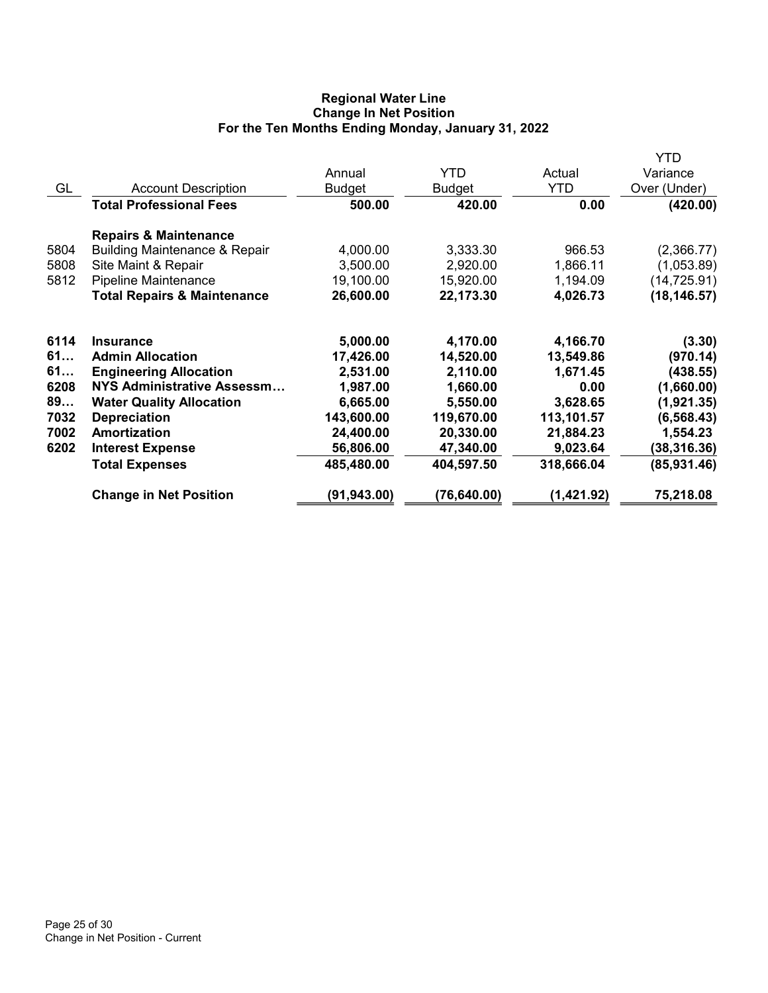# Regional Water Line Change In Net Position For the Ten Months Ending Monday, January 31, 2022

|      |                                          |               |               |            | YTD          |
|------|------------------------------------------|---------------|---------------|------------|--------------|
|      |                                          | Annual        | <b>YTD</b>    | Actual     | Variance     |
| GL   | <b>Account Description</b>               | <b>Budget</b> | <b>Budget</b> | <b>YTD</b> | Over (Under) |
|      | <b>Total Professional Fees</b>           | 500.00        | 420.00        | 0.00       | (420.00)     |
|      | <b>Repairs &amp; Maintenance</b>         |               |               |            |              |
| 5804 | <b>Building Maintenance &amp; Repair</b> | 4,000.00      | 3,333.30      | 966.53     | (2,366.77)   |
| 5808 | Site Maint & Repair                      | 3,500.00      | 2,920.00      | 1,866.11   | (1,053.89)   |
| 5812 | Pipeline Maintenance                     | 19,100.00     | 15,920.00     | 1,194.09   | (14, 725.91) |
|      | <b>Total Repairs &amp; Maintenance</b>   | 26,600.00     | 22,173.30     | 4,026.73   | (18, 146.57) |
| 6114 | <b>Insurance</b>                         | 5,000.00      | 4,170.00      | 4,166.70   | (3.30)       |
| 61   | <b>Admin Allocation</b>                  | 17,426.00     | 14,520.00     | 13,549.86  | (970.14)     |
| 61   | <b>Engineering Allocation</b>            | 2,531.00      | 2,110.00      | 1,671.45   | (438.55)     |
| 6208 | <b>NYS Administrative Assessm</b>        | 1,987.00      | 1,660.00      | 0.00       | (1,660.00)   |
| 89   | <b>Water Quality Allocation</b>          | 6,665.00      | 5,550.00      | 3,628.65   | (1,921.35)   |
| 7032 | <b>Depreciation</b>                      | 143,600.00    | 119,670.00    | 113,101.57 | (6, 568.43)  |
| 7002 | Amortization                             | 24,400.00     | 20,330.00     | 21,884.23  | 1,554.23     |
| 6202 | <b>Interest Expense</b>                  | 56,806.00     | 47,340.00     | 9,023.64   | (38,316.36)  |
|      | <b>Total Expenses</b>                    | 485,480.00    | 404,597.50    | 318,666.04 | (85, 931.46) |
|      | <b>Change in Net Position</b>            | (91,943.00)   | (76,640.00)   | (1,421.92) | 75,218.08    |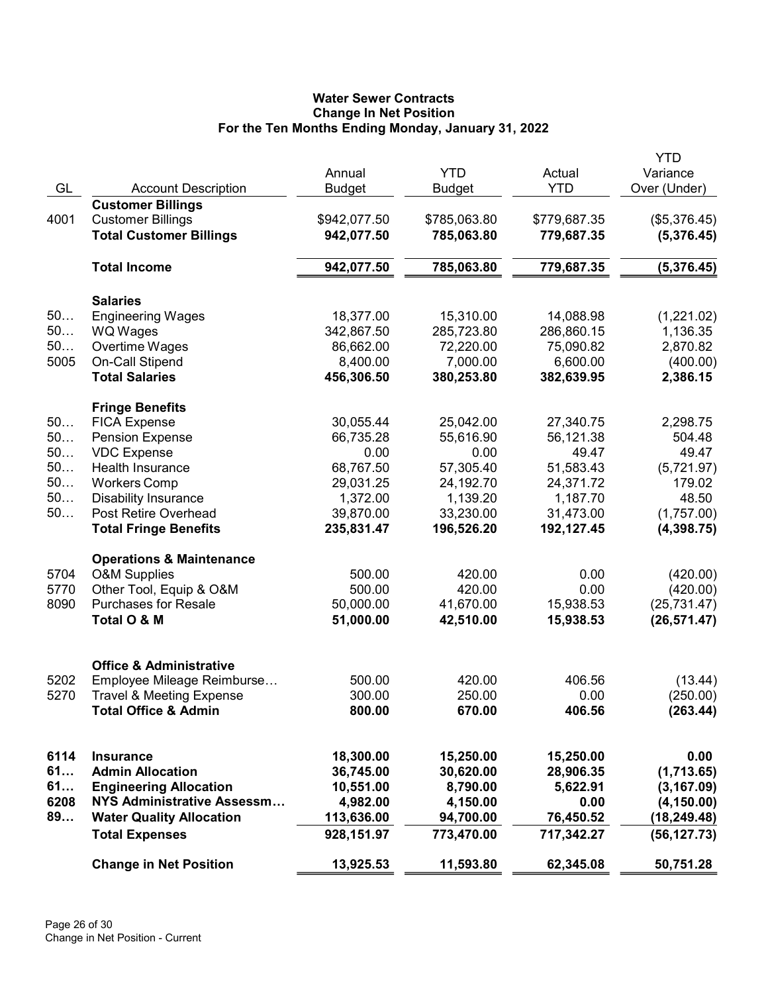# Water Sewer Contracts Change In Net Position For the Ten Months Ending Monday, January 31, 2022

|      |                                     |               |              |              | YTD          |
|------|-------------------------------------|---------------|--------------|--------------|--------------|
|      |                                     | Annual        | <b>YTD</b>   | Actual       | Variance     |
| GL   | <b>Account Description</b>          | <b>Budget</b> | Budget       | <b>YTD</b>   | Over (Under) |
|      | <b>Customer Billings</b>            |               |              |              |              |
| 4001 | <b>Customer Billings</b>            | \$942,077.50  | \$785,063.80 | \$779,687.35 | (\$5,376.45) |
|      | <b>Total Customer Billings</b>      | 942,077.50    | 785,063.80   | 779,687.35   | (5,376.45)   |
|      | <b>Total Income</b>                 | 942,077.50    | 785,063.80   | 779,687.35   | (5,376.45)   |
|      | <b>Salaries</b>                     |               |              |              |              |
| 50   | <b>Engineering Wages</b>            | 18,377.00     | 15,310.00    | 14,088.98    | (1,221.02)   |
| 50   | <b>WQ Wages</b>                     | 342,867.50    | 285,723.80   | 286,860.15   | 1,136.35     |
| 50   | Overtime Wages                      | 86,662.00     | 72,220.00    | 75,090.82    | 2,870.82     |
| 5005 | On-Call Stipend                     | 8,400.00      | 7,000.00     | 6,600.00     | (400.00)     |
|      | <b>Total Salaries</b>               | 456,306.50    | 380,253.80   | 382,639.95   | 2,386.15     |
|      | <b>Fringe Benefits</b>              |               |              |              |              |
| 50   | <b>FICA Expense</b>                 | 30,055.44     | 25,042.00    | 27,340.75    | 2,298.75     |
| 50   | <b>Pension Expense</b>              | 66,735.28     | 55,616.90    | 56,121.38    | 504.48       |
| 50   | <b>VDC</b> Expense                  | 0.00          | 0.00         | 49.47        | 49.47        |
| 50   | Health Insurance                    | 68,767.50     | 57,305.40    | 51,583.43    | (5,721.97)   |
| 50   | <b>Workers Comp</b>                 | 29,031.25     | 24,192.70    | 24,371.72    | 179.02       |
| 50   | <b>Disability Insurance</b>         | 1,372.00      | 1,139.20     | 1,187.70     | 48.50        |
| 50   | Post Retire Overhead                | 39,870.00     | 33,230.00    | 31,473.00    | (1,757.00)   |
|      | <b>Total Fringe Benefits</b>        | 235,831.47    | 196,526.20   | 192,127.45   | (4,398.75)   |
|      | <b>Operations &amp; Maintenance</b> |               |              |              |              |
| 5704 | <b>O&amp;M Supplies</b>             | 500.00        | 420.00       | 0.00         | (420.00)     |
| 5770 | Other Tool, Equip & O&M             | 500.00        | 420.00       | 0.00         | (420.00)     |
| 8090 | <b>Purchases for Resale</b>         | 50,000.00     | 41,670.00    | 15,938.53    | (25, 731.47) |
|      | Total O & M                         | 51,000.00     | 42,510.00    | 15,938.53    | (26, 571.47) |
|      |                                     |               |              |              |              |
|      | <b>Office &amp; Administrative</b>  |               |              |              |              |
| 5202 | Employee Mileage Reimburse          | 500.00        | 420.00       | 406.56       | (13.44)      |
| 5270 | <b>Travel &amp; Meeting Expense</b> | 300.00        | 250.00       | 0.00         | (250.00)     |
|      | <b>Total Office &amp; Admin</b>     | 800.00        | 670.00       | 406.56       | (263.44)     |
| 6114 | Insurance                           | 18,300.00     | 15,250.00    | 15,250.00    | 0.00         |
| 61   | <b>Admin Allocation</b>             | 36,745.00     | 30,620.00    | 28,906.35    | (1,713.65)   |
| 61   | <b>Engineering Allocation</b>       | 10,551.00     | 8,790.00     | 5,622.91     | (3, 167.09)  |
| 6208 | NYS Administrative Assessm          | 4,982.00      | 4,150.00     | 0.00         | (4, 150.00)  |
| 89   | <b>Water Quality Allocation</b>     | 113,636.00    | 94,700.00    | 76,450.52    | (18, 249.48) |
|      | <b>Total Expenses</b>               | 928,151.97    | 773,470.00   | 717,342.27   | (56, 127.73) |
|      | <b>Change in Net Position</b>       | 13,925.53     | 11,593.80    | 62,345.08    | 50,751.28    |
|      |                                     |               |              |              |              |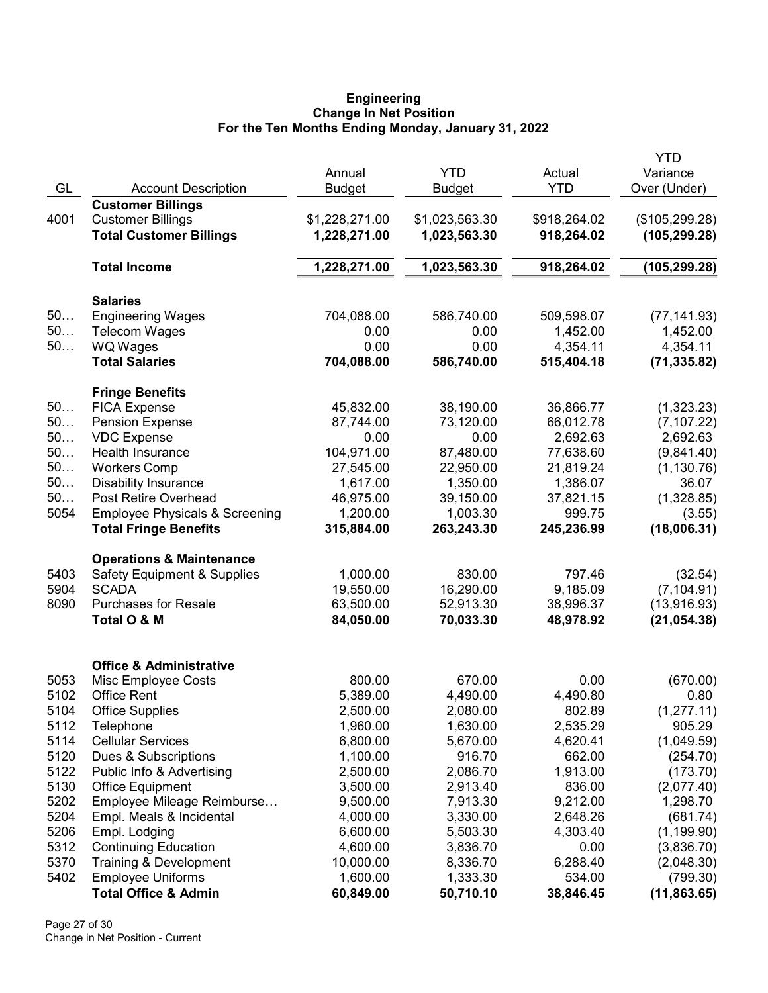### Engineering Change In Net Position For the Ten Months Ending Monday, January 31, 2022

|      |                                           |                |                |              | <b>YTD</b>     |
|------|-------------------------------------------|----------------|----------------|--------------|----------------|
|      |                                           | Annual         | <b>YTD</b>     | Actual       | Variance       |
| GL   | <b>Account Description</b>                | <b>Budget</b>  | <b>Budget</b>  | <b>YTD</b>   | Over (Under)   |
|      | <b>Customer Billings</b>                  |                |                |              |                |
| 4001 | <b>Customer Billings</b>                  | \$1,228,271.00 | \$1,023,563.30 | \$918,264.02 | (\$105,299.28) |
|      | <b>Total Customer Billings</b>            | 1,228,271.00   | 1,023,563.30   | 918,264.02   | (105, 299.28)  |
|      |                                           |                |                |              |                |
|      | <b>Total Income</b>                       | 1,228,271.00   | 1,023,563.30   | 918,264.02   | (105, 299.28)  |
|      | <b>Salaries</b>                           |                |                |              |                |
| 50   | <b>Engineering Wages</b>                  | 704,088.00     | 586,740.00     | 509,598.07   | (77, 141.93)   |
| 50   | <b>Telecom Wages</b>                      | 0.00           | 0.00           | 1,452.00     | 1,452.00       |
| 50   | <b>WQ Wages</b>                           | 0.00           | 0.00           | 4,354.11     | 4,354.11       |
|      | <b>Total Salaries</b>                     | 704,088.00     | 586,740.00     | 515,404.18   | (71, 335.82)   |
|      | <b>Fringe Benefits</b>                    |                |                |              |                |
| 50   | <b>FICA Expense</b>                       | 45,832.00      | 38,190.00      | 36,866.77    | (1,323.23)     |
| 50   | <b>Pension Expense</b>                    | 87,744.00      | 73,120.00      | 66,012.78    | (7, 107.22)    |
| 50   | <b>VDC Expense</b>                        | 0.00           | 0.00           | 2,692.63     | 2,692.63       |
| 50   | Health Insurance                          | 104,971.00     | 87,480.00      | 77,638.60    | (9,841.40)     |
| 50   | <b>Workers Comp</b>                       | 27,545.00      | 22,950.00      | 21,819.24    | (1, 130.76)    |
| 50   | <b>Disability Insurance</b>               | 1,617.00       | 1,350.00       | 1,386.07     | 36.07          |
| 50   | Post Retire Overhead                      | 46,975.00      | 39,150.00      | 37,821.15    | (1,328.85)     |
| 5054 | <b>Employee Physicals &amp; Screening</b> | 1,200.00       | 1,003.30       | 999.75       | (3.55)         |
|      | <b>Total Fringe Benefits</b>              | 315,884.00     | 263,243.30     | 245,236.99   | (18,006.31)    |
|      | <b>Operations &amp; Maintenance</b>       |                |                |              |                |
| 5403 | <b>Safety Equipment &amp; Supplies</b>    | 1,000.00       | 830.00         | 797.46       | (32.54)        |
| 5904 | <b>SCADA</b>                              | 19,550.00      | 16,290.00      | 9,185.09     | (7, 104.91)    |
| 8090 | <b>Purchases for Resale</b>               | 63,500.00      | 52,913.30      | 38,996.37    | (13,916.93)    |
|      | Total O & M                               | 84,050.00      | 70,033.30      | 48,978.92    | (21, 054.38)   |
|      | <b>Office &amp; Administrative</b>        |                |                |              |                |
| 5053 | Misc Employee Costs                       | 800.00         | 670.00         | 0.00         | (670.00)       |
| 5102 | <b>Office Rent</b>                        | 5,389.00       | 4,490.00       | 4,490.80     | 0.80           |
| 5104 | <b>Office Supplies</b>                    | 2,500.00       | 2,080.00       | 802.89       | (1, 277.11)    |
| 5112 | Telephone                                 | 1,960.00       | 1,630.00       | 2,535.29     | 905.29         |
| 5114 | <b>Cellular Services</b>                  | 6,800.00       | 5,670.00       | 4,620.41     | (1,049.59)     |
| 5120 | Dues & Subscriptions                      | 1,100.00       | 916.70         | 662.00       | (254.70)       |
| 5122 | Public Info & Advertising                 | 2,500.00       | 2,086.70       | 1,913.00     | (173.70)       |
| 5130 | <b>Office Equipment</b>                   | 3,500.00       | 2,913.40       | 836.00       | (2,077.40)     |
| 5202 | Employee Mileage Reimburse                | 9,500.00       | 7,913.30       | 9,212.00     | 1,298.70       |
| 5204 | Empl. Meals & Incidental                  | 4,000.00       | 3,330.00       | 2,648.26     | (681.74)       |
| 5206 | Empl. Lodging                             | 6,600.00       | 5,503.30       | 4,303.40     | (1, 199.90)    |
| 5312 | <b>Continuing Education</b>               | 4,600.00       | 3,836.70       | 0.00         | (3,836.70)     |
| 5370 | Training & Development                    | 10,000.00      | 8,336.70       | 6,288.40     | (2,048.30)     |
| 5402 | <b>Employee Uniforms</b>                  | 1,600.00       | 1,333.30       | 534.00       | (799.30)       |
|      | <b>Total Office &amp; Admin</b>           | 60,849.00      | 50,710.10      | 38,846.45    | (11, 863.65)   |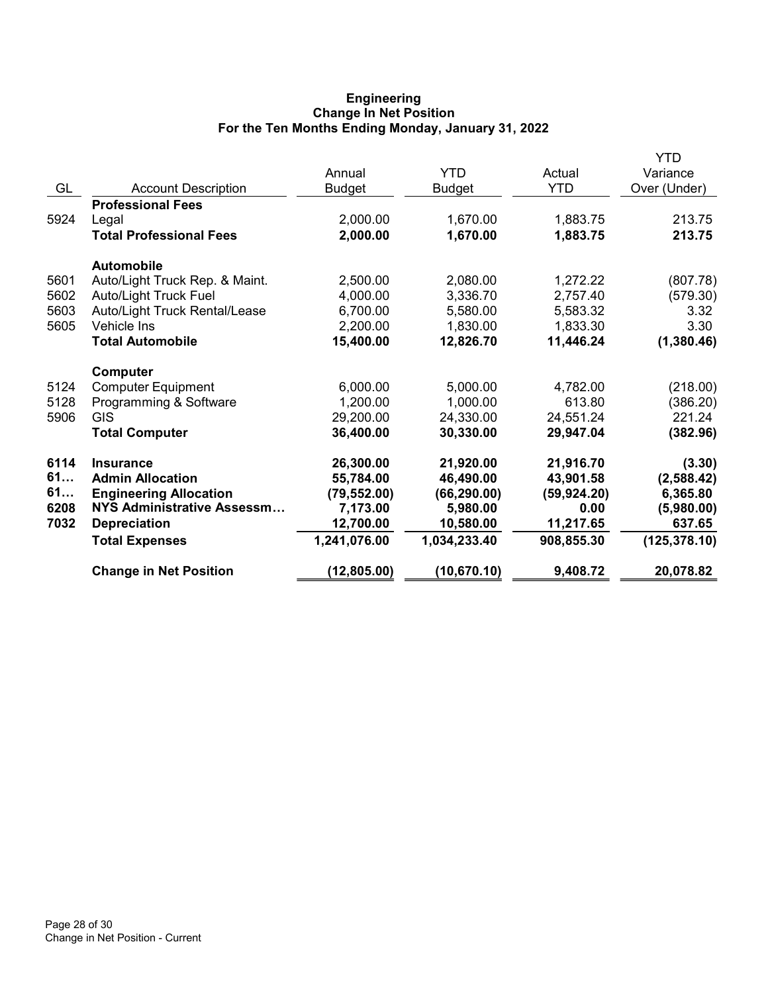# Engineering Change In Net Position For the Ten Months Ending Monday, January 31, 2022

|      |                                |               |               |              | <b>YTD</b>    |
|------|--------------------------------|---------------|---------------|--------------|---------------|
|      |                                | Annual        | <b>YTD</b>    | Actual       | Variance      |
| GL   | <b>Account Description</b>     | <b>Budget</b> | <b>Budget</b> | <b>YTD</b>   | Over (Under)  |
|      | <b>Professional Fees</b>       |               |               |              |               |
| 5924 | Legal                          | 2,000.00      | 1,670.00      | 1,883.75     | 213.75        |
|      | <b>Total Professional Fees</b> | 2,000.00      | 1,670.00      | 1,883.75     | 213.75        |
|      | <b>Automobile</b>              |               |               |              |               |
| 5601 | Auto/Light Truck Rep. & Maint. | 2,500.00      | 2,080.00      | 1,272.22     | (807.78)      |
| 5602 | <b>Auto/Light Truck Fuel</b>   | 4,000.00      | 3,336.70      | 2,757.40     | (579.30)      |
| 5603 | Auto/Light Truck Rental/Lease  | 6,700.00      | 5,580.00      | 5,583.32     | 3.32          |
| 5605 | <b>Vehicle Ins</b>             | 2,200.00      | 1,830.00      | 1,833.30     | 3.30          |
|      | <b>Total Automobile</b>        | 15,400.00     | 12,826.70     | 11,446.24    | (1,380.46)    |
|      | <b>Computer</b>                |               |               |              |               |
| 5124 | <b>Computer Equipment</b>      | 6,000.00      | 5,000.00      | 4,782.00     | (218.00)      |
| 5128 | Programming & Software         | 1,200.00      | 1,000.00      | 613.80       | (386.20)      |
| 5906 | <b>GIS</b>                     | 29,200.00     | 24,330.00     | 24,551.24    | 221.24        |
|      | <b>Total Computer</b>          | 36,400.00     | 30,330.00     | 29,947.04    | (382.96)      |
| 6114 | <b>Insurance</b>               | 26,300.00     | 21,920.00     | 21,916.70    | (3.30)        |
| 61   | <b>Admin Allocation</b>        | 55,784.00     | 46,490.00     | 43,901.58    | (2,588.42)    |
| 61   | <b>Engineering Allocation</b>  | (79, 552.00)  | (66, 290.00)  | (59, 924.20) | 6,365.80      |
| 6208 | NYS Administrative Assessm     | 7,173.00      | 5,980.00      | 0.00         | (5,980.00)    |
| 7032 | <b>Depreciation</b>            | 12,700.00     | 10,580.00     | 11,217.65    | 637.65        |
|      | <b>Total Expenses</b>          | 1,241,076.00  | 1,034,233.40  | 908,855.30   | (125, 378.10) |
|      | <b>Change in Net Position</b>  | (12, 805.00)  | (10, 670.10)  | 9,408.72     | 20,078.82     |
|      |                                |               |               |              |               |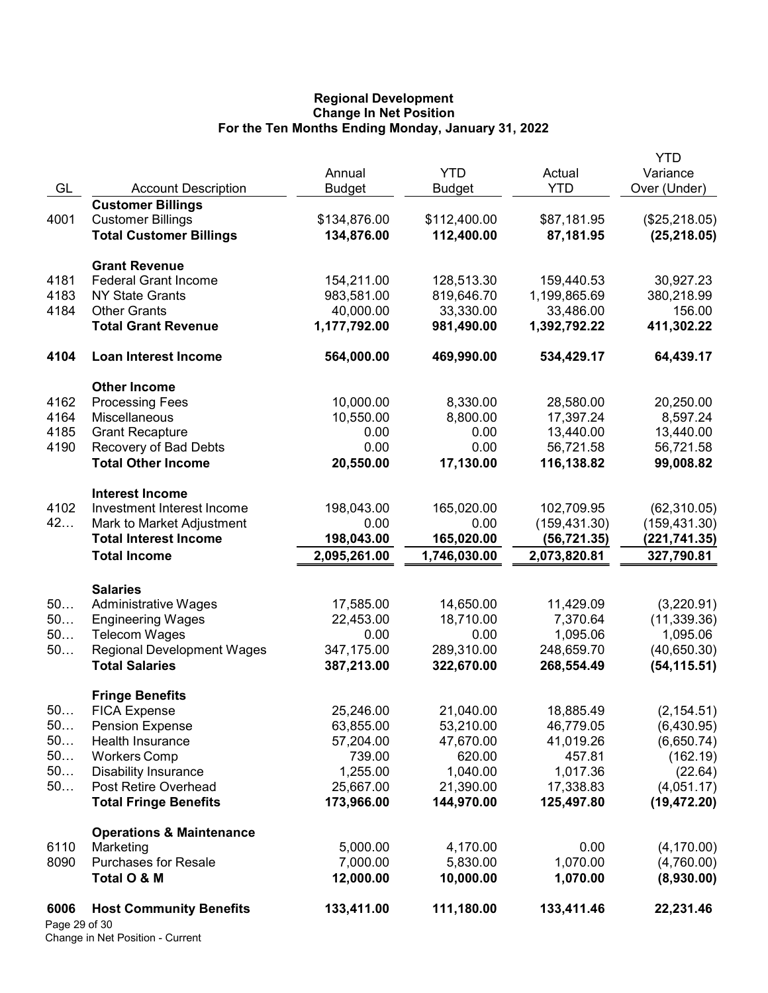## Regional Development Change In Net Position For the Ten Months Ending Monday, January 31, 2022

|                       |                                     |                         |                             |                      | YTD                      |
|-----------------------|-------------------------------------|-------------------------|-----------------------------|----------------------|--------------------------|
| GL                    | <b>Account Description</b>          | Annual<br><b>Budget</b> | <b>YTD</b><br><b>Budget</b> | Actual<br><b>YTD</b> | Variance<br>Over (Under) |
|                       | <b>Customer Billings</b>            |                         |                             |                      |                          |
| 4001                  | <b>Customer Billings</b>            | \$134,876.00            | \$112,400.00                | \$87,181.95          | (\$25,218.05)            |
|                       | <b>Total Customer Billings</b>      | 134,876.00              | 112,400.00                  | 87,181.95            | (25, 218.05)             |
|                       |                                     |                         |                             |                      |                          |
|                       | <b>Grant Revenue</b>                |                         |                             |                      |                          |
| 4181                  | <b>Federal Grant Income</b>         | 154,211.00              | 128,513.30                  | 159,440.53           | 30,927.23                |
| 4183                  | <b>NY State Grants</b>              | 983,581.00              | 819,646.70                  | 1,199,865.69         | 380,218.99               |
| 4184                  | <b>Other Grants</b>                 | 40,000.00               | 33,330.00                   | 33,486.00            | 156.00                   |
|                       | <b>Total Grant Revenue</b>          | 1,177,792.00            | 981,490.00                  | 1,392,792.22         | 411,302.22               |
| 4104                  | <b>Loan Interest Income</b>         | 564,000.00              | 469,990.00                  | 534,429.17           | 64,439.17                |
|                       | <b>Other Income</b>                 |                         |                             |                      |                          |
| 4162                  | <b>Processing Fees</b>              | 10,000.00               | 8,330.00                    | 28,580.00            | 20,250.00                |
| 4164                  | Miscellaneous                       | 10,550.00               | 8,800.00                    | 17,397.24            | 8,597.24                 |
| 4185                  | <b>Grant Recapture</b>              | 0.00                    | 0.00                        | 13,440.00            | 13,440.00                |
| 4190                  | Recovery of Bad Debts               | 0.00                    | 0.00                        | 56,721.58            | 56,721.58                |
|                       | <b>Total Other Income</b>           | 20,550.00               | 17,130.00                   | 116,138.82           | 99,008.82                |
|                       | <b>Interest Income</b>              |                         |                             |                      |                          |
| 4102                  | Investment Interest Income          | 198,043.00              | 165,020.00                  | 102,709.95           | (62, 310.05)             |
| 42                    | Mark to Market Adjustment           | 0.00                    | 0.00                        | (159, 431.30)        | (159, 431.30)            |
|                       | <b>Total Interest Income</b>        | 198,043.00              | 165,020.00                  | (56, 721.35)         | (221,741.35)             |
|                       | <b>Total Income</b>                 | 2,095,261.00            | 1,746,030.00                | 2,073,820.81         | 327,790.81               |
|                       |                                     |                         |                             |                      |                          |
|                       | <b>Salaries</b>                     |                         |                             |                      |                          |
| 50                    | <b>Administrative Wages</b>         | 17,585.00               | 14,650.00                   | 11,429.09            | (3,220.91)               |
| 50                    | <b>Engineering Wages</b>            | 22,453.00               | 18,710.00                   | 7,370.64             | (11, 339.36)             |
| 50                    | <b>Telecom Wages</b>                | 0.00                    | 0.00                        | 1,095.06             | 1,095.06                 |
| 50                    | <b>Regional Development Wages</b>   | 347,175.00              | 289,310.00                  | 248,659.70           | (40, 650.30)             |
|                       | <b>Total Salaries</b>               | 387,213.00              | 322,670.00                  | 268,554.49           | (54, 115.51)             |
|                       | <b>Fringe Benefits</b>              |                         |                             |                      |                          |
| 50.                   | <b>FICA Expense</b>                 | 25,246.00               | 21,040.00                   | 18,885.49            | (2, 154.51)              |
| 50                    | Pension Expense                     | 63,855.00               | 53,210.00                   | 46,779.05            | (6,430.95)               |
| 50                    | Health Insurance                    | 57,204.00               | 47,670.00                   | 41,019.26            | (6,650.74)               |
| 50                    | <b>Workers Comp</b>                 | 739.00                  | 620.00                      | 457.81               | (162.19)                 |
| 50                    | <b>Disability Insurance</b>         | 1,255.00                | 1,040.00                    | 1,017.36             | (22.64)                  |
| 50                    | Post Retire Overhead                | 25,667.00               | 21,390.00                   | 17,338.83            | (4,051.17)               |
|                       | <b>Total Fringe Benefits</b>        | 173,966.00              | 144,970.00                  | 125,497.80           | (19, 472.20)             |
|                       | <b>Operations &amp; Maintenance</b> |                         |                             |                      |                          |
| 6110                  | Marketing                           | 5,000.00                | 4,170.00                    | 0.00                 | (4, 170.00)              |
| 8090                  | <b>Purchases for Resale</b>         | 7,000.00                | 5,830.00                    | 1,070.00             | (4,760.00)               |
|                       | Total O & M                         | 12,000.00               | 10,000.00                   | 1,070.00             | (8,930.00)               |
| 6006<br>Page 29 of 30 | <b>Host Community Benefits</b>      | 133,411.00              | 111,180.00                  | 133,411.46           | 22,231.46                |